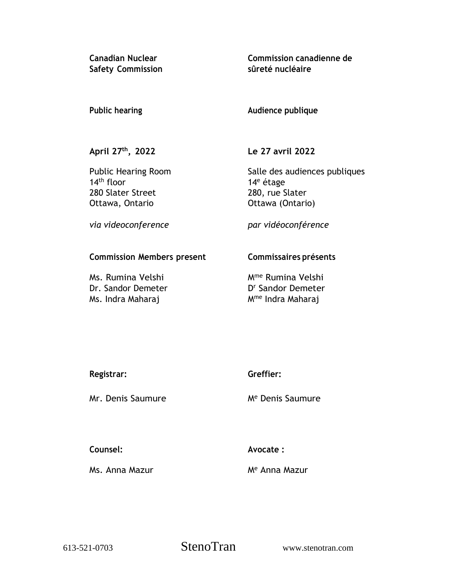**Safety Commission**

**Canadian Nuclear Commission canadienne de sûreté nucléaire**

## **Public hearing**

## **Audience publique**

**April 27th , 2022**

Public Hearing Room 14th floor 280 Slater Street Ottawa, Ontario

**Le 27 avril 2022**

Salle des audiences publiques 14<sup>e</sup> étage 280, rue Slater Ottawa (Ontario)

*via videoconference*

*par vidéoconférence*

# **Commission Members present**

Ms. Rumina Velshi Dr. Sandor Demeter Ms. Indra Maharaj

# **Commissaires présents**

Mme Rumina Velshi D <sup>r</sup> Sandor Demeter Mme Indra Maharaj

| Registrar: |  |
|------------|--|
|            |  |

Mr. Denis Saumure

**Greffier:**

M<sup>e</sup> Denis Saumure

**Counsel:**

**Avocate :**

Ms. Anna Mazur

M<sup>e</sup> Anna Mazur

613-521-0703 StenoTran www.stenotran.com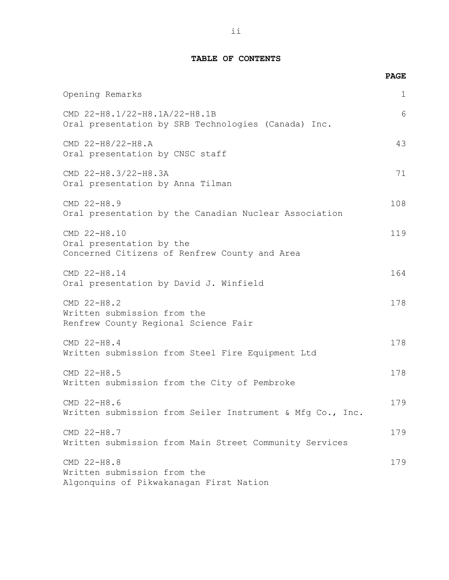### **TABLE OF CONTENTS**

|                                                                                           | <b>PAGE</b>  |
|-------------------------------------------------------------------------------------------|--------------|
| Opening Remarks                                                                           | $\mathbf{1}$ |
| CMD 22-H8.1/22-H8.1A/22-H8.1B<br>Oral presentation by SRB Technologies (Canada) Inc.      | 6            |
| CMD 22-H8/22-H8.A<br>Oral presentation by CNSC staff                                      | 43           |
| CMD 22-H8.3/22-H8.3A<br>Oral presentation by Anna Tilman                                  | 71           |
| CMD 22-H8.9<br>Oral presentation by the Canadian Nuclear Association                      | 108          |
| CMD 22-H8.10<br>Oral presentation by the<br>Concerned Citizens of Renfrew County and Area | 119          |
| CMD 22-H8.14<br>Oral presentation by David J. Winfield                                    | 164          |
| CMD 22-H8.2<br>Written submission from the<br>Renfrew County Regional Science Fair        | 178          |
| CMD 22-H8.4<br>Written submission from Steel Fire Equipment Ltd                           | 178          |
| CMD 22-H8.5<br>Written submission from the City of Pembroke                               | 178          |
| CMD 22-H8.6<br>Written submission from Seiler Instrument & Mfg Co., Inc.                  | 179          |
| CMD 22-H8.7<br>Written submission from Main Street Community Services                     | 179          |
| CMD 22-H8.8<br>Written submission from the<br>Algonquins of Pikwakanagan First Nation     | 179          |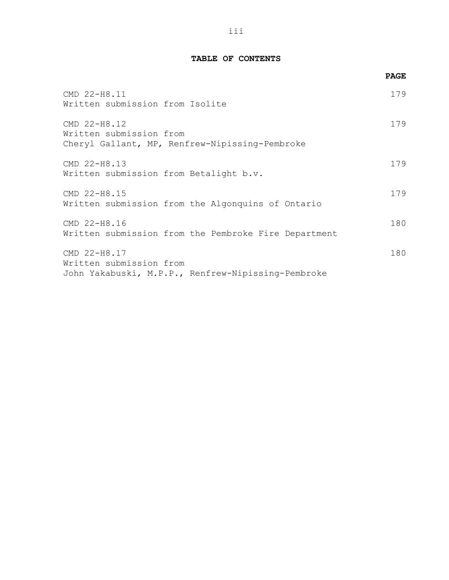### **TABLE OF CONTENTS**

|                                                                                               | <b>PAGE</b> |
|-----------------------------------------------------------------------------------------------|-------------|
| CMD 22-H8.11<br>Written submission from Isolite                                               | 179         |
| CMD 22-H8.12<br>Written submission from<br>Cheryl Gallant, MP, Renfrew-Nipissing-Pembroke     | 179         |
| CMD 22-H8.13<br>Written submission from Betalight b.v.                                        | 179         |
| CMD 22-H8.15<br>Written submission from the Algonquins of Ontario                             | 179         |
| CMD 22-H8.16<br>Written submission from the Pembroke Fire Department                          | 180         |
| CMD 22-H8.17<br>Written submission from<br>John Yakabuski, M.P.P., Renfrew-Nipissing-Pembroke | 180         |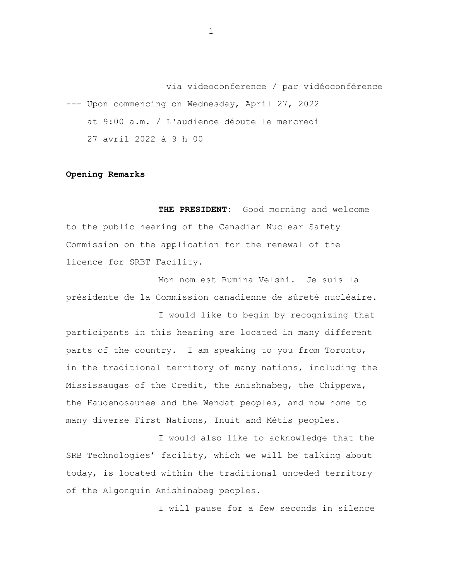via videoconference / par vidéoconférence --- Upon commencing on Wednesday, April 27, 2022 at 9:00 a.m. / L'audience débute le mercredi 27 avril 2022 à 9 h 00

#### **Opening Remarks**

**THE PRESIDENT:** Good morning and welcome to the public hearing of the Canadian Nuclear Safety Commission on the application for the renewal of the licence for SRBT Facility.

Mon nom est Rumina Velshi. Je suis la présidente de la Commission canadienne de sûreté nucléaire.

I would like to begin by recognizing that participants in this hearing are located in many different parts of the country. I am speaking to you from Toronto, in the traditional territory of many nations, including the Mississaugas of the Credit, the Anishnabeg, the Chippewa, the Haudenosaunee and the Wendat peoples, and now home to many diverse First Nations, Inuit and Métis peoples.

I would also like to acknowledge that the SRB Technologies' facility, which we will be talking about today, is located within the traditional unceded territory of the Algonquin Anishinabeg peoples.

I will pause for a few seconds in silence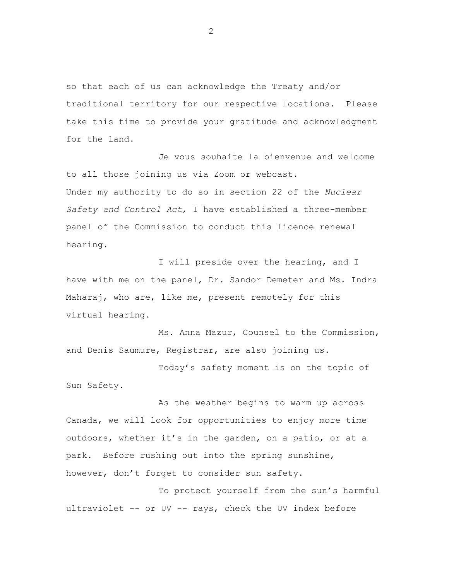so that each of us can acknowledge the Treaty and/or traditional territory for our respective locations. Please take this time to provide your gratitude and acknowledgment for the land.

Je vous souhaite la bienvenue and welcome to all those joining us via Zoom or webcast. Under my authority to do so in section 22 of the *Nuclear Safety and Control Act*, I have established a three-member panel of the Commission to conduct this licence renewal hearing.

I will preside over the hearing, and I have with me on the panel, Dr. Sandor Demeter and Ms. Indra Maharaj, who are, like me, present remotely for this virtual hearing.

Ms. Anna Mazur, Counsel to the Commission, and Denis Saumure, Registrar, are also joining us.

Today's safety moment is on the topic of Sun Safety.

As the weather begins to warm up across Canada, we will look for opportunities to enjoy more time outdoors, whether it's in the garden, on a patio, or at a park. Before rushing out into the spring sunshine, however, don't forget to consider sun safety.

To protect yourself from the sun's harmful ultraviolet -- or UV -- rays, check the UV index before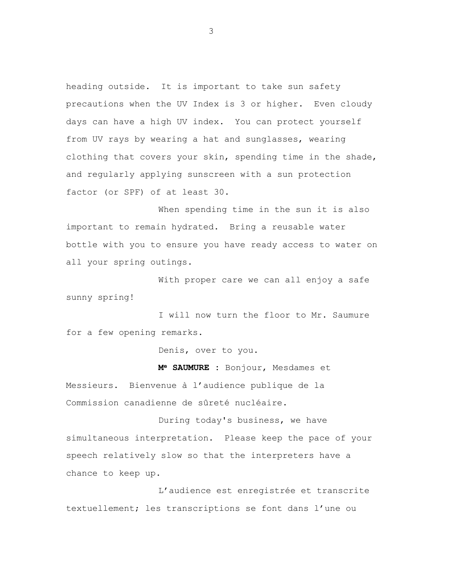heading outside. It is important to take sun safety precautions when the UV Index is 3 or higher. Even cloudy days can have a high UV index. You can protect yourself from UV rays by wearing a hat and sunglasses, wearing clothing that covers your skin, spending time in the shade, and regularly applying sunscreen with a sun protection factor (or SPF) of at least 30.

When spending time in the sun it is also important to remain hydrated. Bring a reusable water bottle with you to ensure you have ready access to water on all your spring outings.

With proper care we can all enjoy a safe sunny spring!

I will now turn the floor to Mr. Saumure for a few opening remarks.

Denis, over to you.

**M<sup>e</sup> SAUMURE :** Bonjour, Mesdames et

Messieurs. Bienvenue à l'audience publique de la Commission canadienne de sûreté nucléaire.

During today's business, we have simultaneous interpretation. Please keep the pace of your speech relatively slow so that the interpreters have a chance to keep up.

L'audience est enregistrée et transcrite textuellement; les transcriptions se font dans l'une ou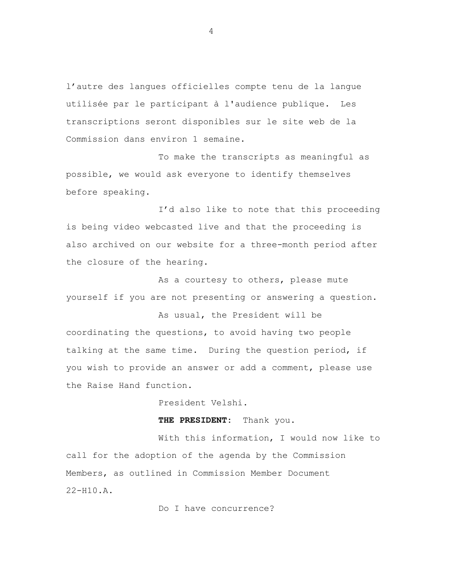l'autre des langues officielles compte tenu de la langue utilisée par le participant à l'audience publique. Les transcriptions seront disponibles sur le site web de la Commission dans environ 1 semaine.

To make the transcripts as meaningful as possible, we would ask everyone to identify themselves before speaking.

I'd also like to note that this proceeding is being video webcasted live and that the proceeding is also archived on our website for a three-month period after the closure of the hearing.

As a courtesy to others, please mute yourself if you are not presenting or answering a question.

As usual, the President will be coordinating the questions, to avoid having two people talking at the same time. During the question period, if you wish to provide an answer or add a comment, please use the Raise Hand function.

President Velshi.

**THE PRESIDENT:** Thank you.

With this information, I would now like to call for the adoption of the agenda by the Commission Members, as outlined in Commission Member Document 22-H10.A.

Do I have concurrence?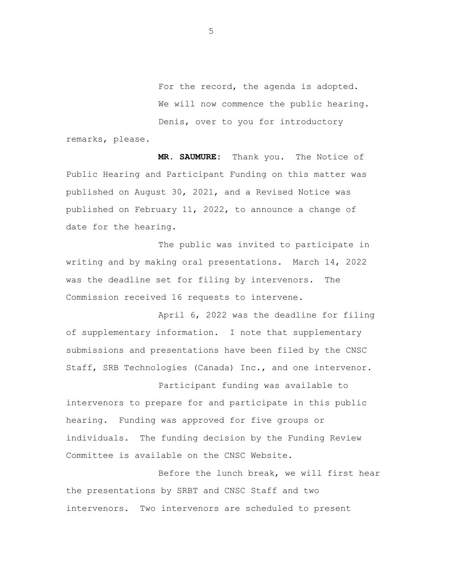For the record, the agenda is adopted. We will now commence the public hearing. Denis, over to you for introductory

remarks, please.

**MR. SAUMURE:** Thank you. The Notice of Public Hearing and Participant Funding on this matter was published on August 30, 2021, and a Revised Notice was published on February 11, 2022, to announce a change of date for the hearing.

The public was invited to participate in writing and by making oral presentations. March 14, 2022 was the deadline set for filing by intervenors. The Commission received 16 requests to intervene.

April 6, 2022 was the deadline for filing of supplementary information. I note that supplementary submissions and presentations have been filed by the CNSC Staff, SRB Technologies (Canada) Inc., and one intervenor.

Participant funding was available to intervenors to prepare for and participate in this public hearing. Funding was approved for five groups or individuals. The funding decision by the Funding Review Committee is available on the CNSC Website.

Before the lunch break, we will first hear the presentations by SRBT and CNSC Staff and two intervenors. Two intervenors are scheduled to present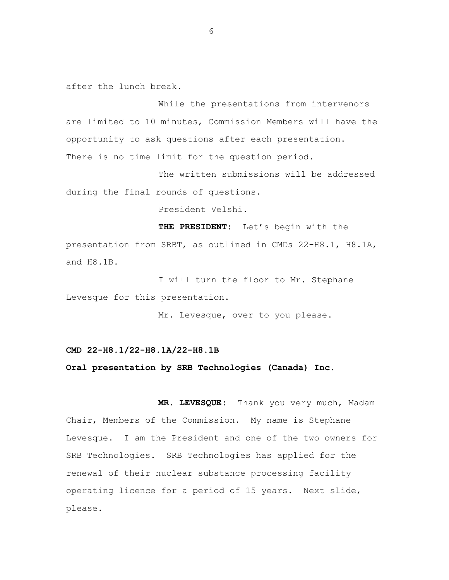after the lunch break.

While the presentations from intervenors are limited to 10 minutes, Commission Members will have the opportunity to ask questions after each presentation. There is no time limit for the question period.

The written submissions will be addressed during the final rounds of questions.

President Velshi.

**THE PRESIDENT:** Let's begin with the presentation from SRBT, as outlined in CMDs 22-H8.1, H8.1A, and H8.1B.

I will turn the floor to Mr. Stephane Levesque for this presentation.

Mr. Levesque, over to you please.

#### **CMD 22-H8.1/22-H8.1A/22-H8.1B**

#### **Oral presentation by SRB Technologies (Canada) Inc.**

**MR. LEVESQUE:** Thank you very much, Madam Chair, Members of the Commission. My name is Stephane Levesque. I am the President and one of the two owners for SRB Technologies. SRB Technologies has applied for the renewal of their nuclear substance processing facility operating licence for a period of 15 years. Next slide, please.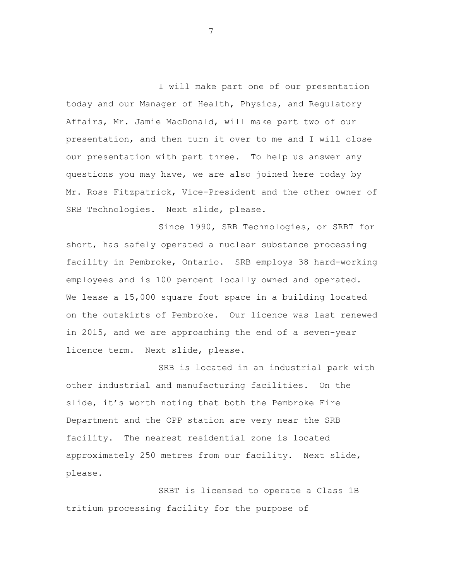I will make part one of our presentation today and our Manager of Health, Physics, and Regulatory Affairs, Mr. Jamie MacDonald, will make part two of our presentation, and then turn it over to me and I will close our presentation with part three. To help us answer any questions you may have, we are also joined here today by Mr. Ross Fitzpatrick, Vice-President and the other owner of SRB Technologies. Next slide, please.

Since 1990, SRB Technologies, or SRBT for short, has safely operated a nuclear substance processing facility in Pembroke, Ontario. SRB employs 38 hard-working employees and is 100 percent locally owned and operated. We lease a 15,000 square foot space in a building located on the outskirts of Pembroke. Our licence was last renewed in 2015, and we are approaching the end of a seven-year licence term. Next slide, please.

SRB is located in an industrial park with other industrial and manufacturing facilities. On the slide, it's worth noting that both the Pembroke Fire Department and the OPP station are very near the SRB facility. The nearest residential zone is located approximately 250 metres from our facility. Next slide, please.

SRBT is licensed to operate a Class 1B tritium processing facility for the purpose of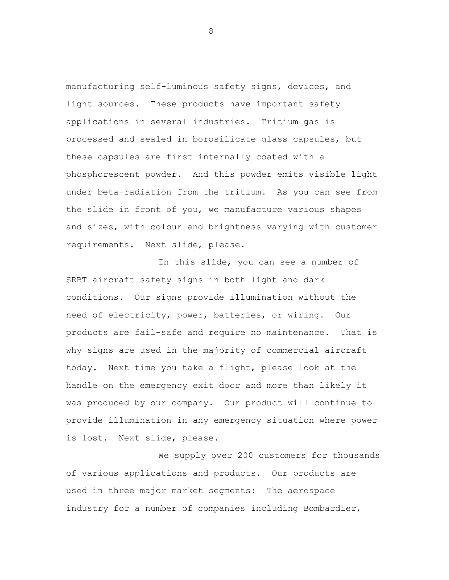manufacturing self-luminous safety signs, devices, and light sources. These products have important safety applications in several industries. Tritium gas is processed and sealed in borosilicate glass capsules, but these capsules are first internally coated with a phosphorescent powder. And this powder emits visible light under beta-radiation from the tritium. As you can see from the slide in front of you, we manufacture various shapes and sizes, with colour and brightness varying with customer requirements. Next slide, please.

In this slide, you can see a number of SRBT aircraft safety signs in both light and dark conditions. Our signs provide illumination without the need of electricity, power, batteries, or wiring. Our products are fail-safe and require no maintenance. That is why signs are used in the majority of commercial aircraft today. Next time you take a flight, please look at the handle on the emergency exit door and more than likely it was produced by our company. Our product will continue to provide illumination in any emergency situation where power is lost. Next slide, please.

We supply over 200 customers for thousands of various applications and products. Our products are used in three major market segments: The aerospace industry for a number of companies including Bombardier,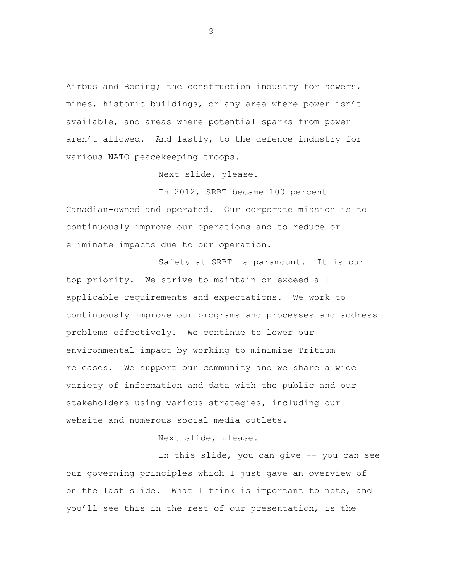Airbus and Boeing; the construction industry for sewers, mines, historic buildings, or any area where power isn't available, and areas where potential sparks from power aren't allowed. And lastly, to the defence industry for various NATO peacekeeping troops.

Next slide, please.

In 2012, SRBT became 100 percent Canadian-owned and operated. Our corporate mission is to continuously improve our operations and to reduce or eliminate impacts due to our operation.

Safety at SRBT is paramount. It is our top priority. We strive to maintain or exceed all applicable requirements and expectations. We work to continuously improve our programs and processes and address problems effectively. We continue to lower our environmental impact by working to minimize Tritium releases. We support our community and we share a wide variety of information and data with the public and our stakeholders using various strategies, including our website and numerous social media outlets.

Next slide, please.

In this slide, you can give -- you can see our governing principles which I just gave an overview of on the last slide. What I think is important to note, and you'll see this in the rest of our presentation, is the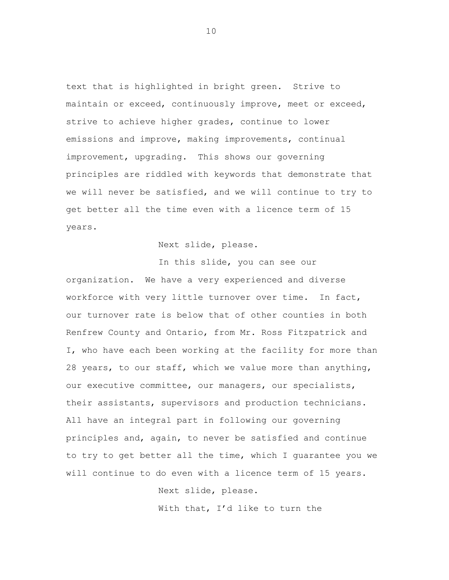text that is highlighted in bright green. Strive to maintain or exceed, continuously improve, meet or exceed, strive to achieve higher grades, continue to lower emissions and improve, making improvements, continual improvement, upgrading. This shows our governing principles are riddled with keywords that demonstrate that we will never be satisfied, and we will continue to try to get better all the time even with a licence term of 15 years.

Next slide, please.

In this slide, you can see our organization. We have a very experienced and diverse workforce with very little turnover over time. In fact, our turnover rate is below that of other counties in both Renfrew County and Ontario, from Mr. Ross Fitzpatrick and I, who have each been working at the facility for more than 28 years, to our staff, which we value more than anything, our executive committee, our managers, our specialists, their assistants, supervisors and production technicians. All have an integral part in following our governing principles and, again, to never be satisfied and continue to try to get better all the time, which I guarantee you we will continue to do even with a licence term of 15 years.

Next slide, please.

With that, I'd like to turn the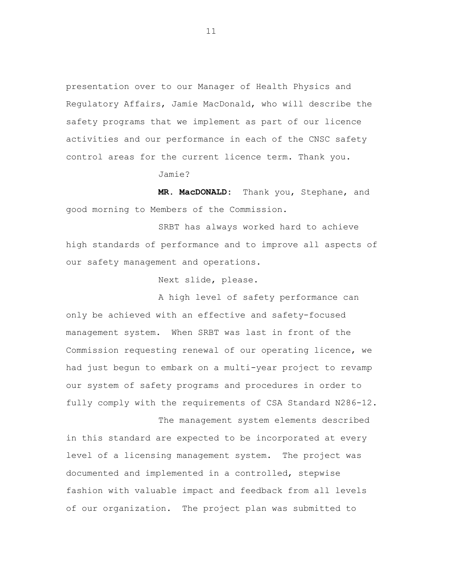presentation over to our Manager of Health Physics and Regulatory Affairs, Jamie MacDonald, who will describe the safety programs that we implement as part of our licence activities and our performance in each of the CNSC safety control areas for the current licence term. Thank you.

Jamie?

**MR. MacDONALD:** Thank you, Stephane, and good morning to Members of the Commission.

SRBT has always worked hard to achieve high standards of performance and to improve all aspects of our safety management and operations.

Next slide, please.

A high level of safety performance can only be achieved with an effective and safety-focused management system. When SRBT was last in front of the Commission requesting renewal of our operating licence, we had just begun to embark on a multi-year project to revamp our system of safety programs and procedures in order to fully comply with the requirements of CSA Standard N286-12.

The management system elements described in this standard are expected to be incorporated at every level of a licensing management system. The project was documented and implemented in a controlled, stepwise fashion with valuable impact and feedback from all levels of our organization. The project plan was submitted to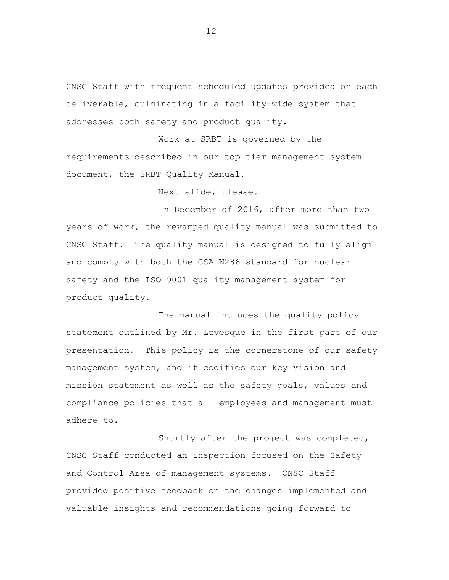CNSC Staff with frequent scheduled updates provided on each deliverable, culminating in a facility-wide system that addresses both safety and product quality.

Work at SRBT is governed by the requirements described in our top tier management system document, the SRBT Quality Manual.

Next slide, please.

In December of 2016, after more than two years of work, the revamped quality manual was submitted to CNSC Staff. The quality manual is designed to fully align and comply with both the CSA N286 standard for nuclear safety and the ISO 9001 quality management system for product quality.

The manual includes the quality policy statement outlined by Mr. Levesque in the first part of our presentation. This policy is the cornerstone of our safety management system, and it codifies our key vision and mission statement as well as the safety goals, values and compliance policies that all employees and management must adhere to.

Shortly after the project was completed, CNSC Staff conducted an inspection focused on the Safety and Control Area of management systems. CNSC Staff provided positive feedback on the changes implemented and valuable insights and recommendations going forward to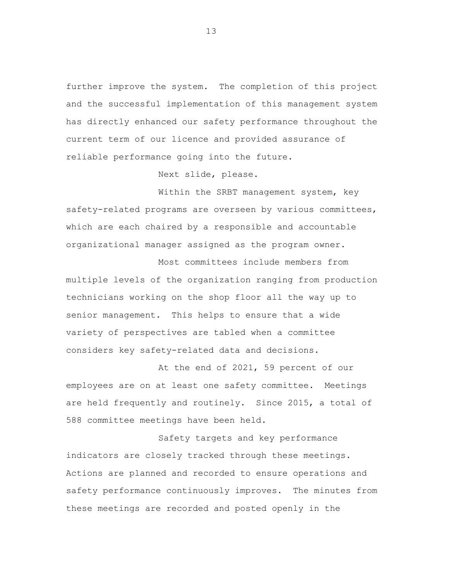further improve the system. The completion of this project and the successful implementation of this management system has directly enhanced our safety performance throughout the current term of our licence and provided assurance of reliable performance going into the future.

Next slide, please.

Within the SRBT management system, key safety-related programs are overseen by various committees, which are each chaired by a responsible and accountable organizational manager assigned as the program owner.

Most committees include members from multiple levels of the organization ranging from production technicians working on the shop floor all the way up to senior management. This helps to ensure that a wide variety of perspectives are tabled when a committee considers key safety-related data and decisions.

At the end of 2021, 59 percent of our employees are on at least one safety committee. Meetings are held frequently and routinely. Since 2015, a total of 588 committee meetings have been held.

Safety targets and key performance indicators are closely tracked through these meetings. Actions are planned and recorded to ensure operations and safety performance continuously improves. The minutes from these meetings are recorded and posted openly in the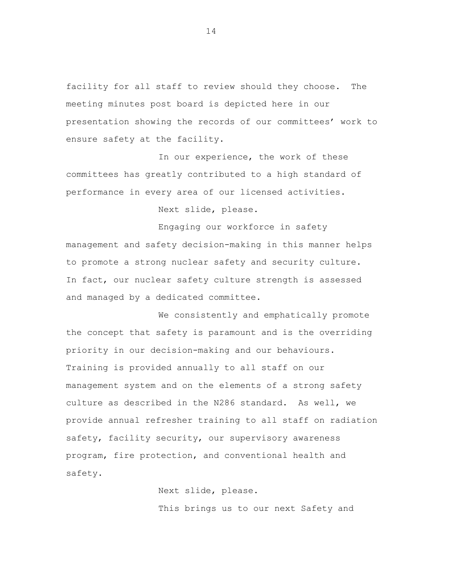facility for all staff to review should they choose. The meeting minutes post board is depicted here in our presentation showing the records of our committees' work to ensure safety at the facility.

In our experience, the work of these committees has greatly contributed to a high standard of performance in every area of our licensed activities.

Next slide, please.

Engaging our workforce in safety management and safety decision-making in this manner helps to promote a strong nuclear safety and security culture. In fact, our nuclear safety culture strength is assessed and managed by a dedicated committee.

We consistently and emphatically promote the concept that safety is paramount and is the overriding priority in our decision-making and our behaviours. Training is provided annually to all staff on our management system and on the elements of a strong safety culture as described in the N286 standard. As well, we provide annual refresher training to all staff on radiation safety, facility security, our supervisory awareness program, fire protection, and conventional health and safety.

> Next slide, please. This brings us to our next Safety and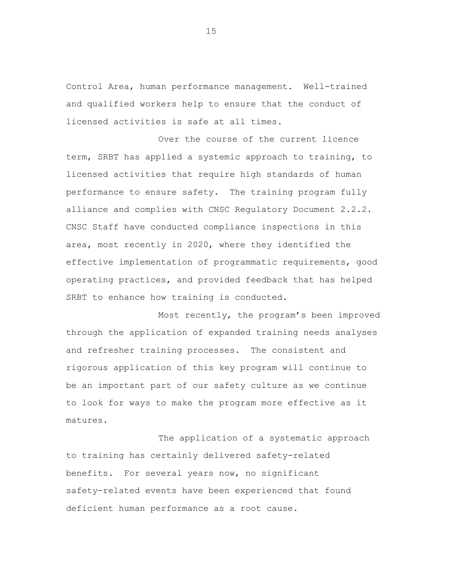Control Area, human performance management. Well-trained and qualified workers help to ensure that the conduct of licensed activities is safe at all times.

Over the course of the current licence term, SRBT has applied a systemic approach to training, to licensed activities that require high standards of human performance to ensure safety. The training program fully alliance and complies with CNSC Regulatory Document 2.2.2. CNSC Staff have conducted compliance inspections in this area, most recently in 2020, where they identified the effective implementation of programmatic requirements, good operating practices, and provided feedback that has helped SRBT to enhance how training is conducted.

Most recently, the program's been improved through the application of expanded training needs analyses and refresher training processes. The consistent and rigorous application of this key program will continue to be an important part of our safety culture as we continue to look for ways to make the program more effective as it matures.

The application of a systematic approach to training has certainly delivered safety-related benefits. For several years now, no significant safety-related events have been experienced that found deficient human performance as a root cause.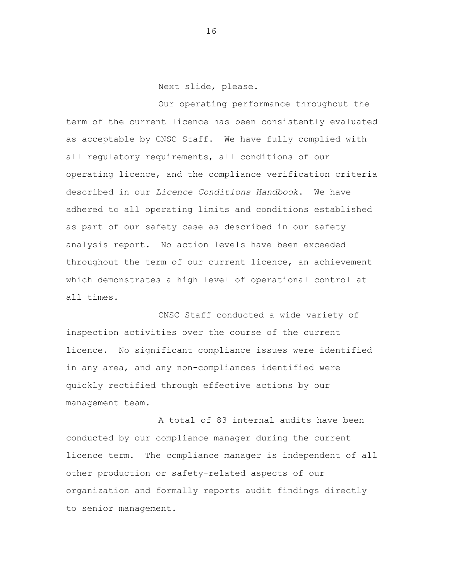Next slide, please.

Our operating performance throughout the term of the current licence has been consistently evaluated as acceptable by CNSC Staff. We have fully complied with all regulatory requirements, all conditions of our operating licence, and the compliance verification criteria described in our *Licence Conditions Handbook*. We have adhered to all operating limits and conditions established as part of our safety case as described in our safety analysis report. No action levels have been exceeded throughout the term of our current licence, an achievement which demonstrates a high level of operational control at all times.

CNSC Staff conducted a wide variety of inspection activities over the course of the current licence. No significant compliance issues were identified in any area, and any non-compliances identified were quickly rectified through effective actions by our management team.

A total of 83 internal audits have been conducted by our compliance manager during the current licence term. The compliance manager is independent of all other production or safety-related aspects of our organization and formally reports audit findings directly to senior management.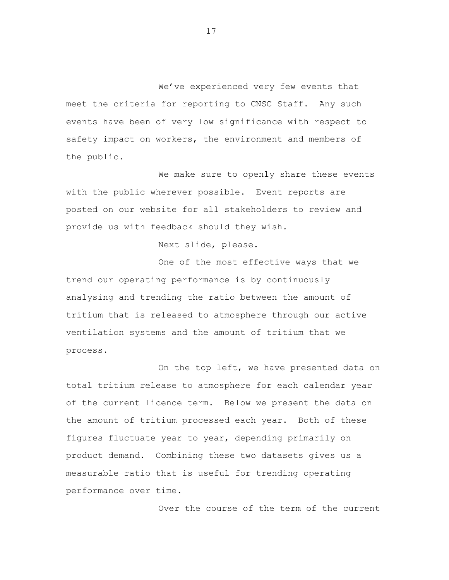We've experienced very few events that meet the criteria for reporting to CNSC Staff. Any such events have been of very low significance with respect to safety impact on workers, the environment and members of the public.

We make sure to openly share these events with the public wherever possible. Event reports are posted on our website for all stakeholders to review and provide us with feedback should they wish.

Next slide, please.

One of the most effective ways that we trend our operating performance is by continuously analysing and trending the ratio between the amount of tritium that is released to atmosphere through our active ventilation systems and the amount of tritium that we process.

On the top left, we have presented data on total tritium release to atmosphere for each calendar year of the current licence term. Below we present the data on the amount of tritium processed each year. Both of these figures fluctuate year to year, depending primarily on product demand. Combining these two datasets gives us a measurable ratio that is useful for trending operating performance over time.

Over the course of the term of the current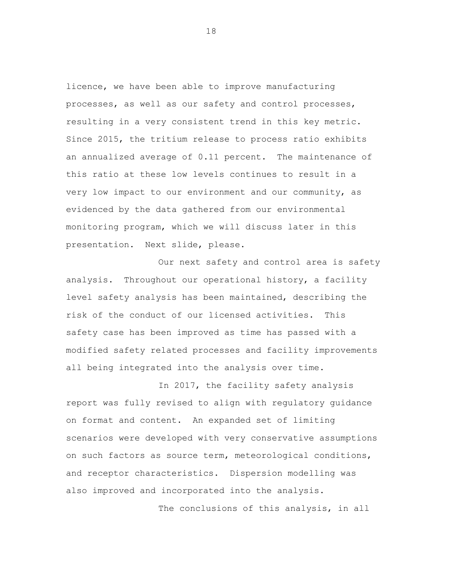licence, we have been able to improve manufacturing processes, as well as our safety and control processes, resulting in a very consistent trend in this key metric. Since 2015, the tritium release to process ratio exhibits an annualized average of 0.11 percent. The maintenance of this ratio at these low levels continues to result in a very low impact to our environment and our community, as evidenced by the data gathered from our environmental monitoring program, which we will discuss later in this presentation. Next slide, please.

Our next safety and control area is safety analysis. Throughout our operational history, a facility level safety analysis has been maintained, describing the risk of the conduct of our licensed activities. This safety case has been improved as time has passed with a modified safety related processes and facility improvements all being integrated into the analysis over time.

In 2017, the facility safety analysis report was fully revised to align with regulatory guidance on format and content. An expanded set of limiting scenarios were developed with very conservative assumptions on such factors as source term, meteorological conditions, and receptor characteristics. Dispersion modelling was also improved and incorporated into the analysis.

The conclusions of this analysis, in all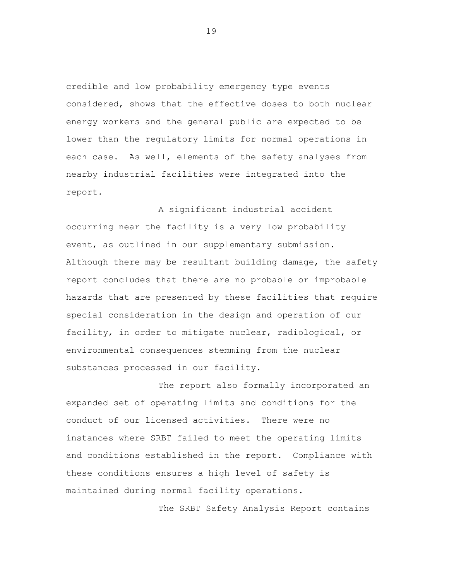credible and low probability emergency type events considered, shows that the effective doses to both nuclear energy workers and the general public are expected to be lower than the regulatory limits for normal operations in each case. As well, elements of the safety analyses from nearby industrial facilities were integrated into the report.

A significant industrial accident occurring near the facility is a very low probability event, as outlined in our supplementary submission. Although there may be resultant building damage, the safety report concludes that there are no probable or improbable hazards that are presented by these facilities that require special consideration in the design and operation of our facility, in order to mitigate nuclear, radiological, or environmental consequences stemming from the nuclear substances processed in our facility.

The report also formally incorporated an expanded set of operating limits and conditions for the conduct of our licensed activities. There were no instances where SRBT failed to meet the operating limits and conditions established in the report. Compliance with these conditions ensures a high level of safety is maintained during normal facility operations.

The SRBT Safety Analysis Report contains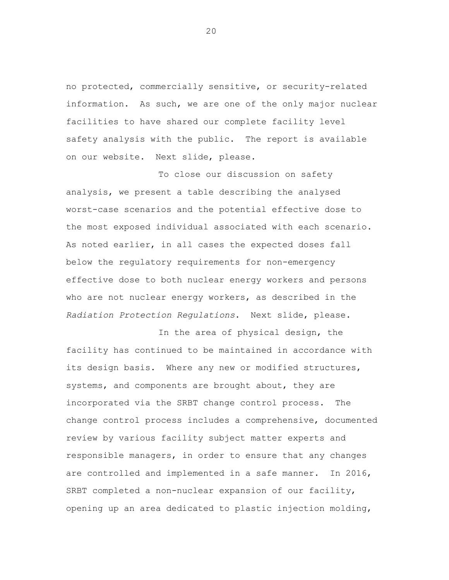no protected, commercially sensitive, or security-related information. As such, we are one of the only major nuclear facilities to have shared our complete facility level safety analysis with the public. The report is available on our website. Next slide, please.

To close our discussion on safety analysis, we present a table describing the analysed worst-case scenarios and the potential effective dose to the most exposed individual associated with each scenario. As noted earlier, in all cases the expected doses fall below the regulatory requirements for non-emergency effective dose to both nuclear energy workers and persons who are not nuclear energy workers, as described in the *Radiation Protection Regulations*. Next slide, please.

In the area of physical design, the facility has continued to be maintained in accordance with its design basis. Where any new or modified structures, systems, and components are brought about, they are incorporated via the SRBT change control process. The change control process includes a comprehensive, documented review by various facility subject matter experts and responsible managers, in order to ensure that any changes are controlled and implemented in a safe manner. In 2016, SRBT completed a non-nuclear expansion of our facility, opening up an area dedicated to plastic injection molding,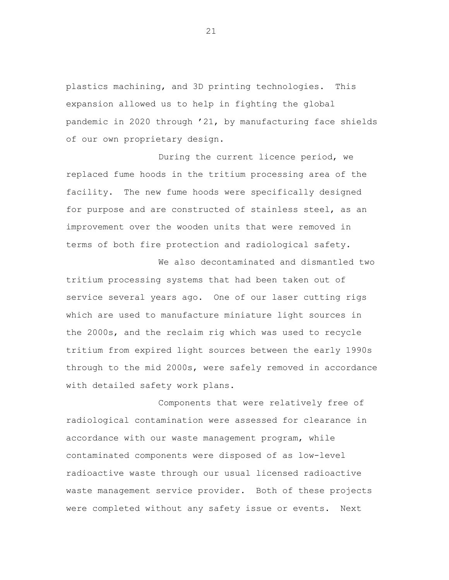plastics machining, and 3D printing technologies. This expansion allowed us to help in fighting the global pandemic in 2020 through '21, by manufacturing face shields of our own proprietary design.

During the current licence period, we replaced fume hoods in the tritium processing area of the facility. The new fume hoods were specifically designed for purpose and are constructed of stainless steel, as an improvement over the wooden units that were removed in terms of both fire protection and radiological safety.

We also decontaminated and dismantled two tritium processing systems that had been taken out of service several years ago. One of our laser cutting rigs which are used to manufacture miniature light sources in the 2000s, and the reclaim rig which was used to recycle tritium from expired light sources between the early 1990s through to the mid 2000s, were safely removed in accordance with detailed safety work plans.

Components that were relatively free of radiological contamination were assessed for clearance in accordance with our waste management program, while contaminated components were disposed of as low-level radioactive waste through our usual licensed radioactive waste management service provider. Both of these projects were completed without any safety issue or events. Next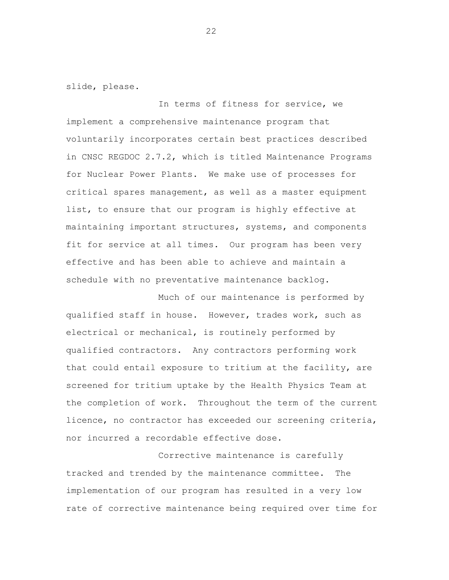slide, please.

In terms of fitness for service, we implement a comprehensive maintenance program that voluntarily incorporates certain best practices described in CNSC REGDOC 2.7.2, which is titled Maintenance Programs for Nuclear Power Plants. We make use of processes for critical spares management, as well as a master equipment list, to ensure that our program is highly effective at maintaining important structures, systems, and components fit for service at all times. Our program has been very effective and has been able to achieve and maintain a schedule with no preventative maintenance backlog.

Much of our maintenance is performed by qualified staff in house. However, trades work, such as electrical or mechanical, is routinely performed by qualified contractors. Any contractors performing work that could entail exposure to tritium at the facility, are screened for tritium uptake by the Health Physics Team at the completion of work. Throughout the term of the current licence, no contractor has exceeded our screening criteria, nor incurred a recordable effective dose.

Corrective maintenance is carefully tracked and trended by the maintenance committee. The implementation of our program has resulted in a very low rate of corrective maintenance being required over time for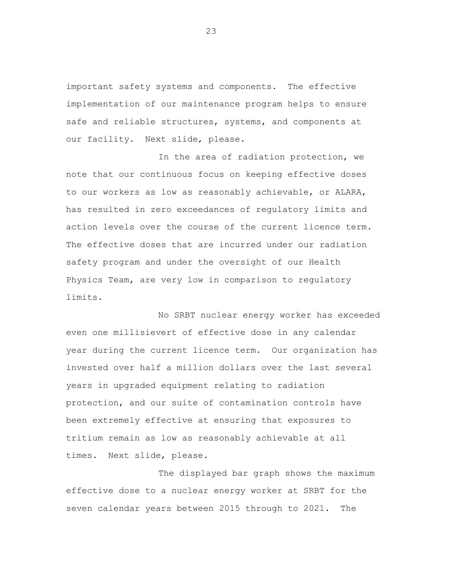important safety systems and components. The effective implementation of our maintenance program helps to ensure safe and reliable structures, systems, and components at our facility. Next slide, please.

In the area of radiation protection, we note that our continuous focus on keeping effective doses to our workers as low as reasonably achievable, or ALARA, has resulted in zero exceedances of regulatory limits and action levels over the course of the current licence term. The effective doses that are incurred under our radiation safety program and under the oversight of our Health Physics Team, are very low in comparison to regulatory limits.

No SRBT nuclear energy worker has exceeded even one millisievert of effective dose in any calendar year during the current licence term. Our organization has invested over half a million dollars over the last several years in upgraded equipment relating to radiation protection, and our suite of contamination controls have been extremely effective at ensuring that exposures to tritium remain as low as reasonably achievable at all times. Next slide, please.

The displayed bar graph shows the maximum effective dose to a nuclear energy worker at SRBT for the seven calendar years between 2015 through to 2021. The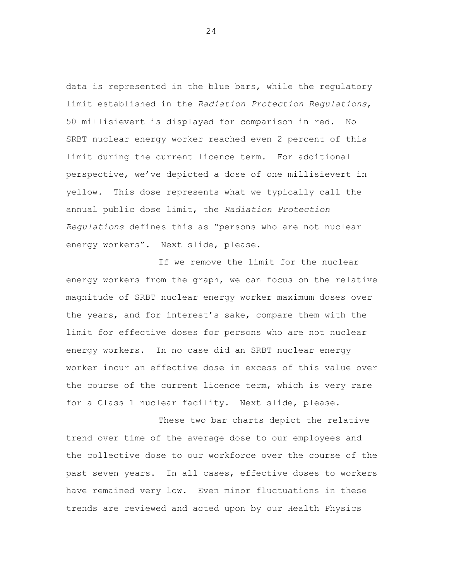data is represented in the blue bars, while the regulatory limit established in the *Radiation Protection Regulations*, 50 millisievert is displayed for comparison in red. No SRBT nuclear energy worker reached even 2 percent of this limit during the current licence term. For additional perspective, we've depicted a dose of one millisievert in yellow. This dose represents what we typically call the annual public dose limit, the *Radiation Protection Regulations* defines this as "persons who are not nuclear energy workers". Next slide, please.

If we remove the limit for the nuclear energy workers from the graph, we can focus on the relative magnitude of SRBT nuclear energy worker maximum doses over the years, and for interest's sake, compare them with the limit for effective doses for persons who are not nuclear energy workers. In no case did an SRBT nuclear energy worker incur an effective dose in excess of this value over the course of the current licence term, which is very rare for a Class 1 nuclear facility. Next slide, please.

These two bar charts depict the relative trend over time of the average dose to our employees and the collective dose to our workforce over the course of the past seven years. In all cases, effective doses to workers have remained very low. Even minor fluctuations in these trends are reviewed and acted upon by our Health Physics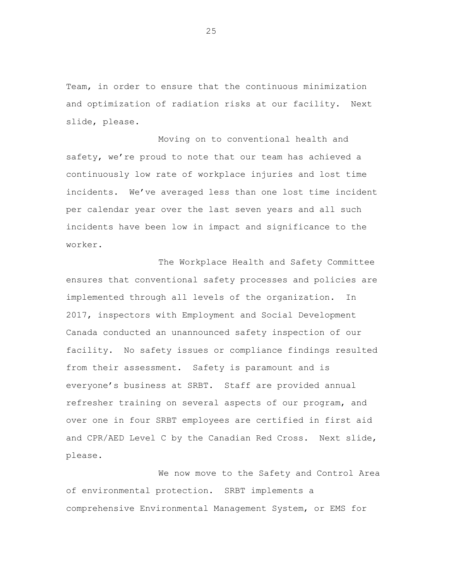Team, in order to ensure that the continuous minimization and optimization of radiation risks at our facility. Next slide, please.

Moving on to conventional health and safety, we're proud to note that our team has achieved a continuously low rate of workplace injuries and lost time incidents. We've averaged less than one lost time incident per calendar year over the last seven years and all such incidents have been low in impact and significance to the worker.

The Workplace Health and Safety Committee ensures that conventional safety processes and policies are implemented through all levels of the organization. In 2017, inspectors with Employment and Social Development Canada conducted an unannounced safety inspection of our facility. No safety issues or compliance findings resulted from their assessment. Safety is paramount and is everyone's business at SRBT. Staff are provided annual refresher training on several aspects of our program, and over one in four SRBT employees are certified in first aid and CPR/AED Level C by the Canadian Red Cross. Next slide, please.

We now move to the Safety and Control Area of environmental protection. SRBT implements a comprehensive Environmental Management System, or EMS for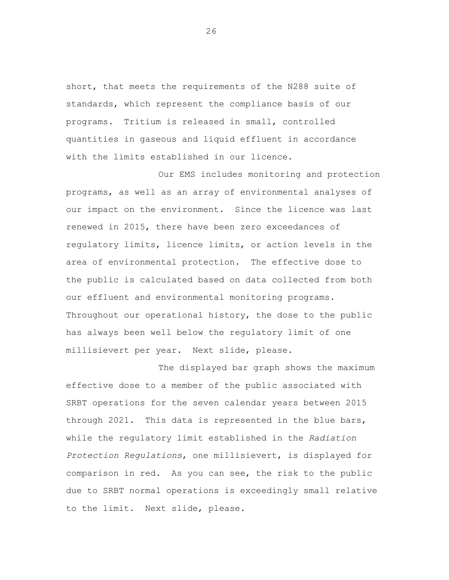short, that meets the requirements of the N288 suite of standards, which represent the compliance basis of our programs. Tritium is released in small, controlled quantities in gaseous and liquid effluent in accordance with the limits established in our licence.

Our EMS includes monitoring and protection programs, as well as an array of environmental analyses of our impact on the environment. Since the licence was last renewed in 2015, there have been zero exceedances of regulatory limits, licence limits, or action levels in the area of environmental protection. The effective dose to the public is calculated based on data collected from both our effluent and environmental monitoring programs. Throughout our operational history, the dose to the public has always been well below the regulatory limit of one millisievert per year. Next slide, please.

The displayed bar graph shows the maximum effective dose to a member of the public associated with SRBT operations for the seven calendar years between 2015 through 2021. This data is represented in the blue bars, while the regulatory limit established in the *Radiation Protection Regulations*, one millisievert, is displayed for comparison in red. As you can see, the risk to the public due to SRBT normal operations is exceedingly small relative to the limit. Next slide, please.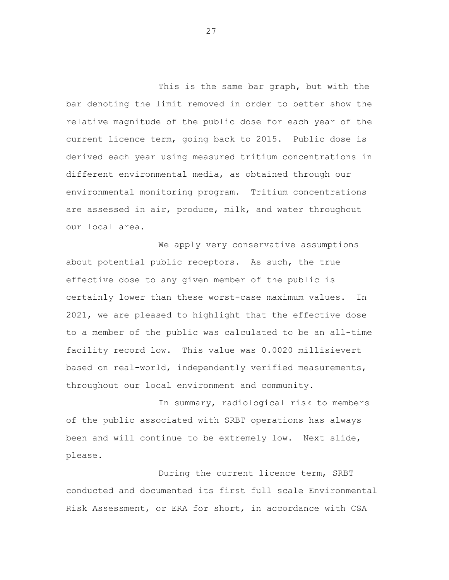This is the same bar graph, but with the bar denoting the limit removed in order to better show the relative magnitude of the public dose for each year of the current licence term, going back to 2015. Public dose is derived each year using measured tritium concentrations in different environmental media, as obtained through our environmental monitoring program. Tritium concentrations are assessed in air, produce, milk, and water throughout our local area.

We apply very conservative assumptions about potential public receptors. As such, the true effective dose to any given member of the public is certainly lower than these worst-case maximum values. In 2021, we are pleased to highlight that the effective dose to a member of the public was calculated to be an all-time facility record low. This value was 0.0020 millisievert based on real-world, independently verified measurements, throughout our local environment and community.

In summary, radiological risk to members of the public associated with SRBT operations has always been and will continue to be extremely low. Next slide, please.

During the current licence term, SRBT conducted and documented its first full scale Environmental Risk Assessment, or ERA for short, in accordance with CSA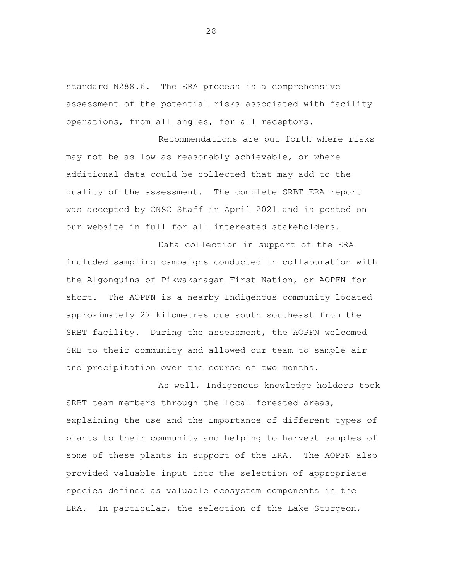standard N288.6. The ERA process is a comprehensive assessment of the potential risks associated with facility operations, from all angles, for all receptors.

Recommendations are put forth where risks may not be as low as reasonably achievable, or where additional data could be collected that may add to the quality of the assessment. The complete SRBT ERA report was accepted by CNSC Staff in April 2021 and is posted on our website in full for all interested stakeholders.

Data collection in support of the ERA included sampling campaigns conducted in collaboration with the Algonquins of Pikwakanagan First Nation, or AOPFN for short. The AOPFN is a nearby Indigenous community located approximately 27 kilometres due south southeast from the SRBT facility. During the assessment, the AOPFN welcomed SRB to their community and allowed our team to sample air and precipitation over the course of two months.

As well, Indigenous knowledge holders took SRBT team members through the local forested areas, explaining the use and the importance of different types of plants to their community and helping to harvest samples of some of these plants in support of the ERA. The AOPFN also provided valuable input into the selection of appropriate species defined as valuable ecosystem components in the ERA. In particular, the selection of the Lake Sturgeon,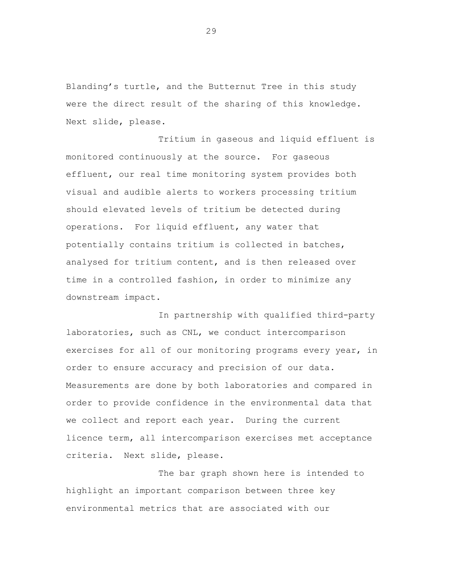Blanding's turtle, and the Butternut Tree in this study were the direct result of the sharing of this knowledge. Next slide, please.

Tritium in gaseous and liquid effluent is monitored continuously at the source. For gaseous effluent, our real time monitoring system provides both visual and audible alerts to workers processing tritium should elevated levels of tritium be detected during operations. For liquid effluent, any water that potentially contains tritium is collected in batches, analysed for tritium content, and is then released over time in a controlled fashion, in order to minimize any downstream impact.

In partnership with qualified third-party laboratories, such as CNL, we conduct intercomparison exercises for all of our monitoring programs every year, in order to ensure accuracy and precision of our data. Measurements are done by both laboratories and compared in order to provide confidence in the environmental data that we collect and report each year. During the current licence term, all intercomparison exercises met acceptance criteria. Next slide, please.

The bar graph shown here is intended to highlight an important comparison between three key environmental metrics that are associated with our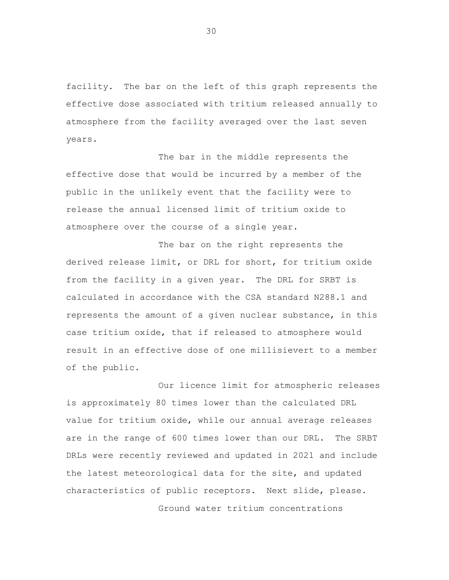facility. The bar on the left of this graph represents the effective dose associated with tritium released annually to atmosphere from the facility averaged over the last seven years.

The bar in the middle represents the effective dose that would be incurred by a member of the public in the unlikely event that the facility were to release the annual licensed limit of tritium oxide to atmosphere over the course of a single year.

The bar on the right represents the derived release limit, or DRL for short, for tritium oxide from the facility in a given year. The DRL for SRBT is calculated in accordance with the CSA standard N288.1 and represents the amount of a given nuclear substance, in this case tritium oxide, that if released to atmosphere would result in an effective dose of one millisievert to a member of the public.

Our licence limit for atmospheric releases is approximately 80 times lower than the calculated DRL value for tritium oxide, while our annual average releases are in the range of 600 times lower than our DRL. The SRBT DRLs were recently reviewed and updated in 2021 and include the latest meteorological data for the site, and updated characteristics of public receptors. Next slide, please. Ground water tritium concentrations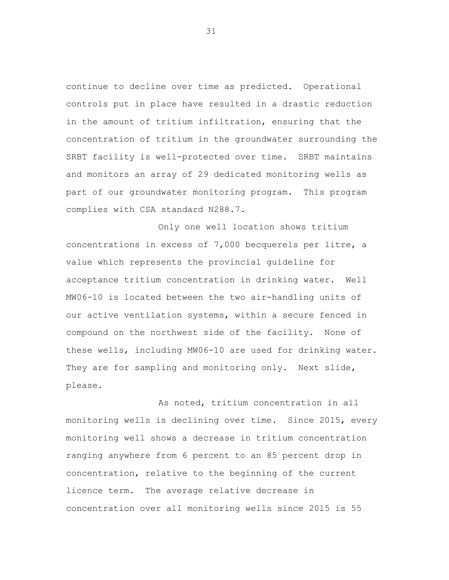continue to decline over time as predicted. Operational controls put in place have resulted in a drastic reduction in the amount of tritium infiltration, ensuring that the concentration of tritium in the groundwater surrounding the SRBT facility is well-protected over time. SRBT maintains and monitors an array of 29 dedicated monitoring wells as part of our groundwater monitoring program. This program complies with CSA standard N288.7.

Only one well location shows tritium concentrations in excess of 7,000 becquerels per litre, a value which represents the provincial guideline for acceptance tritium concentration in drinking water. Well MW06-10 is located between the two air-handling units of our active ventilation systems, within a secure fenced in compound on the northwest side of the facility. None of these wells, including MW06-10 are used for drinking water. They are for sampling and monitoring only. Next slide, please.

As noted, tritium concentration in all monitoring wells is declining over time. Since 2015, every monitoring well shows a decrease in tritium concentration ranging anywhere from 6 percent to an 85 percent drop in concentration, relative to the beginning of the current licence term. The average relative decrease in concentration over all monitoring wells since 2015 is 55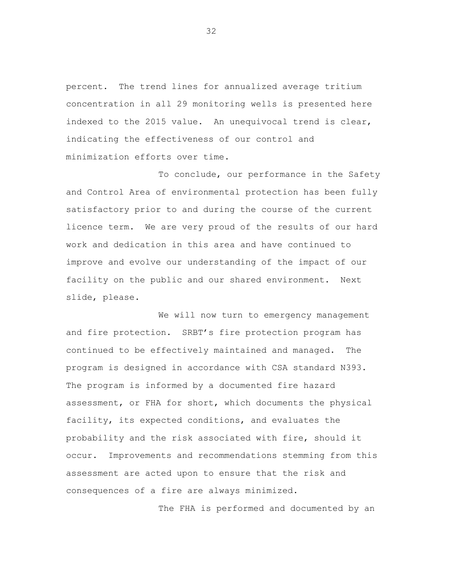percent. The trend lines for annualized average tritium concentration in all 29 monitoring wells is presented here indexed to the 2015 value. An unequivocal trend is clear, indicating the effectiveness of our control and minimization efforts over time.

To conclude, our performance in the Safety and Control Area of environmental protection has been fully satisfactory prior to and during the course of the current licence term. We are very proud of the results of our hard work and dedication in this area and have continued to improve and evolve our understanding of the impact of our facility on the public and our shared environment. Next slide, please.

We will now turn to emergency management and fire protection. SRBT's fire protection program has continued to be effectively maintained and managed. The program is designed in accordance with CSA standard N393. The program is informed by a documented fire hazard assessment, or FHA for short, which documents the physical facility, its expected conditions, and evaluates the probability and the risk associated with fire, should it occur. Improvements and recommendations stemming from this assessment are acted upon to ensure that the risk and consequences of a fire are always minimized.

The FHA is performed and documented by an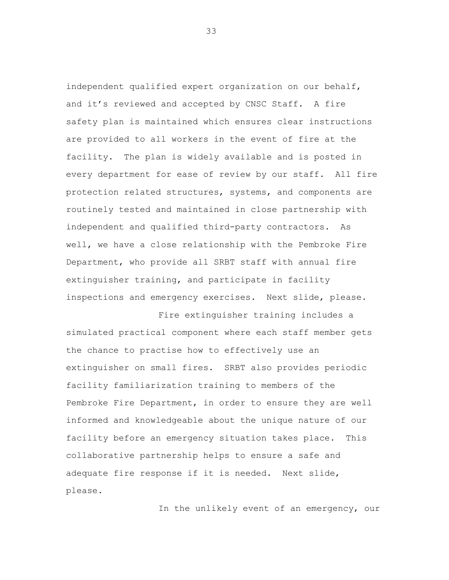independent qualified expert organization on our behalf, and it's reviewed and accepted by CNSC Staff. A fire safety plan is maintained which ensures clear instructions are provided to all workers in the event of fire at the facility. The plan is widely available and is posted in every department for ease of review by our staff. All fire protection related structures, systems, and components are routinely tested and maintained in close partnership with independent and qualified third-party contractors. As well, we have a close relationship with the Pembroke Fire Department, who provide all SRBT staff with annual fire extinguisher training, and participate in facility inspections and emergency exercises. Next slide, please.

Fire extinguisher training includes a simulated practical component where each staff member gets the chance to practise how to effectively use an extinguisher on small fires. SRBT also provides periodic facility familiarization training to members of the Pembroke Fire Department, in order to ensure they are well informed and knowledgeable about the unique nature of our facility before an emergency situation takes place. This collaborative partnership helps to ensure a safe and adequate fire response if it is needed. Next slide, please.

In the unlikely event of an emergency, our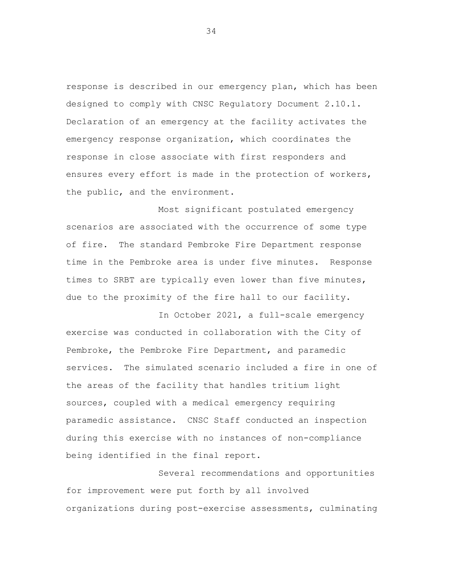response is described in our emergency plan, which has been designed to comply with CNSC Regulatory Document 2.10.1. Declaration of an emergency at the facility activates the emergency response organization, which coordinates the response in close associate with first responders and ensures every effort is made in the protection of workers, the public, and the environment.

Most significant postulated emergency scenarios are associated with the occurrence of some type of fire. The standard Pembroke Fire Department response time in the Pembroke area is under five minutes. Response times to SRBT are typically even lower than five minutes, due to the proximity of the fire hall to our facility.

In October 2021, a full-scale emergency exercise was conducted in collaboration with the City of Pembroke, the Pembroke Fire Department, and paramedic services. The simulated scenario included a fire in one of the areas of the facility that handles tritium light sources, coupled with a medical emergency requiring paramedic assistance. CNSC Staff conducted an inspection during this exercise with no instances of non-compliance being identified in the final report.

Several recommendations and opportunities for improvement were put forth by all involved organizations during post-exercise assessments, culminating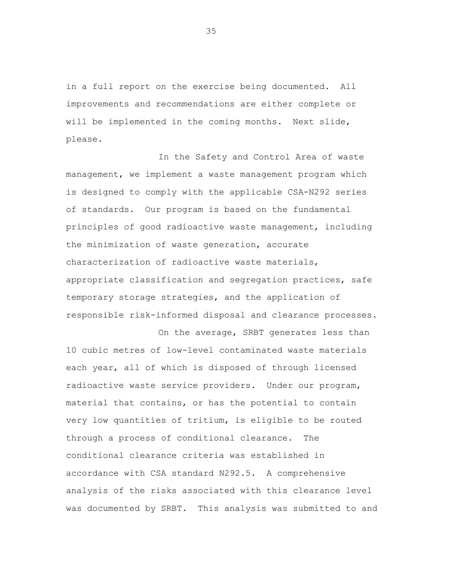in a full report on the exercise being documented. All improvements and recommendations are either complete or will be implemented in the coming months. Next slide, please.

In the Safety and Control Area of waste management, we implement a waste management program which is designed to comply with the applicable CSA-N292 series of standards. Our program is based on the fundamental principles of good radioactive waste management, including the minimization of waste generation, accurate characterization of radioactive waste materials, appropriate classification and segregation practices, safe temporary storage strategies, and the application of responsible risk-informed disposal and clearance processes.

On the average, SRBT generates less than 10 cubic metres of low-level contaminated waste materials each year, all of which is disposed of through licensed radioactive waste service providers. Under our program, material that contains, or has the potential to contain very low quantities of tritium, is eligible to be routed through a process of conditional clearance. The conditional clearance criteria was established in accordance with CSA standard N292.5. A comprehensive analysis of the risks associated with this clearance level was documented by SRBT. This analysis was submitted to and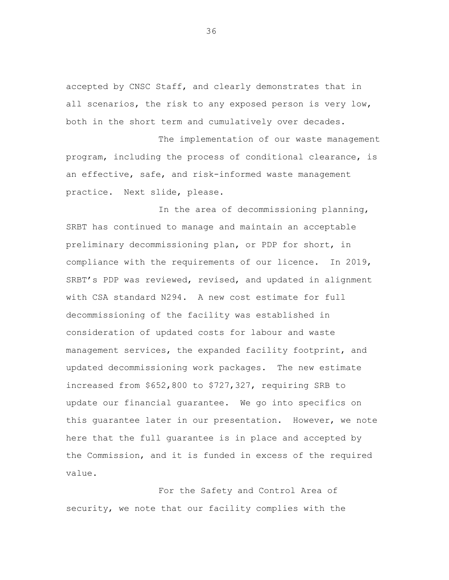accepted by CNSC Staff, and clearly demonstrates that in all scenarios, the risk to any exposed person is very low, both in the short term and cumulatively over decades.

The implementation of our waste management program, including the process of conditional clearance, is an effective, safe, and risk-informed waste management practice. Next slide, please.

In the area of decommissioning planning, SRBT has continued to manage and maintain an acceptable preliminary decommissioning plan, or PDP for short, in compliance with the requirements of our licence. In 2019, SRBT's PDP was reviewed, revised, and updated in alignment with CSA standard N294. A new cost estimate for full decommissioning of the facility was established in consideration of updated costs for labour and waste management services, the expanded facility footprint, and updated decommissioning work packages. The new estimate increased from \$652,800 to \$727,327, requiring SRB to update our financial guarantee. We go into specifics on this guarantee later in our presentation. However, we note here that the full guarantee is in place and accepted by the Commission, and it is funded in excess of the required value.

For the Safety and Control Area of security, we note that our facility complies with the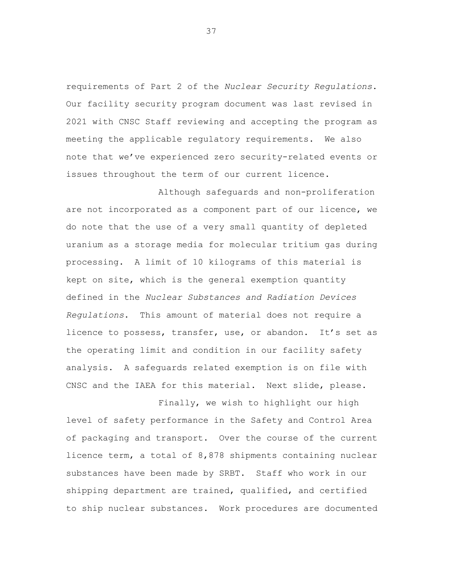requirements of Part 2 of the *Nuclear Security Regulations*. Our facility security program document was last revised in 2021 with CNSC Staff reviewing and accepting the program as meeting the applicable regulatory requirements. We also note that we've experienced zero security-related events or issues throughout the term of our current licence.

Although safeguards and non-proliferation are not incorporated as a component part of our licence, we do note that the use of a very small quantity of depleted uranium as a storage media for molecular tritium gas during processing. A limit of 10 kilograms of this material is kept on site, which is the general exemption quantity defined in the *Nuclear Substances and Radiation Devices Regulations*. This amount of material does not require a licence to possess, transfer, use, or abandon. It's set as the operating limit and condition in our facility safety analysis. A safeguards related exemption is on file with CNSC and the IAEA for this material. Next slide, please.

Finally, we wish to highlight our high level of safety performance in the Safety and Control Area of packaging and transport. Over the course of the current licence term, a total of 8,878 shipments containing nuclear substances have been made by SRBT. Staff who work in our shipping department are trained, qualified, and certified to ship nuclear substances. Work procedures are documented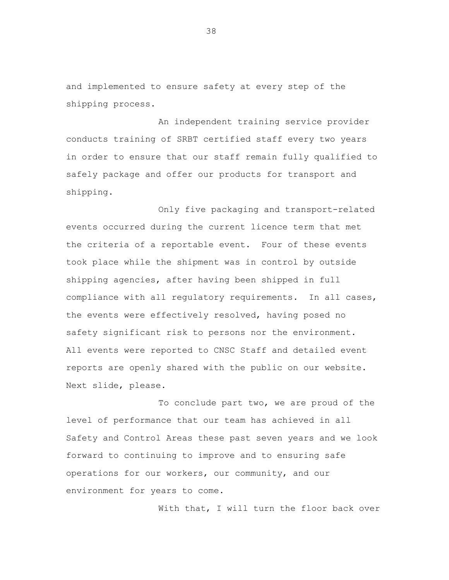and implemented to ensure safety at every step of the shipping process.

An independent training service provider conducts training of SRBT certified staff every two years in order to ensure that our staff remain fully qualified to safely package and offer our products for transport and shipping.

Only five packaging and transport-related events occurred during the current licence term that met the criteria of a reportable event. Four of these events took place while the shipment was in control by outside shipping agencies, after having been shipped in full compliance with all regulatory requirements. In all cases, the events were effectively resolved, having posed no safety significant risk to persons nor the environment. All events were reported to CNSC Staff and detailed event reports are openly shared with the public on our website. Next slide, please.

To conclude part two, we are proud of the level of performance that our team has achieved in all Safety and Control Areas these past seven years and we look forward to continuing to improve and to ensuring safe operations for our workers, our community, and our environment for years to come.

With that, I will turn the floor back over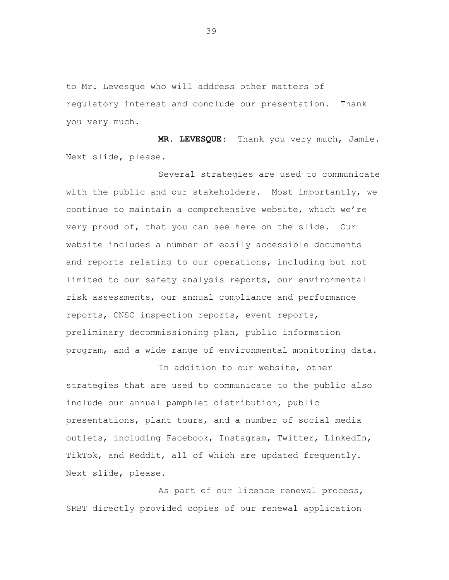to Mr. Levesque who will address other matters of regulatory interest and conclude our presentation. Thank you very much.

**MR. LEVESQUE:** Thank you very much, Jamie. Next slide, please.

Several strategies are used to communicate with the public and our stakeholders. Most importantly, we continue to maintain a comprehensive website, which we're very proud of, that you can see here on the slide. Our website includes a number of easily accessible documents and reports relating to our operations, including but not limited to our safety analysis reports, our environmental risk assessments, our annual compliance and performance reports, CNSC inspection reports, event reports, preliminary decommissioning plan, public information program, and a wide range of environmental monitoring data.

In addition to our website, other strategies that are used to communicate to the public also include our annual pamphlet distribution, public presentations, plant tours, and a number of social media outlets, including Facebook, Instagram, Twitter, LinkedIn, TikTok, and Reddit, all of which are updated frequently. Next slide, please.

As part of our licence renewal process, SRBT directly provided copies of our renewal application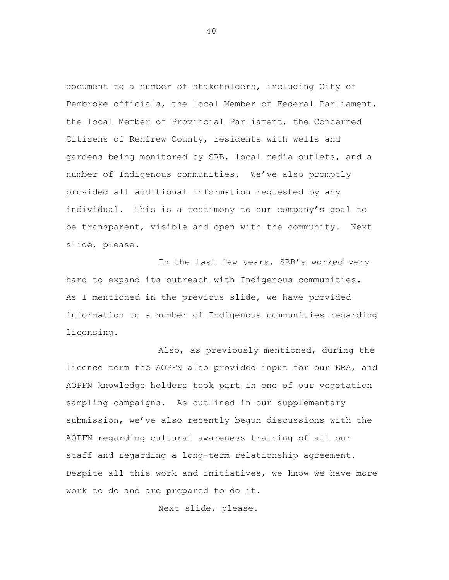document to a number of stakeholders, including City of Pembroke officials, the local Member of Federal Parliament, the local Member of Provincial Parliament, the Concerned Citizens of Renfrew County, residents with wells and gardens being monitored by SRB, local media outlets, and a number of Indigenous communities. We've also promptly provided all additional information requested by any individual. This is a testimony to our company's goal to be transparent, visible and open with the community. Next slide, please.

In the last few years, SRB's worked very hard to expand its outreach with Indigenous communities. As I mentioned in the previous slide, we have provided information to a number of Indigenous communities regarding licensing.

Also, as previously mentioned, during the licence term the AOPFN also provided input for our ERA, and AOPFN knowledge holders took part in one of our vegetation sampling campaigns. As outlined in our supplementary submission, we've also recently begun discussions with the AOPFN regarding cultural awareness training of all our staff and regarding a long-term relationship agreement. Despite all this work and initiatives, we know we have more work to do and are prepared to do it.

Next slide, please.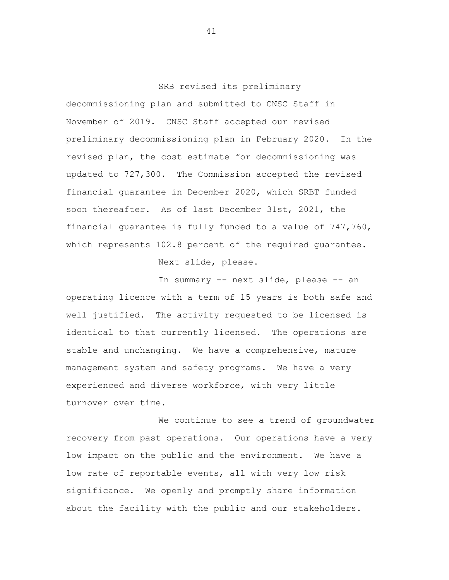SRB revised its preliminary decommissioning plan and submitted to CNSC Staff in November of 2019. CNSC Staff accepted our revised preliminary decommissioning plan in February 2020. In the revised plan, the cost estimate for decommissioning was updated to 727,300. The Commission accepted the revised financial guarantee in December 2020, which SRBT funded soon thereafter. As of last December 31st, 2021, the financial guarantee is fully funded to a value of 747,760, which represents 102.8 percent of the required quarantee.

Next slide, please.

In summary -- next slide, please -- an operating licence with a term of 15 years is both safe and well justified. The activity requested to be licensed is identical to that currently licensed. The operations are stable and unchanging. We have a comprehensive, mature management system and safety programs. We have a very experienced and diverse workforce, with very little turnover over time.

We continue to see a trend of groundwater recovery from past operations. Our operations have a very low impact on the public and the environment. We have a low rate of reportable events, all with very low risk significance. We openly and promptly share information about the facility with the public and our stakeholders.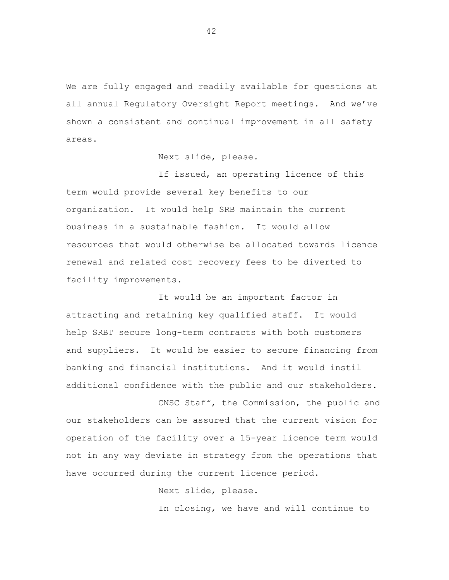We are fully engaged and readily available for questions at all annual Regulatory Oversight Report meetings. And we've shown a consistent and continual improvement in all safety areas.

Next slide, please.

If issued, an operating licence of this term would provide several key benefits to our organization. It would help SRB maintain the current business in a sustainable fashion. It would allow resources that would otherwise be allocated towards licence renewal and related cost recovery fees to be diverted to facility improvements.

It would be an important factor in attracting and retaining key qualified staff. It would help SRBT secure long-term contracts with both customers and suppliers. It would be easier to secure financing from banking and financial institutions. And it would instil additional confidence with the public and our stakeholders.

CNSC Staff, the Commission, the public and our stakeholders can be assured that the current vision for operation of the facility over a 15-year licence term would not in any way deviate in strategy from the operations that have occurred during the current licence period.

Next slide, please.

In closing, we have and will continue to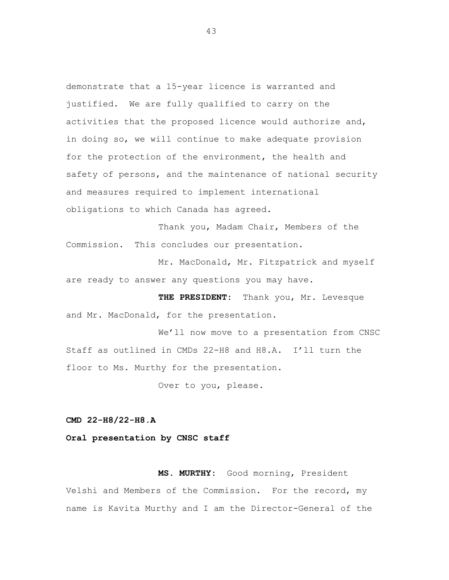demonstrate that a 15-year licence is warranted and justified. We are fully qualified to carry on the activities that the proposed licence would authorize and, in doing so, we will continue to make adequate provision for the protection of the environment, the health and safety of persons, and the maintenance of national security and measures required to implement international obligations to which Canada has agreed.

Thank you, Madam Chair, Members of the Commission. This concludes our presentation.

Mr. MacDonald, Mr. Fitzpatrick and myself are ready to answer any questions you may have.

**THE PRESIDENT:** Thank you, Mr. Levesque and Mr. MacDonald, for the presentation.

We'll now move to a presentation from CNSC Staff as outlined in CMDs 22-H8 and H8.A. I'll turn the floor to Ms. Murthy for the presentation.

Over to you, please.

**CMD 22-H8/22-H8.A**

**Oral presentation by CNSC staff**

**MS. MURTHY:** Good morning, President Velshi and Members of the Commission. For the record, my name is Kavita Murthy and I am the Director-General of the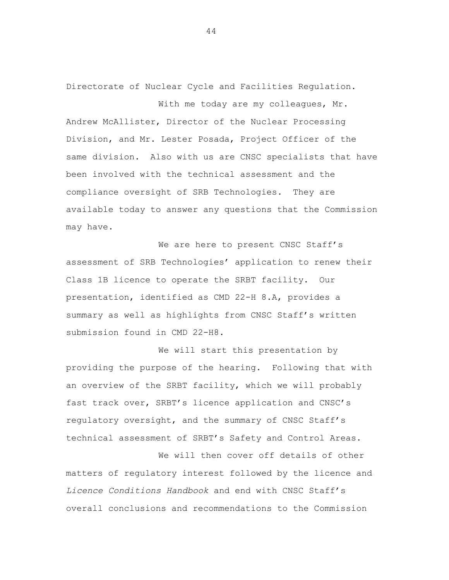Directorate of Nuclear Cycle and Facilities Regulation. With me today are my colleagues, Mr.

Andrew McAllister, Director of the Nuclear Processing Division, and Mr. Lester Posada, Project Officer of the same division. Also with us are CNSC specialists that have been involved with the technical assessment and the compliance oversight of SRB Technologies. They are available today to answer any questions that the Commission may have.

We are here to present CNSC Staff's assessment of SRB Technologies' application to renew their Class 1B licence to operate the SRBT facility. Our presentation, identified as CMD 22-H 8.A, provides a summary as well as highlights from CNSC Staff's written submission found in CMD 22-H8.

We will start this presentation by providing the purpose of the hearing. Following that with an overview of the SRBT facility, which we will probably fast track over, SRBT's licence application and CNSC's regulatory oversight, and the summary of CNSC Staff's technical assessment of SRBT's Safety and Control Areas.

We will then cover off details of other matters of regulatory interest followed by the licence and *Licence Conditions Handbook* and end with CNSC Staff's overall conclusions and recommendations to the Commission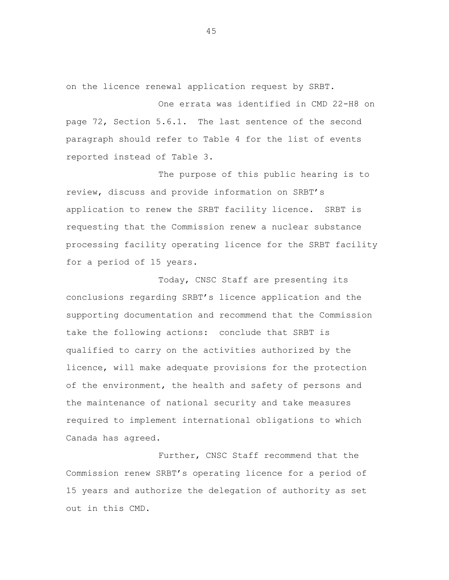on the licence renewal application request by SRBT.

One errata was identified in CMD 22-H8 on page 72, Section 5.6.1. The last sentence of the second paragraph should refer to Table 4 for the list of events reported instead of Table 3.

The purpose of this public hearing is to review, discuss and provide information on SRBT's application to renew the SRBT facility licence. SRBT is requesting that the Commission renew a nuclear substance processing facility operating licence for the SRBT facility for a period of 15 years.

Today, CNSC Staff are presenting its conclusions regarding SRBT's licence application and the supporting documentation and recommend that the Commission take the following actions: conclude that SRBT is qualified to carry on the activities authorized by the licence, will make adequate provisions for the protection of the environment, the health and safety of persons and the maintenance of national security and take measures required to implement international obligations to which Canada has agreed.

Further, CNSC Staff recommend that the Commission renew SRBT's operating licence for a period of 15 years and authorize the delegation of authority as set out in this CMD.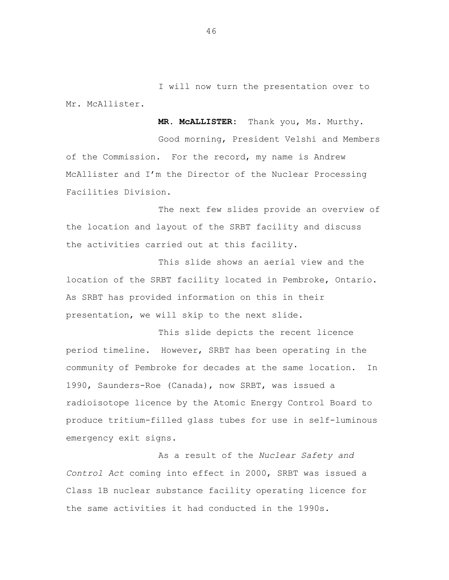I will now turn the presentation over to Mr. McAllister.

**MR. McALLISTER:** Thank you, Ms. Murthy.

Good morning, President Velshi and Members of the Commission. For the record, my name is Andrew McAllister and I'm the Director of the Nuclear Processing Facilities Division.

The next few slides provide an overview of the location and layout of the SRBT facility and discuss the activities carried out at this facility.

This slide shows an aerial view and the location of the SRBT facility located in Pembroke, Ontario. As SRBT has provided information on this in their presentation, we will skip to the next slide.

This slide depicts the recent licence period timeline. However, SRBT has been operating in the community of Pembroke for decades at the same location. In 1990, Saunders-Roe (Canada), now SRBT, was issued a radioisotope licence by the Atomic Energy Control Board to produce tritium-filled glass tubes for use in self-luminous emergency exit signs.

As a result of the *Nuclear Safety and Control Act* coming into effect in 2000, SRBT was issued a Class 1B nuclear substance facility operating licence for the same activities it had conducted in the 1990s.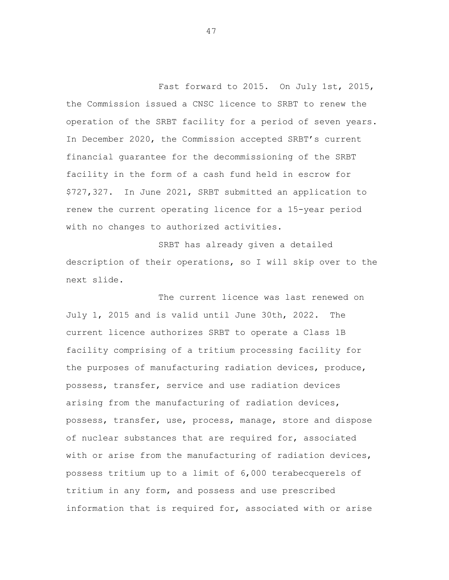Fast forward to 2015. On July 1st, 2015, the Commission issued a CNSC licence to SRBT to renew the operation of the SRBT facility for a period of seven years. In December 2020, the Commission accepted SRBT's current financial guarantee for the decommissioning of the SRBT facility in the form of a cash fund held in escrow for \$727,327. In June 2021, SRBT submitted an application to renew the current operating licence for a 15-year period with no changes to authorized activities.

SRBT has already given a detailed description of their operations, so I will skip over to the next slide.

The current licence was last renewed on July 1, 2015 and is valid until June 30th, 2022. The current licence authorizes SRBT to operate a Class 1B facility comprising of a tritium processing facility for the purposes of manufacturing radiation devices, produce, possess, transfer, service and use radiation devices arising from the manufacturing of radiation devices, possess, transfer, use, process, manage, store and dispose of nuclear substances that are required for, associated with or arise from the manufacturing of radiation devices, possess tritium up to a limit of 6,000 terabecquerels of tritium in any form, and possess and use prescribed information that is required for, associated with or arise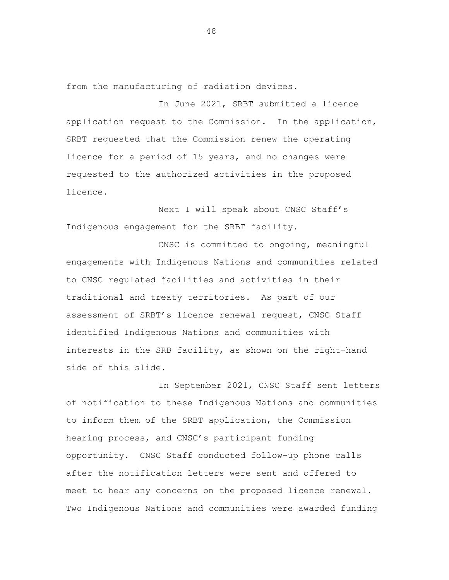from the manufacturing of radiation devices.

In June 2021, SRBT submitted a licence application request to the Commission. In the application, SRBT requested that the Commission renew the operating licence for a period of 15 years, and no changes were requested to the authorized activities in the proposed licence.

Next I will speak about CNSC Staff's Indigenous engagement for the SRBT facility.

CNSC is committed to ongoing, meaningful engagements with Indigenous Nations and communities related to CNSC regulated facilities and activities in their traditional and treaty territories. As part of our assessment of SRBT's licence renewal request, CNSC Staff identified Indigenous Nations and communities with interests in the SRB facility, as shown on the right-hand side of this slide.

In September 2021, CNSC Staff sent letters of notification to these Indigenous Nations and communities to inform them of the SRBT application, the Commission hearing process, and CNSC's participant funding opportunity. CNSC Staff conducted follow-up phone calls after the notification letters were sent and offered to meet to hear any concerns on the proposed licence renewal. Two Indigenous Nations and communities were awarded funding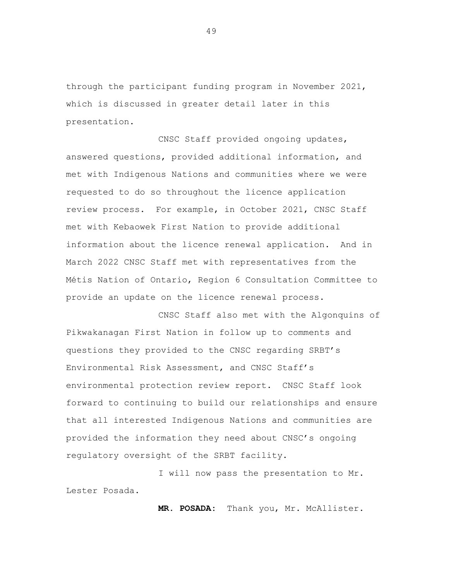through the participant funding program in November 2021, which is discussed in greater detail later in this presentation.

CNSC Staff provided ongoing updates, answered questions, provided additional information, and met with Indigenous Nations and communities where we were requested to do so throughout the licence application review process. For example, in October 2021, CNSC Staff met with Kebaowek First Nation to provide additional information about the licence renewal application. And in March 2022 CNSC Staff met with representatives from the Métis Nation of Ontario, Region 6 Consultation Committee to provide an update on the licence renewal process.

CNSC Staff also met with the Algonquins of Pikwakanagan First Nation in follow up to comments and questions they provided to the CNSC regarding SRBT's Environmental Risk Assessment, and CNSC Staff's environmental protection review report. CNSC Staff look forward to continuing to build our relationships and ensure that all interested Indigenous Nations and communities are provided the information they need about CNSC's ongoing regulatory oversight of the SRBT facility.

I will now pass the presentation to Mr. Lester Posada.

**MR. POSADA:** Thank you, Mr. McAllister.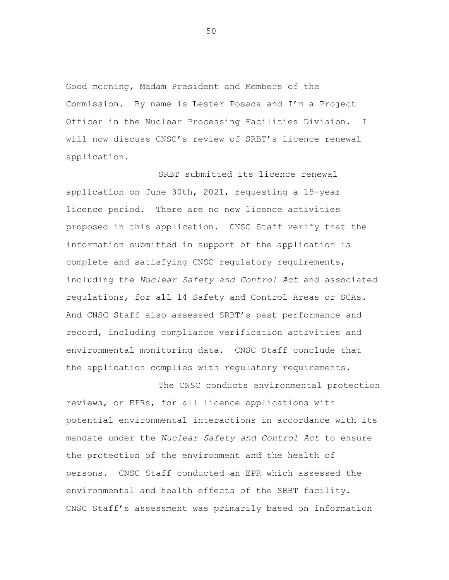Good morning, Madam President and Members of the Commission. By name is Lester Posada and I'm a Project Officer in the Nuclear Processing Facilities Division. I will now discuss CNSC's review of SRBT's licence renewal application.

SRBT submitted its licence renewal application on June 30th, 2021, requesting a 15-year licence period. There are no new licence activities proposed in this application. CNSC Staff verify that the information submitted in support of the application is complete and satisfying CNSC regulatory requirements, including the *Nuclear Safety and Control Act* and associated regulations, for all 14 Safety and Control Areas or SCAs. And CNSC Staff also assessed SRBT's past performance and record, including compliance verification activities and environmental monitoring data. CNSC Staff conclude that the application complies with regulatory requirements.

The CNSC conducts environmental protection reviews, or EPRs, for all licence applications with potential environmental interactions in accordance with its mandate under the *Nuclear Safety and Control Act* to ensure the protection of the environment and the health of persons. CNSC Staff conducted an EPR which assessed the environmental and health effects of the SRBT facility. CNSC Staff's assessment was primarily based on information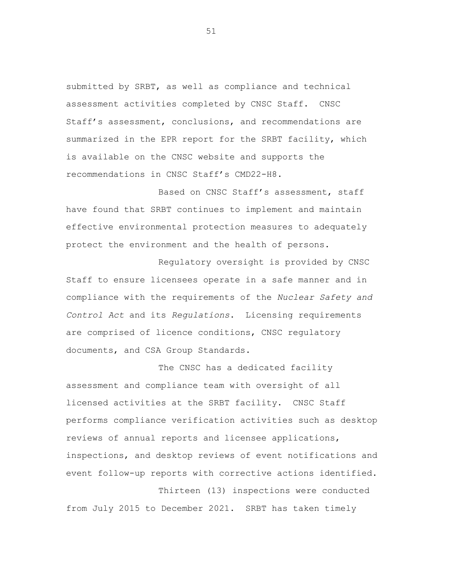submitted by SRBT, as well as compliance and technical assessment activities completed by CNSC Staff. CNSC Staff's assessment, conclusions, and recommendations are summarized in the EPR report for the SRBT facility, which is available on the CNSC website and supports the recommendations in CNSC Staff's CMD22-H8.

Based on CNSC Staff's assessment, staff have found that SRBT continues to implement and maintain effective environmental protection measures to adequately protect the environment and the health of persons.

Regulatory oversight is provided by CNSC Staff to ensure licensees operate in a safe manner and in compliance with the requirements of the *Nuclear Safety and Control Act* and its *Regulations*. Licensing requirements are comprised of licence conditions, CNSC regulatory documents, and CSA Group Standards.

The CNSC has a dedicated facility assessment and compliance team with oversight of all licensed activities at the SRBT facility. CNSC Staff performs compliance verification activities such as desktop reviews of annual reports and licensee applications, inspections, and desktop reviews of event notifications and event follow-up reports with corrective actions identified.

Thirteen (13) inspections were conducted from July 2015 to December 2021. SRBT has taken timely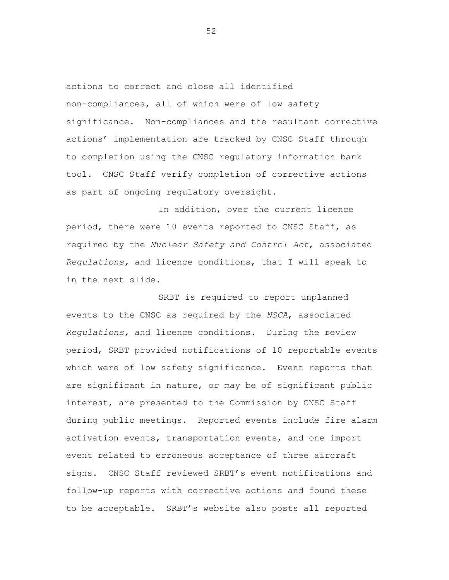actions to correct and close all identified non-compliances, all of which were of low safety significance. Non-compliances and the resultant corrective actions' implementation are tracked by CNSC Staff through to completion using the CNSC regulatory information bank tool. CNSC Staff verify completion of corrective actions as part of ongoing regulatory oversight.

In addition, over the current licence period, there were 10 events reported to CNSC Staff, as required by the *Nuclear Safety and Control Act*, associated *Regulations,* and licence conditions, that I will speak to in the next slide.

SRBT is required to report unplanned events to the CNSC as required by the *NSCA*, associated *Regulations,* and licence conditions. During the review period, SRBT provided notifications of 10 reportable events which were of low safety significance. Event reports that are significant in nature, or may be of significant public interest, are presented to the Commission by CNSC Staff during public meetings. Reported events include fire alarm activation events, transportation events, and one import event related to erroneous acceptance of three aircraft signs. CNSC Staff reviewed SRBT's event notifications and follow-up reports with corrective actions and found these to be acceptable. SRBT's website also posts all reported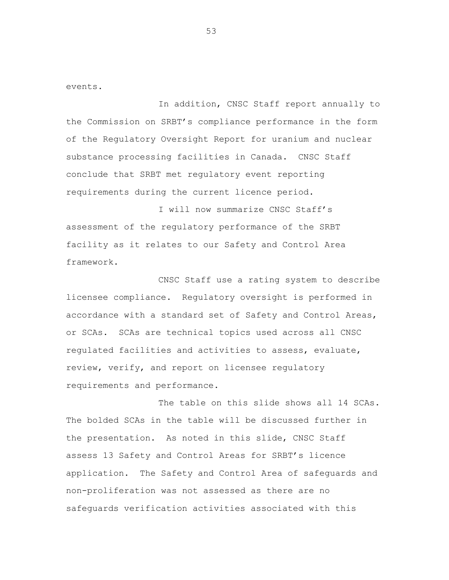events.

In addition, CNSC Staff report annually to the Commission on SRBT's compliance performance in the form of the Regulatory Oversight Report for uranium and nuclear substance processing facilities in Canada. CNSC Staff conclude that SRBT met regulatory event reporting requirements during the current licence period.

I will now summarize CNSC Staff's assessment of the regulatory performance of the SRBT facility as it relates to our Safety and Control Area framework.

CNSC Staff use a rating system to describe licensee compliance. Regulatory oversight is performed in accordance with a standard set of Safety and Control Areas, or SCAs. SCAs are technical topics used across all CNSC regulated facilities and activities to assess, evaluate, review, verify, and report on licensee regulatory requirements and performance.

The table on this slide shows all 14 SCAs. The bolded SCAs in the table will be discussed further in the presentation. As noted in this slide, CNSC Staff assess 13 Safety and Control Areas for SRBT's licence application. The Safety and Control Area of safeguards and non-proliferation was not assessed as there are no safeguards verification activities associated with this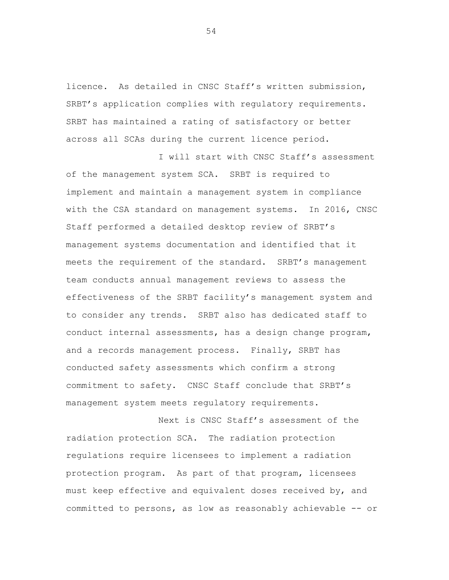licence. As detailed in CNSC Staff's written submission, SRBT's application complies with regulatory requirements. SRBT has maintained a rating of satisfactory or better across all SCAs during the current licence period.

I will start with CNSC Staff's assessment of the management system SCA. SRBT is required to implement and maintain a management system in compliance with the CSA standard on management systems. In 2016, CNSC Staff performed a detailed desktop review of SRBT's management systems documentation and identified that it meets the requirement of the standard. SRBT's management team conducts annual management reviews to assess the effectiveness of the SRBT facility's management system and to consider any trends. SRBT also has dedicated staff to conduct internal assessments, has a design change program, and a records management process. Finally, SRBT has conducted safety assessments which confirm a strong commitment to safety. CNSC Staff conclude that SRBT's management system meets regulatory requirements.

Next is CNSC Staff's assessment of the radiation protection SCA. The radiation protection regulations require licensees to implement a radiation protection program. As part of that program, licensees must keep effective and equivalent doses received by, and committed to persons, as low as reasonably achievable -- or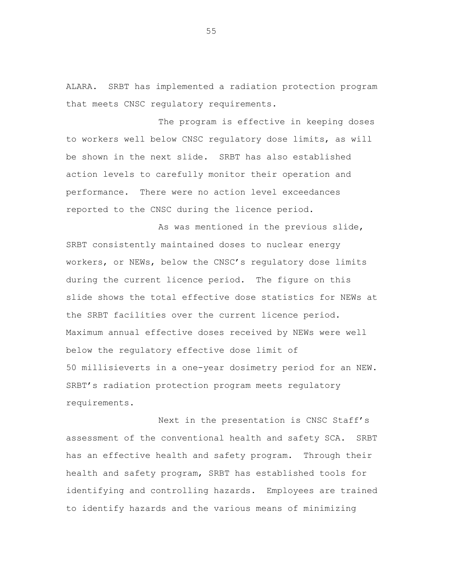ALARA. SRBT has implemented a radiation protection program that meets CNSC regulatory requirements.

The program is effective in keeping doses to workers well below CNSC regulatory dose limits, as will be shown in the next slide. SRBT has also established action levels to carefully monitor their operation and performance. There were no action level exceedances reported to the CNSC during the licence period.

As was mentioned in the previous slide, SRBT consistently maintained doses to nuclear energy workers, or NEWs, below the CNSC's regulatory dose limits during the current licence period. The figure on this slide shows the total effective dose statistics for NEWs at the SRBT facilities over the current licence period. Maximum annual effective doses received by NEWs were well below the regulatory effective dose limit of 50 millisieverts in a one-year dosimetry period for an NEW. SRBT's radiation protection program meets regulatory requirements.

Next in the presentation is CNSC Staff's assessment of the conventional health and safety SCA. SRBT has an effective health and safety program. Through their health and safety program, SRBT has established tools for identifying and controlling hazards. Employees are trained to identify hazards and the various means of minimizing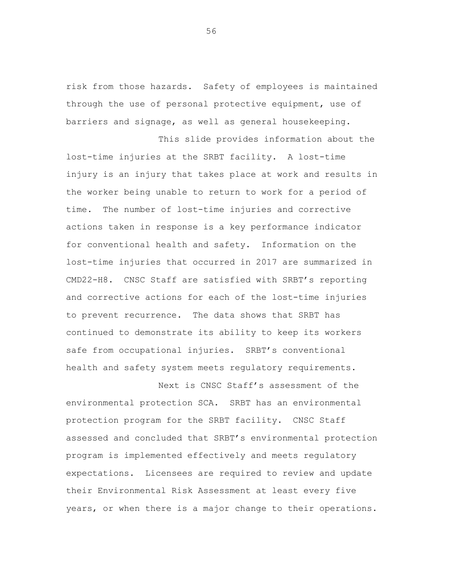risk from those hazards. Safety of employees is maintained through the use of personal protective equipment, use of barriers and signage, as well as general housekeeping.

This slide provides information about the lost-time injuries at the SRBT facility. A lost-time injury is an injury that takes place at work and results in the worker being unable to return to work for a period of time. The number of lost-time injuries and corrective actions taken in response is a key performance indicator for conventional health and safety. Information on the lost-time injuries that occurred in 2017 are summarized in CMD22-H8. CNSC Staff are satisfied with SRBT's reporting and corrective actions for each of the lost-time injuries to prevent recurrence. The data shows that SRBT has continued to demonstrate its ability to keep its workers safe from occupational injuries. SRBT's conventional health and safety system meets regulatory requirements.

Next is CNSC Staff's assessment of the environmental protection SCA. SRBT has an environmental protection program for the SRBT facility. CNSC Staff assessed and concluded that SRBT's environmental protection program is implemented effectively and meets regulatory expectations. Licensees are required to review and update their Environmental Risk Assessment at least every five years, or when there is a major change to their operations.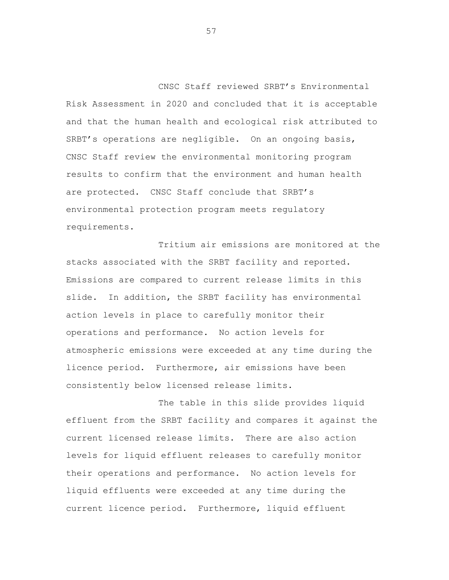CNSC Staff reviewed SRBT's Environmental Risk Assessment in 2020 and concluded that it is acceptable and that the human health and ecological risk attributed to SRBT's operations are negligible. On an ongoing basis, CNSC Staff review the environmental monitoring program results to confirm that the environment and human health are protected. CNSC Staff conclude that SRBT's environmental protection program meets regulatory requirements.

Tritium air emissions are monitored at the stacks associated with the SRBT facility and reported. Emissions are compared to current release limits in this slide. In addition, the SRBT facility has environmental action levels in place to carefully monitor their operations and performance. No action levels for atmospheric emissions were exceeded at any time during the licence period. Furthermore, air emissions have been consistently below licensed release limits.

The table in this slide provides liquid effluent from the SRBT facility and compares it against the current licensed release limits. There are also action levels for liquid effluent releases to carefully monitor their operations and performance. No action levels for liquid effluents were exceeded at any time during the current licence period. Furthermore, liquid effluent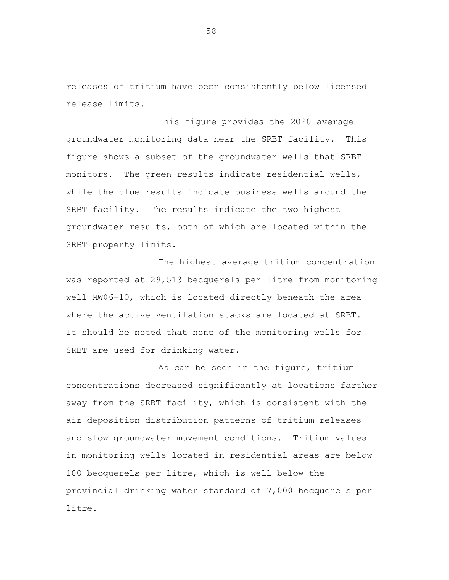releases of tritium have been consistently below licensed release limits.

This figure provides the 2020 average groundwater monitoring data near the SRBT facility. This figure shows a subset of the groundwater wells that SRBT monitors. The green results indicate residential wells, while the blue results indicate business wells around the SRBT facility. The results indicate the two highest groundwater results, both of which are located within the SRBT property limits.

The highest average tritium concentration was reported at 29,513 becquerels per litre from monitoring well MW06-10, which is located directly beneath the area where the active ventilation stacks are located at SRBT. It should be noted that none of the monitoring wells for SRBT are used for drinking water.

As can be seen in the figure, tritium concentrations decreased significantly at locations farther away from the SRBT facility, which is consistent with the air deposition distribution patterns of tritium releases and slow groundwater movement conditions. Tritium values in monitoring wells located in residential areas are below 100 becquerels per litre, which is well below the provincial drinking water standard of 7,000 becquerels per litre.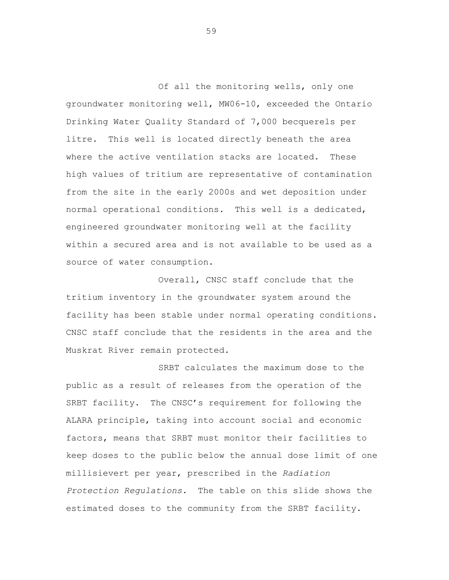Of all the monitoring wells, only one groundwater monitoring well, MW06-10, exceeded the Ontario Drinking Water Quality Standard of 7,000 becquerels per litre. This well is located directly beneath the area where the active ventilation stacks are located. These high values of tritium are representative of contamination from the site in the early 2000s and wet deposition under normal operational conditions. This well is a dedicated, engineered groundwater monitoring well at the facility within a secured area and is not available to be used as a source of water consumption.

Overall, CNSC staff conclude that the tritium inventory in the groundwater system around the facility has been stable under normal operating conditions. CNSC staff conclude that the residents in the area and the Muskrat River remain protected.

SRBT calculates the maximum dose to the public as a result of releases from the operation of the SRBT facility. The CNSC's requirement for following the ALARA principle, taking into account social and economic factors, means that SRBT must monitor their facilities to keep doses to the public below the annual dose limit of one millisievert per year, prescribed in the *Radiation Protection Regulations*. The table on this slide shows the estimated doses to the community from the SRBT facility.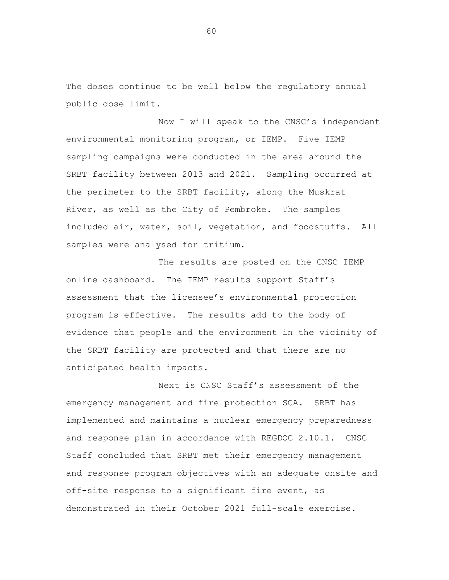The doses continue to be well below the regulatory annual public dose limit.

Now I will speak to the CNSC's independent environmental monitoring program, or IEMP. Five IEMP sampling campaigns were conducted in the area around the SRBT facility between 2013 and 2021. Sampling occurred at the perimeter to the SRBT facility, along the Muskrat River, as well as the City of Pembroke. The samples included air, water, soil, vegetation, and foodstuffs. All samples were analysed for tritium.

The results are posted on the CNSC IEMP online dashboard. The IEMP results support Staff's assessment that the licensee's environmental protection program is effective. The results add to the body of evidence that people and the environment in the vicinity of the SRBT facility are protected and that there are no anticipated health impacts.

Next is CNSC Staff's assessment of the emergency management and fire protection SCA. SRBT has implemented and maintains a nuclear emergency preparedness and response plan in accordance with REGDOC 2.10.1. CNSC Staff concluded that SRBT met their emergency management and response program objectives with an adequate onsite and off-site response to a significant fire event, as demonstrated in their October 2021 full-scale exercise.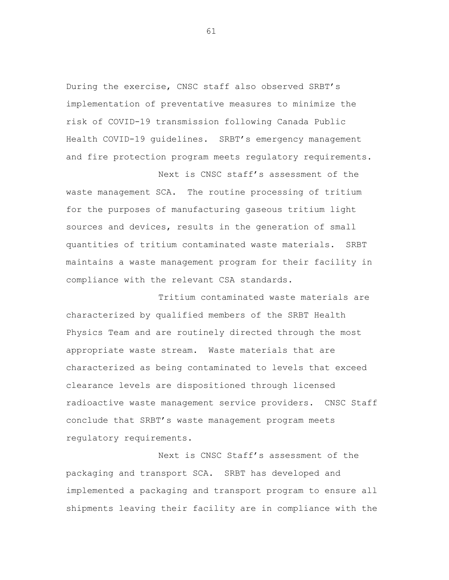During the exercise, CNSC staff also observed SRBT's implementation of preventative measures to minimize the risk of COVID-19 transmission following Canada Public Health COVID-19 guidelines. SRBT's emergency management and fire protection program meets regulatory requirements.

Next is CNSC staff's assessment of the waste management SCA. The routine processing of tritium for the purposes of manufacturing gaseous tritium light sources and devices, results in the generation of small quantities of tritium contaminated waste materials. SRBT maintains a waste management program for their facility in compliance with the relevant CSA standards.

Tritium contaminated waste materials are characterized by qualified members of the SRBT Health Physics Team and are routinely directed through the most appropriate waste stream. Waste materials that are characterized as being contaminated to levels that exceed clearance levels are dispositioned through licensed radioactive waste management service providers. CNSC Staff conclude that SRBT's waste management program meets regulatory requirements.

Next is CNSC Staff's assessment of the packaging and transport SCA. SRBT has developed and implemented a packaging and transport program to ensure all shipments leaving their facility are in compliance with the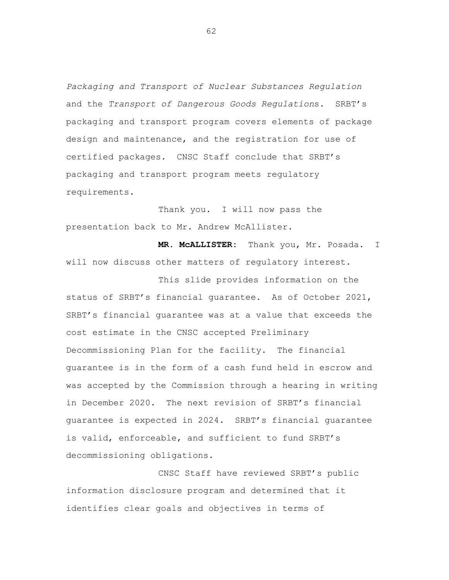*Packaging and Transport of Nuclear Substances Regulation* and the *Transport of Dangerous Goods Regulation*s. SRBT's packaging and transport program covers elements of package design and maintenance, and the registration for use of certified packages. CNSC Staff conclude that SRBT's packaging and transport program meets regulatory requirements.

Thank you. I will now pass the presentation back to Mr. Andrew McAllister.

**MR. McALLISTER:** Thank you, Mr. Posada. I will now discuss other matters of regulatory interest.

This slide provides information on the status of SRBT's financial guarantee. As of October 2021, SRBT's financial guarantee was at a value that exceeds the cost estimate in the CNSC accepted Preliminary Decommissioning Plan for the facility. The financial guarantee is in the form of a cash fund held in escrow and was accepted by the Commission through a hearing in writing in December 2020. The next revision of SRBT's financial guarantee is expected in 2024. SRBT's financial guarantee is valid, enforceable, and sufficient to fund SRBT's decommissioning obligations.

CNSC Staff have reviewed SRBT's public information disclosure program and determined that it identifies clear goals and objectives in terms of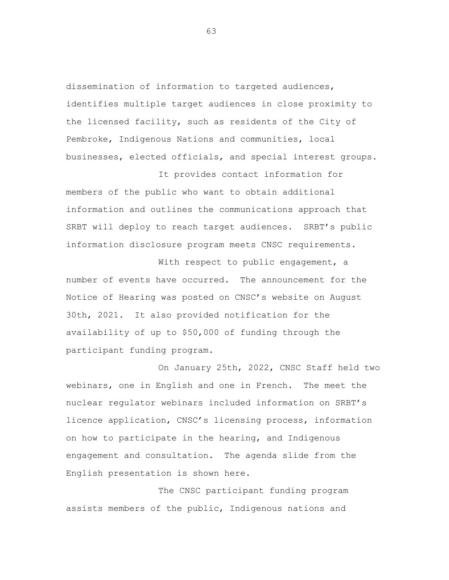dissemination of information to targeted audiences, identifies multiple target audiences in close proximity to the licensed facility, such as residents of the City of Pembroke, Indigenous Nations and communities, local businesses, elected officials, and special interest groups.

members of the public who want to obtain additional information and outlines the communications approach that SRBT will deploy to reach target audiences. SRBT's public information disclosure program meets CNSC requirements.

It provides contact information for

With respect to public engagement, a number of events have occurred. The announcement for the Notice of Hearing was posted on CNSC's website on August 30th, 2021. It also provided notification for the availability of up to \$50,000 of funding through the participant funding program.

On January 25th, 2022, CNSC Staff held two webinars, one in English and one in French. The meet the nuclear regulator webinars included information on SRBT's licence application, CNSC's licensing process, information on how to participate in the hearing, and Indigenous engagement and consultation. The agenda slide from the English presentation is shown here.

The CNSC participant funding program assists members of the public, Indigenous nations and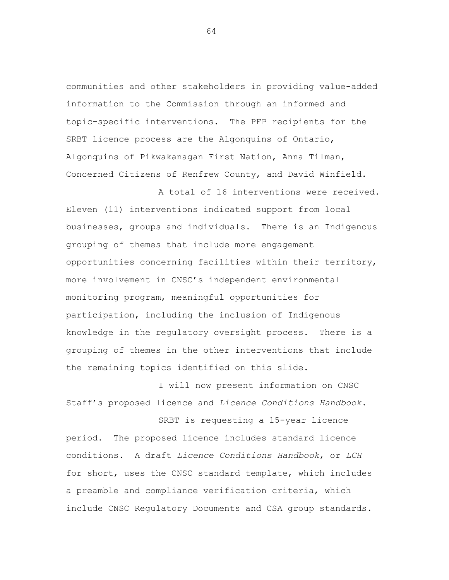communities and other stakeholders in providing value-added information to the Commission through an informed and topic-specific interventions. The PFP recipients for the SRBT licence process are the Algonquins of Ontario, Algonquins of Pikwakanagan First Nation, Anna Tilman, Concerned Citizens of Renfrew County, and David Winfield.

A total of 16 interventions were received. Eleven (11) interventions indicated support from local businesses, groups and individuals. There is an Indigenous grouping of themes that include more engagement opportunities concerning facilities within their territory, more involvement in CNSC's independent environmental monitoring program, meaningful opportunities for participation, including the inclusion of Indigenous knowledge in the regulatory oversight process. There is a grouping of themes in the other interventions that include the remaining topics identified on this slide.

I will now present information on CNSC Staff's proposed licence and *Licence Conditions Handbook*.

SRBT is requesting a 15-year licence period. The proposed licence includes standard licence conditions. A draft *Licence Conditions Handbook*, or *LCH* for short, uses the CNSC standard template, which includes a preamble and compliance verification criteria, which include CNSC Regulatory Documents and CSA group standards.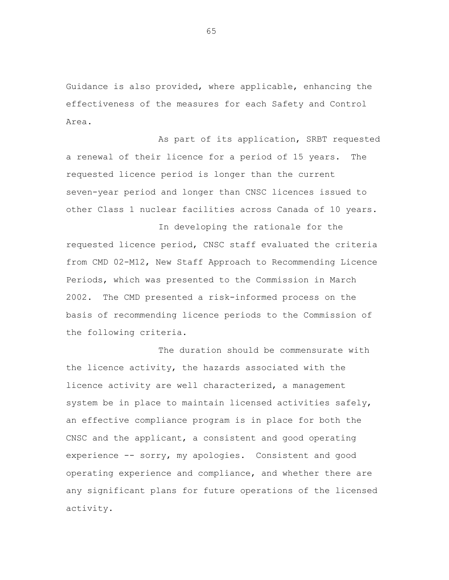Guidance is also provided, where applicable, enhancing the effectiveness of the measures for each Safety and Control Area.

As part of its application, SRBT requested a renewal of their licence for a period of 15 years. The requested licence period is longer than the current seven-year period and longer than CNSC licences issued to other Class 1 nuclear facilities across Canada of 10 years.

In developing the rationale for the requested licence period, CNSC staff evaluated the criteria from CMD 02-M12, New Staff Approach to Recommending Licence Periods, which was presented to the Commission in March 2002. The CMD presented a risk-informed process on the basis of recommending licence periods to the Commission of the following criteria.

The duration should be commensurate with the licence activity, the hazards associated with the licence activity are well characterized, a management system be in place to maintain licensed activities safely, an effective compliance program is in place for both the CNSC and the applicant, a consistent and good operating experience -- sorry, my apologies. Consistent and good operating experience and compliance, and whether there are any significant plans for future operations of the licensed activity.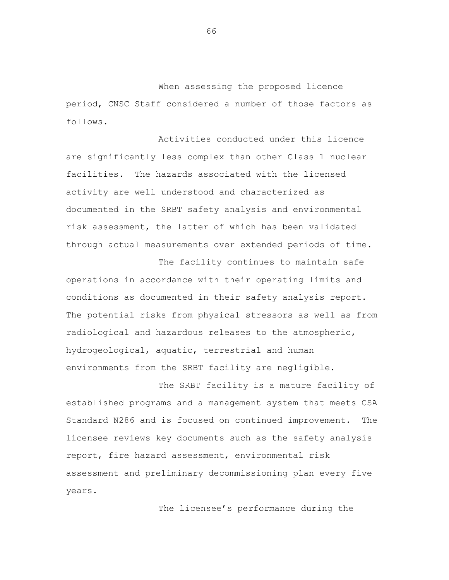When assessing the proposed licence period, CNSC Staff considered a number of those factors as follows.

Activities conducted under this licence are significantly less complex than other Class 1 nuclear facilities. The hazards associated with the licensed activity are well understood and characterized as documented in the SRBT safety analysis and environmental risk assessment, the latter of which has been validated through actual measurements over extended periods of time.

The facility continues to maintain safe operations in accordance with their operating limits and conditions as documented in their safety analysis report. The potential risks from physical stressors as well as from radiological and hazardous releases to the atmospheric, hydrogeological, aquatic, terrestrial and human environments from the SRBT facility are negligible.

The SRBT facility is a mature facility of established programs and a management system that meets CSA Standard N286 and is focused on continued improvement. The licensee reviews key documents such as the safety analysis report, fire hazard assessment, environmental risk assessment and preliminary decommissioning plan every five years.

The licensee's performance during the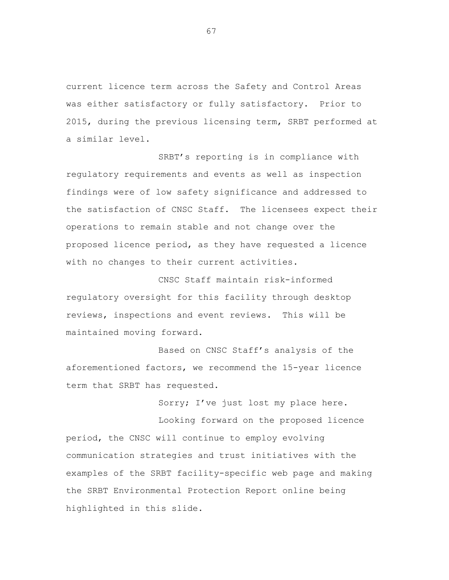current licence term across the Safety and Control Areas was either satisfactory or fully satisfactory. Prior to 2015, during the previous licensing term, SRBT performed at a similar level.

SRBT's reporting is in compliance with regulatory requirements and events as well as inspection findings were of low safety significance and addressed to the satisfaction of CNSC Staff. The licensees expect their operations to remain stable and not change over the proposed licence period, as they have requested a licence with no changes to their current activities.

CNSC Staff maintain risk-informed regulatory oversight for this facility through desktop reviews, inspections and event reviews. This will be maintained moving forward.

Based on CNSC Staff's analysis of the aforementioned factors, we recommend the 15-year licence term that SRBT has requested.

Sorry; I've just lost my place here.

Looking forward on the proposed licence period, the CNSC will continue to employ evolving communication strategies and trust initiatives with the examples of the SRBT facility-specific web page and making the SRBT Environmental Protection Report online being highlighted in this slide.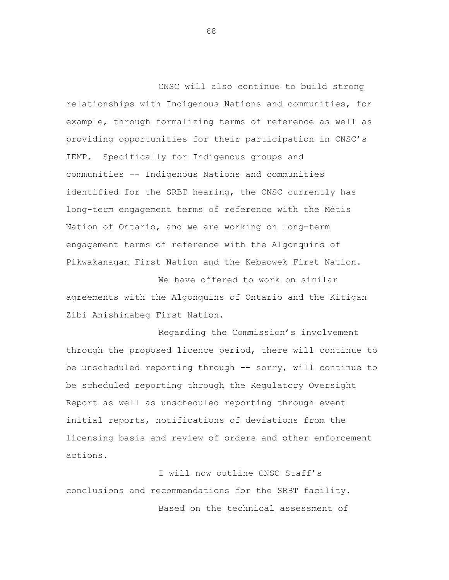CNSC will also continue to build strong relationships with Indigenous Nations and communities, for example, through formalizing terms of reference as well as providing opportunities for their participation in CNSC's IEMP. Specifically for Indigenous groups and communities -- Indigenous Nations and communities identified for the SRBT hearing, the CNSC currently has long-term engagement terms of reference with the Métis Nation of Ontario, and we are working on long-term engagement terms of reference with the Algonquins of Pikwakanagan First Nation and the Kebaowek First Nation.

We have offered to work on similar agreements with the Algonquins of Ontario and the Kitigan Zibi Anishinabeg First Nation.

Regarding the Commission's involvement through the proposed licence period, there will continue to be unscheduled reporting through -- sorry, will continue to be scheduled reporting through the Regulatory Oversight Report as well as unscheduled reporting through event initial reports, notifications of deviations from the licensing basis and review of orders and other enforcement actions.

I will now outline CNSC Staff's conclusions and recommendations for the SRBT facility. Based on the technical assessment of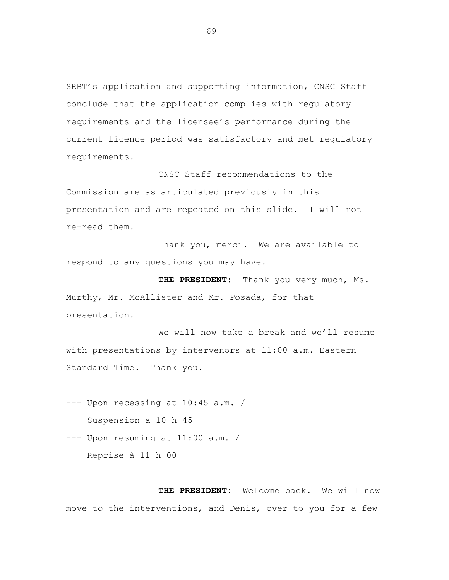SRBT's application and supporting information, CNSC Staff conclude that the application complies with regulatory requirements and the licensee's performance during the current licence period was satisfactory and met regulatory requirements.

CNSC Staff recommendations to the Commission are as articulated previously in this presentation and are repeated on this slide. I will not re-read them.

Thank you, merci. We are available to respond to any questions you may have.

**THE PRESIDENT:** Thank you very much, Ms. Murthy, Mr. McAllister and Mr. Posada, for that presentation.

We will now take a break and we'll resume with presentations by intervenors at 11:00 a.m. Eastern Standard Time. Thank you.

- --- Upon recessing at 10:45 a.m. / Suspension a 10 h 45
- --- Upon resuming at 11:00 a.m. / Reprise à 11 h 00

**THE PRESIDENT:** Welcome back. We will now move to the interventions, and Denis, over to you for a few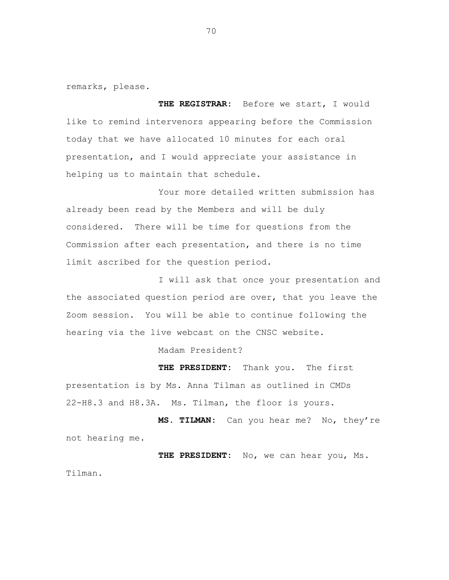remarks, please.

**THE REGISTRAR:** Before we start, I would like to remind intervenors appearing before the Commission today that we have allocated 10 minutes for each oral presentation, and I would appreciate your assistance in helping us to maintain that schedule.

Your more detailed written submission has already been read by the Members and will be duly considered. There will be time for questions from the Commission after each presentation, and there is no time limit ascribed for the question period.

I will ask that once your presentation and the associated question period are over, that you leave the Zoom session. You will be able to continue following the hearing via the live webcast on the CNSC website.

Madam President?

**THE PRESIDENT:** Thank you. The first presentation is by Ms. Anna Tilman as outlined in CMDs 22-H8.3 and H8.3A. Ms. Tilman, the floor is yours.

**MS. TILMAN:** Can you hear me? No, they're not hearing me.

**THE PRESIDENT:** No, we can hear you, Ms. Tilman.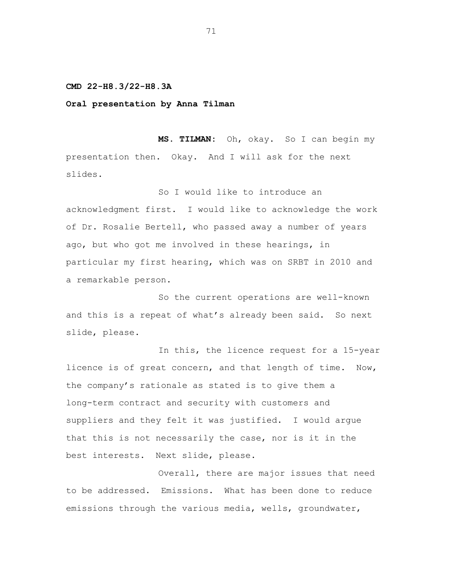## **CMD 22-H8.3/22-H8.3A**

**Oral presentation by Anna Tilman**

**MS. TILMAN:** Oh, okay. So I can begin my presentation then. Okay. And I will ask for the next slides.

So I would like to introduce an acknowledgment first. I would like to acknowledge the work of Dr. Rosalie Bertell, who passed away a number of years ago, but who got me involved in these hearings, in particular my first hearing, which was on SRBT in 2010 and a remarkable person.

So the current operations are well-known and this is a repeat of what's already been said. So next slide, please.

In this, the licence request for a 15-year licence is of great concern, and that length of time. Now, the company's rationale as stated is to give them a long-term contract and security with customers and suppliers and they felt it was justified. I would argue that this is not necessarily the case, nor is it in the best interests. Next slide, please.

Overall, there are major issues that need to be addressed. Emissions. What has been done to reduce emissions through the various media, wells, groundwater,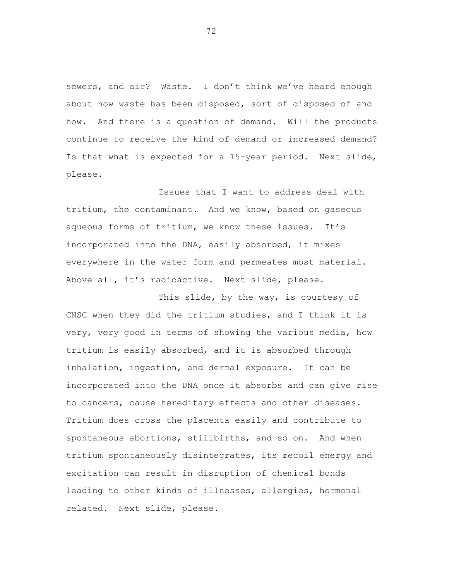sewers, and air? Waste. I don't think we've heard enough about how waste has been disposed, sort of disposed of and how. And there is a question of demand. Will the products continue to receive the kind of demand or increased demand? Is that what is expected for a 15-year period. Next slide, please.

Issues that I want to address deal with tritium, the contaminant. And we know, based on gaseous aqueous forms of tritium, we know these issues. It's incorporated into the DNA, easily absorbed, it mixes everywhere in the water form and permeates most material. Above all, it's radioactive. Next slide, please.

This slide, by the way, is courtesy of CNSC when they did the tritium studies, and I think it is very, very good in terms of showing the various media, how tritium is easily absorbed, and it is absorbed through inhalation, ingestion, and dermal exposure. It can be incorporated into the DNA once it absorbs and can give rise to cancers, cause hereditary effects and other diseases. Tritium does cross the placenta easily and contribute to spontaneous abortions, stillbirths, and so on. And when tritium spontaneously disintegrates, its recoil energy and excitation can result in disruption of chemical bonds leading to other kinds of illnesses, allergies, hormonal related. Next slide, please.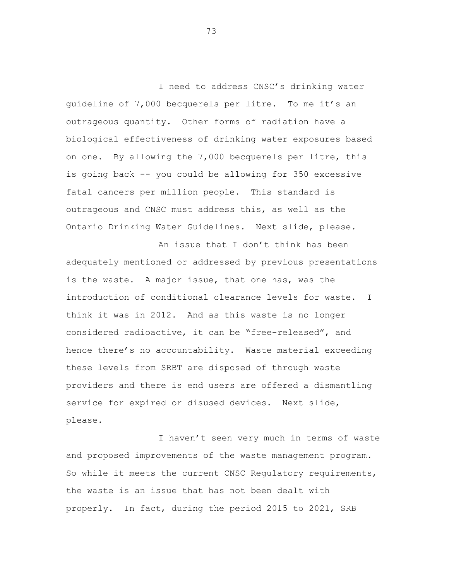I need to address CNSC's drinking water guideline of 7,000 becquerels per litre. To me it's an outrageous quantity. Other forms of radiation have a biological effectiveness of drinking water exposures based on one. By allowing the 7,000 becquerels per litre, this is going back -- you could be allowing for 350 excessive fatal cancers per million people. This standard is outrageous and CNSC must address this, as well as the Ontario Drinking Water Guidelines. Next slide, please.

An issue that I don't think has been adequately mentioned or addressed by previous presentations is the waste. A major issue, that one has, was the introduction of conditional clearance levels for waste. I think it was in 2012. And as this waste is no longer considered radioactive, it can be "free-released", and hence there's no accountability. Waste material exceeding these levels from SRBT are disposed of through waste providers and there is end users are offered a dismantling service for expired or disused devices. Next slide, please.

I haven't seen very much in terms of waste and proposed improvements of the waste management program. So while it meets the current CNSC Regulatory requirements, the waste is an issue that has not been dealt with properly. In fact, during the period 2015 to 2021, SRB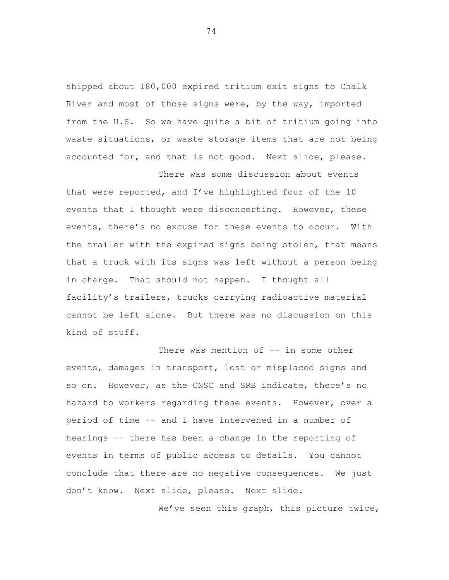shipped about 180,000 expired tritium exit signs to Chalk River and most of those signs were, by the way, imported from the U.S. So we have quite a bit of tritium going into waste situations, or waste storage items that are not being accounted for, and that is not good. Next slide, please.

There was some discussion about events

that were reported, and I've highlighted four of the 10 events that I thought were disconcerting. However, these events, there's no excuse for these events to occur. With the trailer with the expired signs being stolen, that means that a truck with its signs was left without a person being in charge. That should not happen. I thought all facility's trailers, trucks carrying radioactive material cannot be left alone. But there was no discussion on this kind of stuff.

There was mention of -- in some other events, damages in transport, lost or misplaced signs and so on. However, as the CNSC and SRB indicate, there's no hazard to workers regarding these events. However, over a period of time -- and I have intervened in a number of hearings -- there has been a change in the reporting of events in terms of public access to details. You cannot conclude that there are no negative consequences. We just don't know. Next slide, please. Next slide.

We've seen this graph, this picture twice,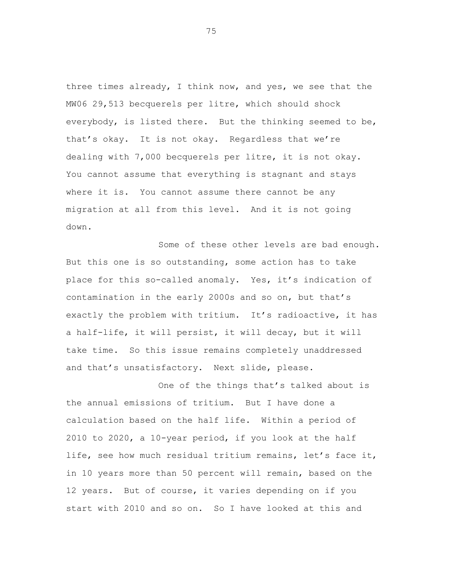three times already, I think now, and yes, we see that the MW06 29,513 becquerels per litre, which should shock everybody, is listed there. But the thinking seemed to be, that's okay. It is not okay. Regardless that we're dealing with 7,000 becquerels per litre, it is not okay. You cannot assume that everything is stagnant and stays where it is. You cannot assume there cannot be any migration at all from this level. And it is not going down.

Some of these other levels are bad enough. But this one is so outstanding, some action has to take place for this so-called anomaly. Yes, it's indication of contamination in the early 2000s and so on, but that's exactly the problem with tritium. It's radioactive, it has a half-life, it will persist, it will decay, but it will take time. So this issue remains completely unaddressed and that's unsatisfactory. Next slide, please.

One of the things that's talked about is the annual emissions of tritium. But I have done a calculation based on the half life. Within a period of 2010 to 2020, a 10-year period, if you look at the half life, see how much residual tritium remains, let's face it, in 10 years more than 50 percent will remain, based on the 12 years. But of course, it varies depending on if you start with 2010 and so on. So I have looked at this and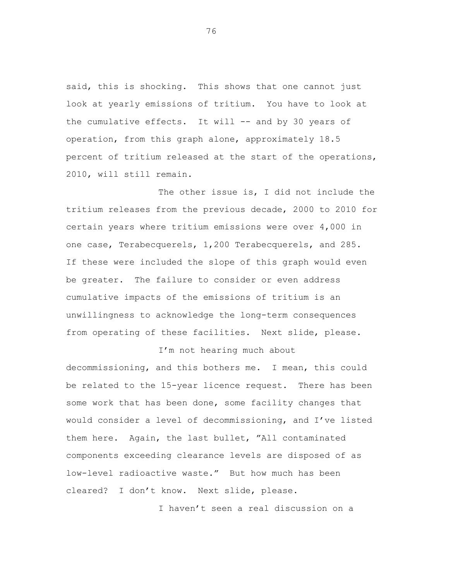said, this is shocking. This shows that one cannot just look at yearly emissions of tritium. You have to look at the cumulative effects. It will -- and by 30 years of operation, from this graph alone, approximately 18.5 percent of tritium released at the start of the operations, 2010, will still remain.

The other issue is, I did not include the tritium releases from the previous decade, 2000 to 2010 for certain years where tritium emissions were over 4,000 in one case, Terabecquerels, 1,200 Terabecquerels, and 285. If these were included the slope of this graph would even be greater. The failure to consider or even address cumulative impacts of the emissions of tritium is an unwillingness to acknowledge the long-term consequences from operating of these facilities. Next slide, please.

## I'm not hearing much about

decommissioning, and this bothers me. I mean, this could be related to the 15-year licence request. There has been some work that has been done, some facility changes that would consider a level of decommissioning, and I've listed them here. Again, the last bullet, "All contaminated components exceeding clearance levels are disposed of as low-level radioactive waste." But how much has been cleared? I don't know. Next slide, please.

I haven't seen a real discussion on a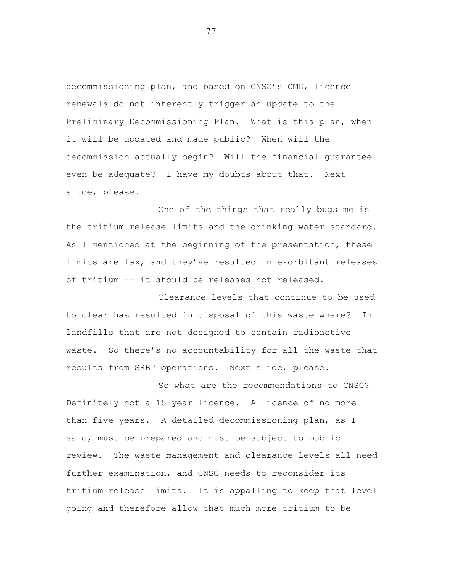decommissioning plan, and based on CNSC's CMD, licence renewals do not inherently trigger an update to the Preliminary Decommissioning Plan. What is this plan, when it will be updated and made public? When will the decommission actually begin? Will the financial guarantee even be adequate? I have my doubts about that. Next slide, please.

One of the things that really bugs me is the tritium release limits and the drinking water standard. As I mentioned at the beginning of the presentation, these limits are lax, and they've resulted in exorbitant releases of tritium -- it should be releases not released.

Clearance levels that continue to be used to clear has resulted in disposal of this waste where? In landfills that are not designed to contain radioactive waste. So there's no accountability for all the waste that results from SRBT operations. Next slide, please.

So what are the recommendations to CNSC? Definitely not a 15-year licence. A licence of no more than five years. A detailed decommissioning plan, as I said, must be prepared and must be subject to public review. The waste management and clearance levels all need further examination, and CNSC needs to reconsider its tritium release limits. It is appalling to keep that level going and therefore allow that much more tritium to be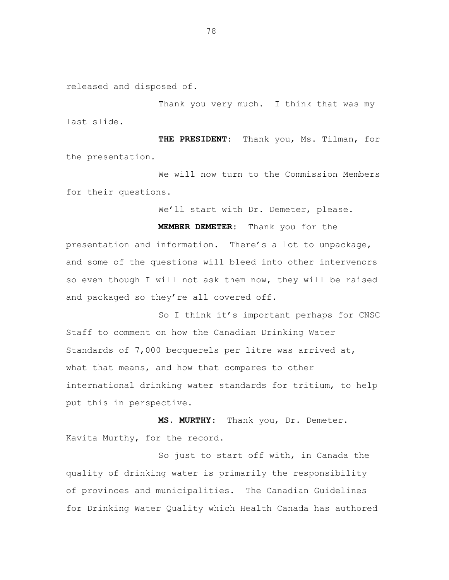released and disposed of.

Thank you very much. I think that was my last slide.

**THE PRESIDENT:** Thank you, Ms. Tilman, for the presentation.

We will now turn to the Commission Members for their questions.

We'll start with Dr. Demeter, please.

**MEMBER DEMETER:** Thank you for the

presentation and information. There's a lot to unpackage, and some of the questions will bleed into other intervenors so even though I will not ask them now, they will be raised and packaged so they're all covered off.

So I think it's important perhaps for CNSC Staff to comment on how the Canadian Drinking Water Standards of 7,000 becquerels per litre was arrived at, what that means, and how that compares to other international drinking water standards for tritium, to help put this in perspective.

**MS. MURTHY:** Thank you, Dr. Demeter. Kavita Murthy, for the record.

So just to start off with, in Canada the quality of drinking water is primarily the responsibility of provinces and municipalities. The Canadian Guidelines for Drinking Water Quality which Health Canada has authored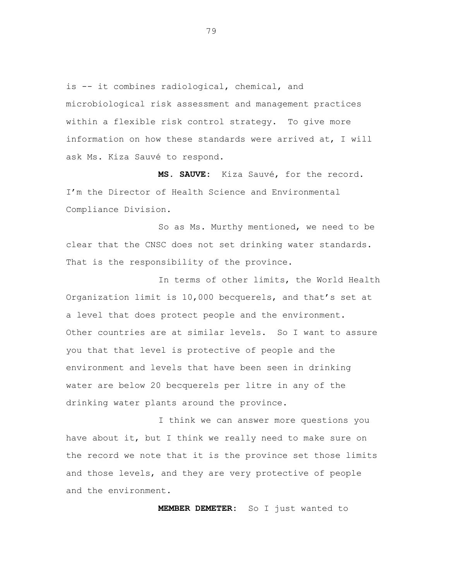is -- it combines radiological, chemical, and microbiological risk assessment and management practices within a flexible risk control strategy. To give more information on how these standards were arrived at, I will ask Ms. Kiza Sauvé to respond.

**MS. SAUVE:** Kiza Sauvé, for the record. I'm the Director of Health Science and Environmental Compliance Division.

So as Ms. Murthy mentioned, we need to be clear that the CNSC does not set drinking water standards. That is the responsibility of the province.

In terms of other limits, the World Health Organization limit is 10,000 becquerels, and that's set at a level that does protect people and the environment. Other countries are at similar levels. So I want to assure you that that level is protective of people and the environment and levels that have been seen in drinking water are below 20 becquerels per litre in any of the drinking water plants around the province.

I think we can answer more questions you have about it, but I think we really need to make sure on the record we note that it is the province set those limits and those levels, and they are very protective of people and the environment.

**MEMBER DEMETER:** So I just wanted to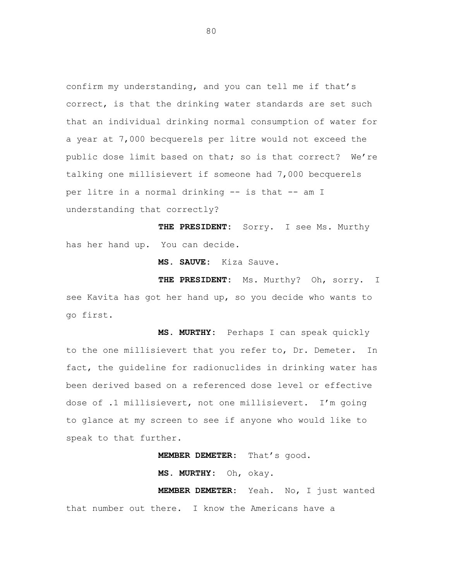confirm my understanding, and you can tell me if that's correct, is that the drinking water standards are set such that an individual drinking normal consumption of water for a year at 7,000 becquerels per litre would not exceed the public dose limit based on that; so is that correct? We're talking one millisievert if someone had 7,000 becquerels per litre in a normal drinking -- is that -- am I understanding that correctly?

**THE PRESIDENT:** Sorry. I see Ms. Murthy has her hand up. You can decide.

**MS. SAUVE:** Kiza Sauve.

**THE PRESIDENT:** Ms. Murthy? Oh, sorry. I see Kavita has got her hand up, so you decide who wants to go first.

**MS. MURTHY:** Perhaps I can speak quickly to the one millisievert that you refer to, Dr. Demeter. In fact, the guideline for radionuclides in drinking water has been derived based on a referenced dose level or effective dose of .1 millisievert, not one millisievert. I'm going to glance at my screen to see if anyone who would like to speak to that further.

**MEMBER DEMETER:** That's good.

**MS. MURTHY:** Oh, okay.

**MEMBER DEMETER:** Yeah. No, I just wanted that number out there. I know the Americans have a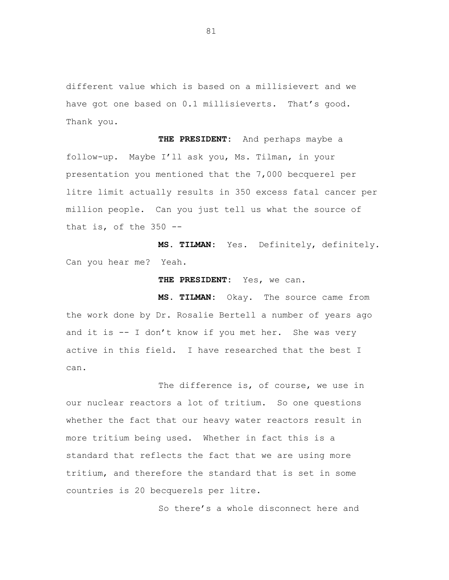different value which is based on a millisievert and we have got one based on 0.1 millisieverts. That's good. Thank you.

**THE PRESIDENT:** And perhaps maybe a follow-up. Maybe I'll ask you, Ms. Tilman, in your presentation you mentioned that the 7,000 becquerel per litre limit actually results in 350 excess fatal cancer per million people. Can you just tell us what the source of that is, of the  $350$  --

**MS. TILMAN:** Yes. Definitely, definitely. Can you hear me? Yeah.

**THE PRESIDENT:** Yes, we can.

**MS. TILMAN:** Okay. The source came from the work done by Dr. Rosalie Bertell a number of years ago and it is -- I don't know if you met her. She was very active in this field. I have researched that the best I can.

The difference is, of course, we use in our nuclear reactors a lot of tritium. So one questions whether the fact that our heavy water reactors result in more tritium being used. Whether in fact this is a standard that reflects the fact that we are using more tritium, and therefore the standard that is set in some countries is 20 becquerels per litre.

So there's a whole disconnect here and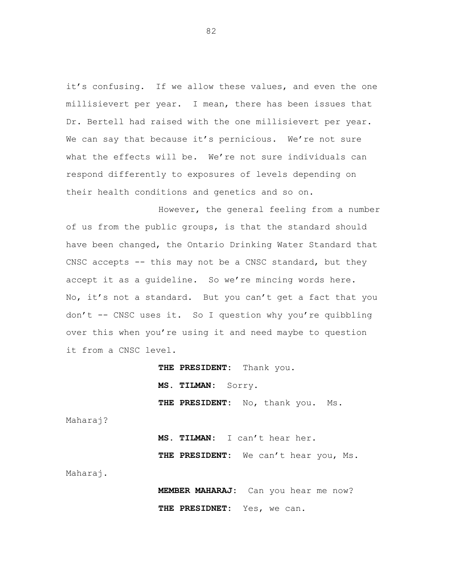it's confusing. If we allow these values, and even the one millisievert per year. I mean, there has been issues that Dr. Bertell had raised with the one millisievert per year. We can say that because it's pernicious. We're not sure what the effects will be. We're not sure individuals can respond differently to exposures of levels depending on their health conditions and genetics and so on.

However, the general feeling from a number of us from the public groups, is that the standard should have been changed, the Ontario Drinking Water Standard that CNSC accepts -- this may not be a CNSC standard, but they accept it as a guideline. So we're mincing words here. No, it's not a standard. But you can't get a fact that you don't -- CNSC uses it. So I question why you're quibbling over this when you're using it and need maybe to question it from a CNSC level.

> **THE PRESIDENT:** Thank you. **MS. TILMAN:** Sorry. THE PRESIDENT: No, thank you. Ms.

Maharaj?

**MS. TILMAN:** I can't hear her. **THE PRESIDENT:** We can't hear you, Ms.

Maharaj.

**MEMBER MAHARAJ:** Can you hear me now? **THE PRESIDNET:** Yes, we can.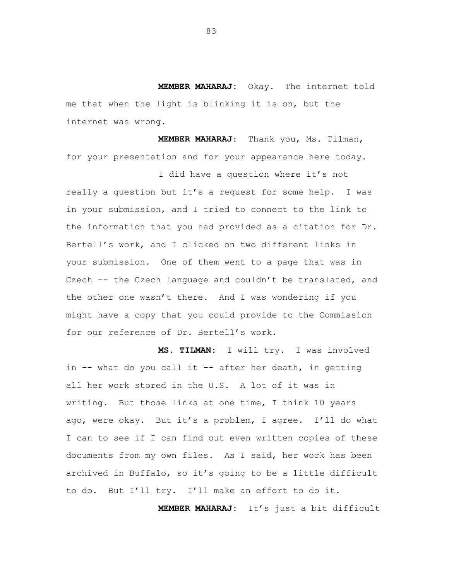**MEMBER MAHARAJ:** Okay. The internet told me that when the light is blinking it is on, but the internet was wrong.

**MEMBER MAHARAJ:** Thank you, Ms. Tilman, for your presentation and for your appearance here today.

I did have a question where it's not

really a question but it's a request for some help. I was in your submission, and I tried to connect to the link to the information that you had provided as a citation for Dr. Bertell's work, and I clicked on two different links in your submission. One of them went to a page that was in Czech -- the Czech language and couldn't be translated, and the other one wasn't there. And I was wondering if you might have a copy that you could provide to the Commission for our reference of Dr. Bertell's work.

**MS. TILMAN:** I will try. I was involved in -- what do you call it -- after her death, in getting all her work stored in the U.S. A lot of it was in writing. But those links at one time, I think 10 years ago, were okay. But it's a problem, I agree. I'll do what I can to see if I can find out even written copies of these documents from my own files. As I said, her work has been archived in Buffalo, so it's going to be a little difficult to do. But I'll try. I'll make an effort to do it.

**MEMBER MAHARAJ:** It's just a bit difficult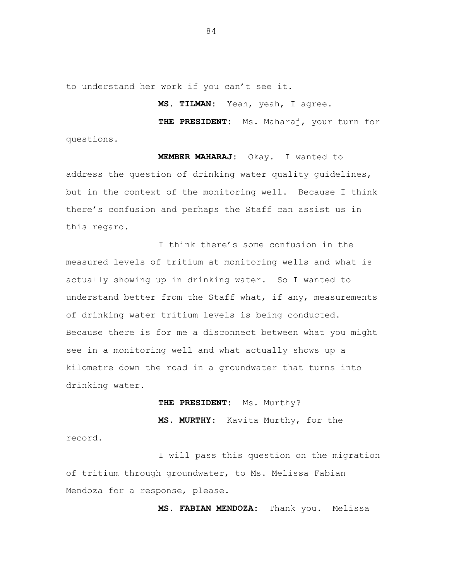to understand her work if you can't see it.

**MS. TILMAN:** Yeah, yeah, I agree.

**THE PRESIDENT:** Ms. Maharaj, your turn for questions.

**MEMBER MAHARAJ:** Okay. I wanted to address the question of drinking water quality guidelines, but in the context of the monitoring well. Because I think there's confusion and perhaps the Staff can assist us in this regard.

I think there's some confusion in the measured levels of tritium at monitoring wells and what is actually showing up in drinking water. So I wanted to understand better from the Staff what, if any, measurements of drinking water tritium levels is being conducted. Because there is for me a disconnect between what you might see in a monitoring well and what actually shows up a kilometre down the road in a groundwater that turns into drinking water.

**THE PRESIDENT:** Ms. Murthy?

**MS. MURTHY:** Kavita Murthy, for the

record.

I will pass this question on the migration of tritium through groundwater, to Ms. Melissa Fabian Mendoza for a response, please.

**MS. FABIAN MENDOZA:** Thank you. Melissa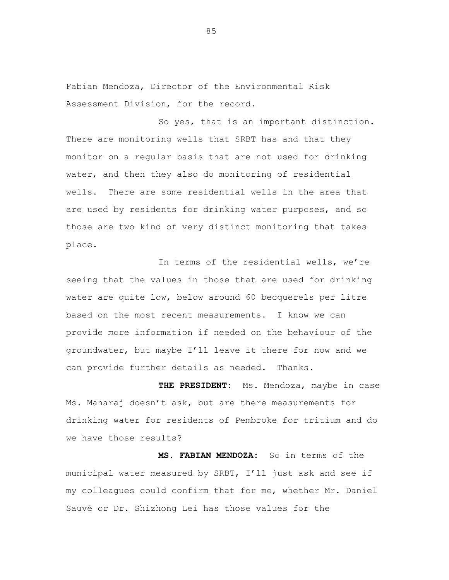Fabian Mendoza, Director of the Environmental Risk Assessment Division, for the record.

So yes, that is an important distinction. There are monitoring wells that SRBT has and that they monitor on a regular basis that are not used for drinking water, and then they also do monitoring of residential wells. There are some residential wells in the area that are used by residents for drinking water purposes, and so those are two kind of very distinct monitoring that takes place.

In terms of the residential wells, we're seeing that the values in those that are used for drinking water are quite low, below around 60 becquerels per litre based on the most recent measurements. I know we can provide more information if needed on the behaviour of the groundwater, but maybe I'll leave it there for now and we can provide further details as needed. Thanks.

**THE PRESIDENT:** Ms. Mendoza, maybe in case Ms. Maharaj doesn't ask, but are there measurements for drinking water for residents of Pembroke for tritium and do we have those results?

**MS. FABIAN MENDOZA:** So in terms of the municipal water measured by SRBT, I'll just ask and see if my colleagues could confirm that for me, whether Mr. Daniel Sauvé or Dr. Shizhong Lei has those values for the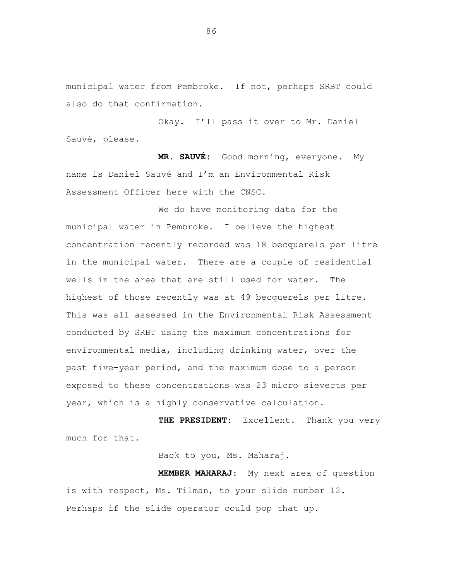municipal water from Pembroke. If not, perhaps SRBT could also do that confirmation.

Okay. I'll pass it over to Mr. Daniel Sauvé, please.

**MR. SAUVÉ:** Good morning, everyone. My name is Daniel Sauvé and I'm an Environmental Risk Assessment Officer here with the CNSC.

We do have monitoring data for the municipal water in Pembroke. I believe the highest concentration recently recorded was 18 becquerels per litre in the municipal water. There are a couple of residential wells in the area that are still used for water. The highest of those recently was at 49 becquerels per litre. This was all assessed in the Environmental Risk Assessment conducted by SRBT using the maximum concentrations for environmental media, including drinking water, over the past five-year period, and the maximum dose to a person exposed to these concentrations was 23 micro sieverts per year, which is a highly conservative calculation.

**THE PRESIDENT:** Excellent. Thank you very much for that.

Back to you, Ms. Maharaj.

**MEMBER MAHARAJ:** My next area of question is with respect, Ms. Tilman, to your slide number 12. Perhaps if the slide operator could pop that up.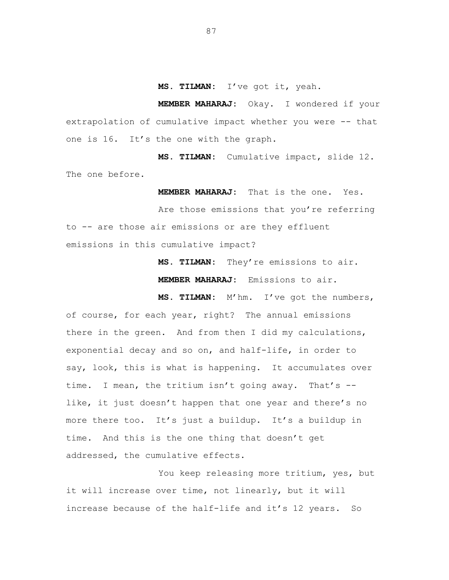**MS. TILMAN:** I've got it, yeah.

**MEMBER MAHARAJ:** Okay. I wondered if your extrapolation of cumulative impact whether you were -- that one is 16. It's the one with the graph.

**MS. TILMAN:** Cumulative impact, slide 12. The one before.

**MEMBER MAHARAJ:** That is the one. Yes.

Are those emissions that you're referring to -- are those air emissions or are they effluent emissions in this cumulative impact?

> **MS. TILMAN:** They're emissions to air. **MEMBER MAHARAJ:** Emissions to air.

**MS. TILMAN:** M'hm. I've got the numbers, of course, for each year, right? The annual emissions there in the green. And from then I did my calculations, exponential decay and so on, and half-life, in order to say, look, this is what is happening. It accumulates over time. I mean, the tritium isn't going away. That's - like, it just doesn't happen that one year and there's no more there too. It's just a buildup. It's a buildup in time. And this is the one thing that doesn't get addressed, the cumulative effects.

You keep releasing more tritium, yes, but it will increase over time, not linearly, but it will increase because of the half-life and it's 12 years. So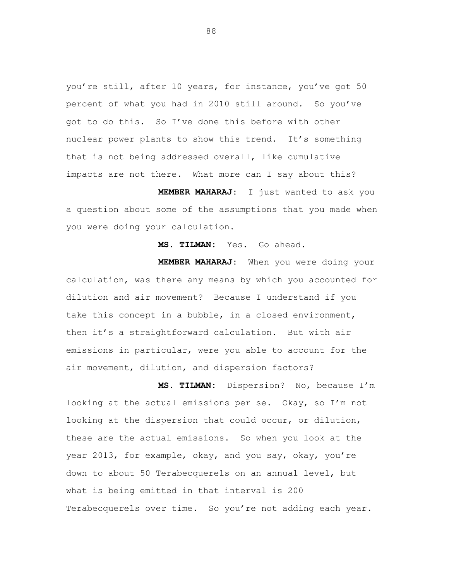you're still, after 10 years, for instance, you've got 50 percent of what you had in 2010 still around. So you've got to do this. So I've done this before with other nuclear power plants to show this trend. It's something that is not being addressed overall, like cumulative impacts are not there. What more can I say about this?

**MEMBER MAHARAJ:** I just wanted to ask you a question about some of the assumptions that you made when you were doing your calculation.

## **MS. TILMAN:** Yes. Go ahead.

**MEMBER MAHARAJ:** When you were doing your calculation, was there any means by which you accounted for dilution and air movement? Because I understand if you take this concept in a bubble, in a closed environment, then it's a straightforward calculation. But with air emissions in particular, were you able to account for the air movement, dilution, and dispersion factors?

**MS. TILMAN:** Dispersion? No, because I'm looking at the actual emissions per se. Okay, so I'm not looking at the dispersion that could occur, or dilution, these are the actual emissions. So when you look at the year 2013, for example, okay, and you say, okay, you're down to about 50 Terabecquerels on an annual level, but what is being emitted in that interval is 200 Terabecquerels over time. So you're not adding each year.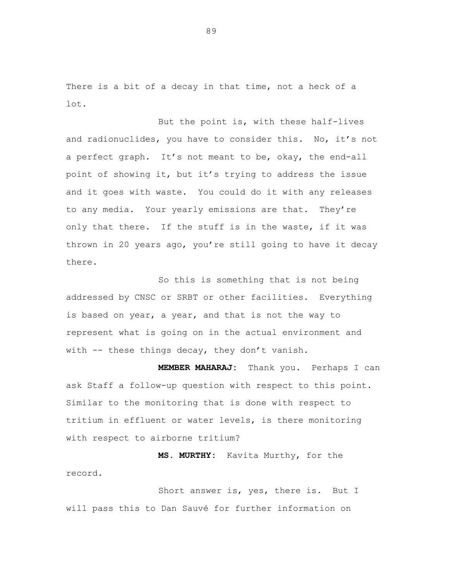There is a bit of a decay in that time, not a heck of a lot.

But the point is, with these half-lives and radionuclides, you have to consider this. No, it's not a perfect graph. It's not meant to be, okay, the end-all point of showing it, but it's trying to address the issue and it goes with waste. You could do it with any releases to any media. Your yearly emissions are that. They're only that there. If the stuff is in the waste, if it was thrown in 20 years ago, you're still going to have it decay there.

So this is something that is not being addressed by CNSC or SRBT or other facilities. Everything is based on year, a year, and that is not the way to represent what is going on in the actual environment and with -- these things decay, they don't vanish.

**MEMBER MAHARAJ:** Thank you. Perhaps I can ask Staff a follow-up question with respect to this point. Similar to the monitoring that is done with respect to tritium in effluent or water levels, is there monitoring with respect to airborne tritium?

**MS. MURTHY:** Kavita Murthy, for the record.

Short answer is, yes, there is. But I will pass this to Dan Sauvé for further information on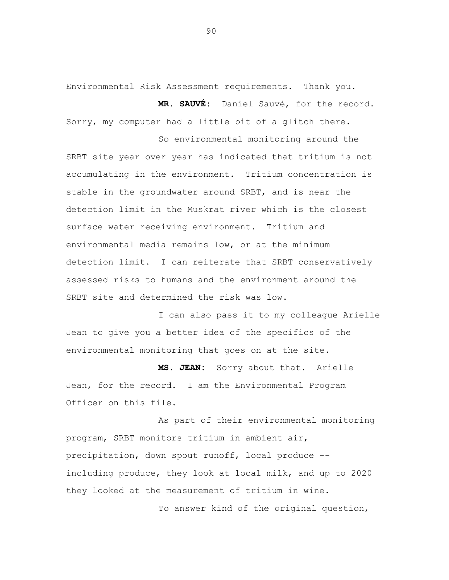Environmental Risk Assessment requirements. Thank you.

**MR. SAUVÉ:** Daniel Sauvé, for the record. Sorry, my computer had a little bit of a glitch there.

So environmental monitoring around the SRBT site year over year has indicated that tritium is not accumulating in the environment. Tritium concentration is stable in the groundwater around SRBT, and is near the detection limit in the Muskrat river which is the closest surface water receiving environment. Tritium and environmental media remains low, or at the minimum detection limit. I can reiterate that SRBT conservatively assessed risks to humans and the environment around the SRBT site and determined the risk was low.

I can also pass it to my colleague Arielle Jean to give you a better idea of the specifics of the environmental monitoring that goes on at the site.

**MS. JEAN:** Sorry about that. Arielle Jean, for the record. I am the Environmental Program Officer on this file.

As part of their environmental monitoring program, SRBT monitors tritium in ambient air, precipitation, down spout runoff, local produce - including produce, they look at local milk, and up to 2020 they looked at the measurement of tritium in wine.

To answer kind of the original question,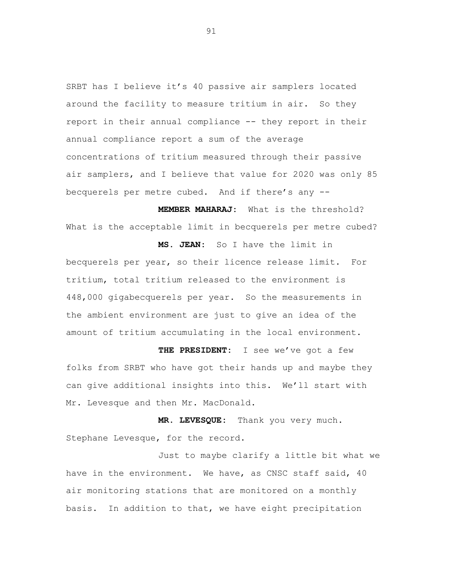SRBT has I believe it's 40 passive air samplers located around the facility to measure tritium in air. So they report in their annual compliance -- they report in their annual compliance report a sum of the average concentrations of tritium measured through their passive air samplers, and I believe that value for 2020 was only 85 becquerels per metre cubed. And if there's any --

**MEMBER MAHARAJ:** What is the threshold? What is the acceptable limit in becquerels per metre cubed?

**MS. JEAN:** So I have the limit in becquerels per year, so their licence release limit. For tritium, total tritium released to the environment is 448,000 gigabecquerels per year. So the measurements in the ambient environment are just to give an idea of the amount of tritium accumulating in the local environment.

**THE PRESIDENT:** I see we've got a few folks from SRBT who have got their hands up and maybe they can give additional insights into this. We'll start with Mr. Levesque and then Mr. MacDonald.

**MR. LEVESQUE:** Thank you very much. Stephane Levesque, for the record.

Just to maybe clarify a little bit what we have in the environment. We have, as CNSC staff said, 40 air monitoring stations that are monitored on a monthly basis. In addition to that, we have eight precipitation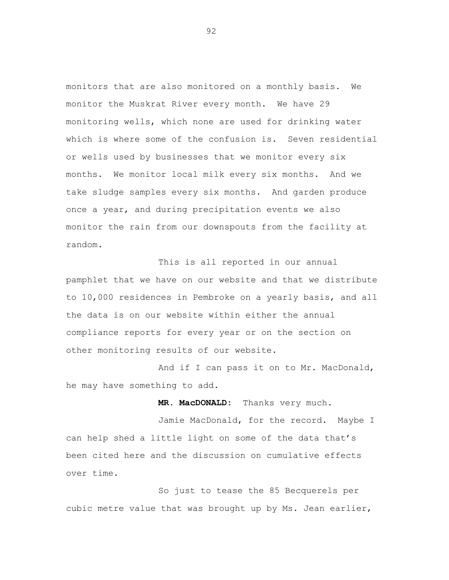monitors that are also monitored on a monthly basis. We monitor the Muskrat River every month. We have 29 monitoring wells, which none are used for drinking water which is where some of the confusion is. Seven residential or wells used by businesses that we monitor every six months. We monitor local milk every six months. And we take sludge samples every six months. And garden produce once a year, and during precipitation events we also monitor the rain from our downspouts from the facility at random.

This is all reported in our annual pamphlet that we have on our website and that we distribute to 10,000 residences in Pembroke on a yearly basis, and all the data is on our website within either the annual compliance reports for every year or on the section on other monitoring results of our website.

And if I can pass it on to Mr. MacDonald, he may have something to add.

**MR. MacDONALD:** Thanks very much.

Jamie MacDonald, for the record. Maybe I can help shed a little light on some of the data that's been cited here and the discussion on cumulative effects over time.

So just to tease the 85 Becquerels per cubic metre value that was brought up by Ms. Jean earlier,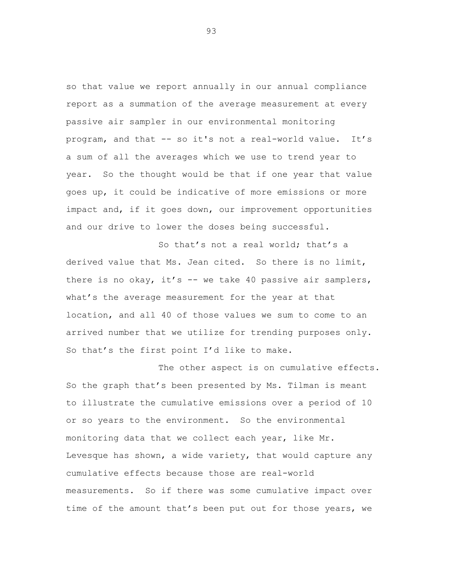so that value we report annually in our annual compliance report as a summation of the average measurement at every passive air sampler in our environmental monitoring program, and that -- so it's not a real-world value. It's a sum of all the averages which we use to trend year to year. So the thought would be that if one year that value goes up, it could be indicative of more emissions or more impact and, if it goes down, our improvement opportunities and our drive to lower the doses being successful.

So that's not a real world; that's a derived value that Ms. Jean cited. So there is no limit, there is no okay, it's -- we take 40 passive air samplers, what's the average measurement for the year at that location, and all 40 of those values we sum to come to an arrived number that we utilize for trending purposes only. So that's the first point I'd like to make.

The other aspect is on cumulative effects. So the graph that's been presented by Ms. Tilman is meant to illustrate the cumulative emissions over a period of 10 or so years to the environment. So the environmental monitoring data that we collect each year, like Mr. Levesque has shown, a wide variety, that would capture any cumulative effects because those are real-world measurements. So if there was some cumulative impact over time of the amount that's been put out for those years, we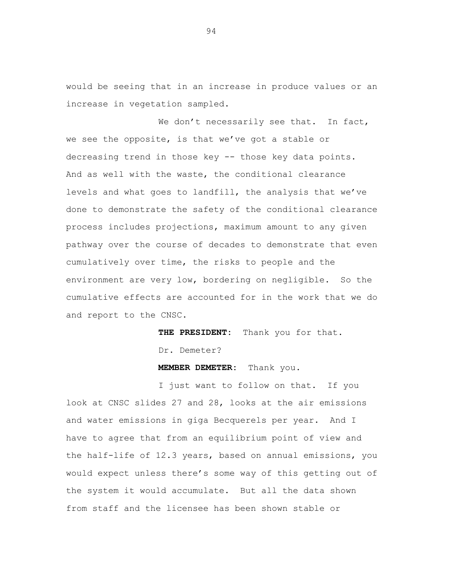would be seeing that in an increase in produce values or an increase in vegetation sampled.

We don't necessarily see that. In fact, we see the opposite, is that we've got a stable or decreasing trend in those key -- those key data points. And as well with the waste, the conditional clearance levels and what goes to landfill, the analysis that we've done to demonstrate the safety of the conditional clearance process includes projections, maximum amount to any given pathway over the course of decades to demonstrate that even cumulatively over time, the risks to people and the environment are very low, bordering on negligible. So the cumulative effects are accounted for in the work that we do and report to the CNSC.

**THE PRESIDENT:** Thank you for that.

Dr. Demeter?

**MEMBER DEMETER:** Thank you.

I just want to follow on that. If you look at CNSC slides 27 and 28, looks at the air emissions and water emissions in giga Becquerels per year. And I have to agree that from an equilibrium point of view and the half-life of 12.3 years, based on annual emissions, you would expect unless there's some way of this getting out of the system it would accumulate. But all the data shown from staff and the licensee has been shown stable or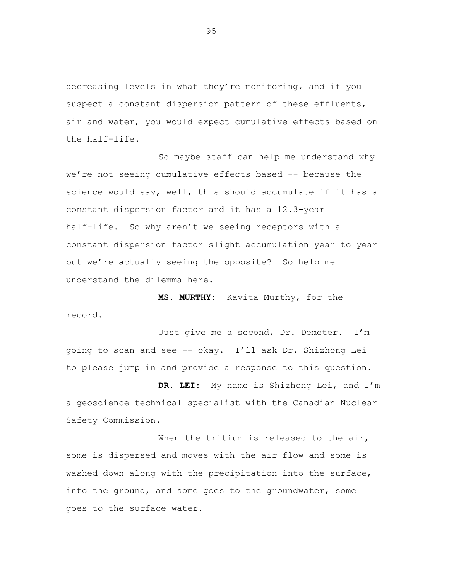decreasing levels in what they're monitoring, and if you suspect a constant dispersion pattern of these effluents, air and water, you would expect cumulative effects based on the half-life.

So maybe staff can help me understand why we're not seeing cumulative effects based -- because the science would say, well, this should accumulate if it has a constant dispersion factor and it has a 12.3-year half-life. So why aren't we seeing receptors with a constant dispersion factor slight accumulation year to year but we're actually seeing the opposite? So help me understand the dilemma here.

**MS. MURTHY:** Kavita Murthy, for the record.

Just give me a second, Dr. Demeter. I'm going to scan and see -- okay. I'll ask Dr. Shizhong Lei to please jump in and provide a response to this question.

**DR. LEI**: My name is Shizhong Lei, and I'm a geoscience technical specialist with the Canadian Nuclear Safety Commission.

When the tritium is released to the air, some is dispersed and moves with the air flow and some is washed down along with the precipitation into the surface, into the ground, and some goes to the groundwater, some goes to the surface water.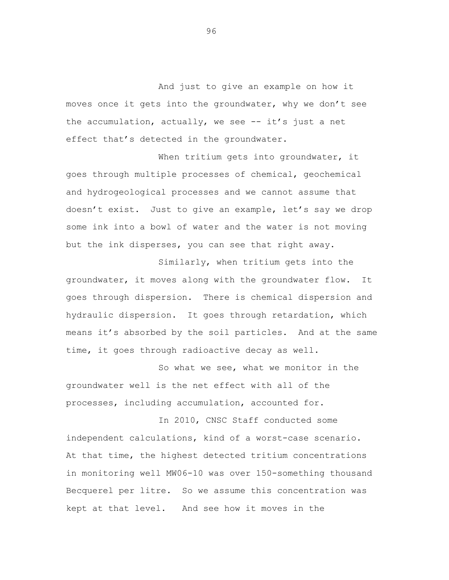And just to give an example on how it moves once it gets into the groundwater, why we don't see the accumulation, actually, we see  $-$  it's just a net effect that's detected in the groundwater.

When tritium gets into groundwater, it goes through multiple processes of chemical, geochemical and hydrogeological processes and we cannot assume that doesn't exist. Just to give an example, let's say we drop some ink into a bowl of water and the water is not moving but the ink disperses, you can see that right away.

Similarly, when tritium gets into the groundwater, it moves along with the groundwater flow. It goes through dispersion. There is chemical dispersion and hydraulic dispersion. It goes through retardation, which means it's absorbed by the soil particles. And at the same time, it goes through radioactive decay as well.

So what we see, what we monitor in the groundwater well is the net effect with all of the processes, including accumulation, accounted for.

In 2010, CNSC Staff conducted some independent calculations, kind of a worst-case scenario. At that time, the highest detected tritium concentrations in monitoring well MW06-10 was over 150-something thousand Becquerel per litre. So we assume this concentration was kept at that level. And see how it moves in the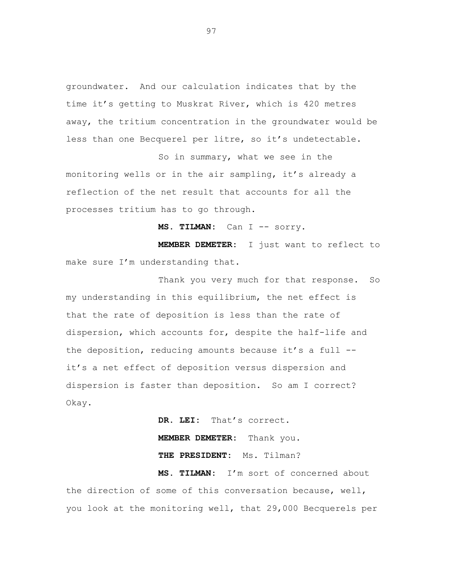groundwater. And our calculation indicates that by the time it's getting to Muskrat River, which is 420 metres away, the tritium concentration in the groundwater would be less than one Becquerel per litre, so it's undetectable.

So in summary, what we see in the monitoring wells or in the air sampling, it's already a reflection of the net result that accounts for all the processes tritium has to go through.

MS. TILMAN: Can I -- sorry.

**MEMBER DEMETER:** I just want to reflect to make sure I'm understanding that.

Thank you very much for that response. So my understanding in this equilibrium, the net effect is that the rate of deposition is less than the rate of dispersion, which accounts for, despite the half-life and the deposition, reducing amounts because it's a full - it's a net effect of deposition versus dispersion and dispersion is faster than deposition. So am I correct? Okay.

> **DR. LEI:** That's correct. **MEMBER DEMETER:** Thank you. **THE PRESIDENT:** Ms. Tilman?

**MS. TILMAN:** I'm sort of concerned about the direction of some of this conversation because, well, you look at the monitoring well, that 29,000 Becquerels per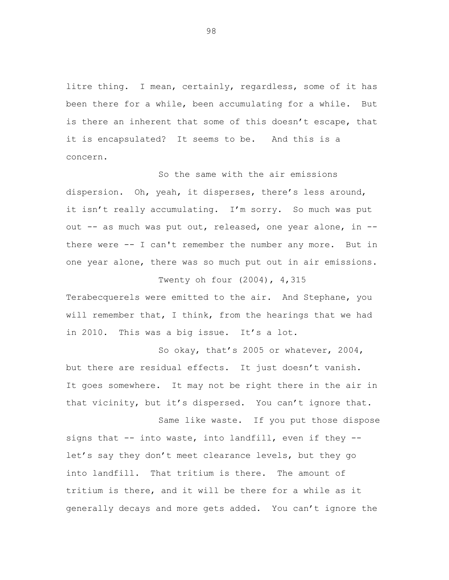litre thing. I mean, certainly, regardless, some of it has been there for a while, been accumulating for a while. But is there an inherent that some of this doesn't escape, that it is encapsulated? It seems to be. And this is a concern.

So the same with the air emissions dispersion. Oh, yeah, it disperses, there's less around, it isn't really accumulating. I'm sorry. So much was put out -- as much was put out, released, one year alone, in - there were -- I can't remember the number any more. But in one year alone, there was so much put out in air emissions.

Terabecquerels were emitted to the air. And Stephane, you will remember that, I think, from the hearings that we had in 2010. This was a big issue. It's a lot.

Twenty oh four (2004), 4,315

So okay, that's 2005 or whatever, 2004, but there are residual effects. It just doesn't vanish. It goes somewhere. It may not be right there in the air in that vicinity, but it's dispersed. You can't ignore that.

Same like waste. If you put those dispose signs that -- into waste, into landfill, even if they - let's say they don't meet clearance levels, but they go into landfill. That tritium is there. The amount of tritium is there, and it will be there for a while as it generally decays and more gets added. You can't ignore the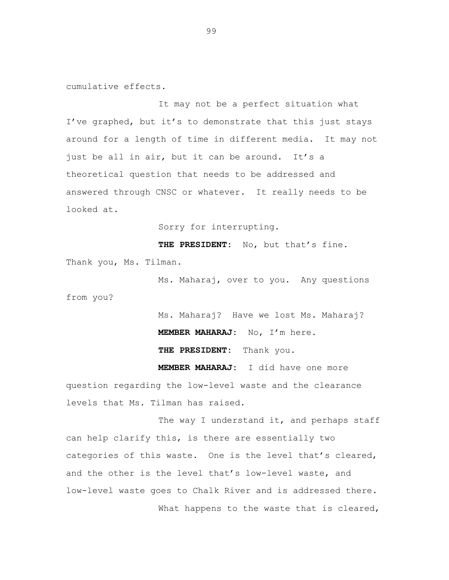cumulative effects.

It may not be a perfect situation what I've graphed, but it's to demonstrate that this just stays around for a length of time in different media. It may not just be all in air, but it can be around. It's a theoretical question that needs to be addressed and answered through CNSC or whatever. It really needs to be looked at.

Sorry for interrupting.

**THE PRESIDENT:** No, but that's fine. Thank you, Ms. Tilman.

Ms. Maharaj, over to you. Any questions from you?

> Ms. Maharaj? Have we lost Ms. Maharaj? **MEMBER MAHARAJ:** No, I'm here. **THE PRESIDENT:** Thank you.

**MEMBER MAHARAJ:** I did have one more question regarding the low-level waste and the clearance levels that Ms. Tilman has raised.

The way I understand it, and perhaps staff can help clarify this, is there are essentially two categories of this waste. One is the level that's cleared, and the other is the level that's low-level waste, and low-level waste goes to Chalk River and is addressed there. What happens to the waste that is cleared,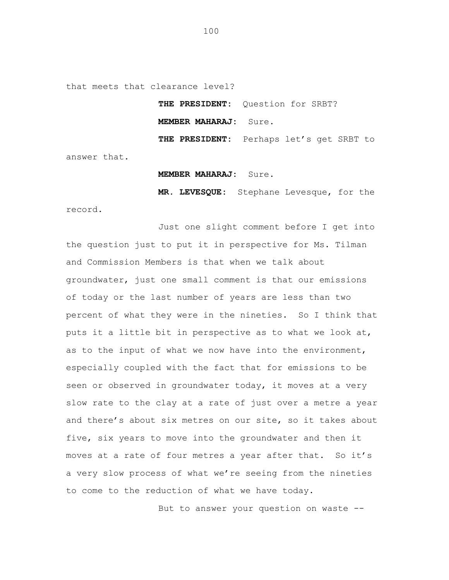that meets that clearance level?

**THE PRESIDENT:** Question for SRBT? **MEMBER MAHARAJ:** Sure. **THE PRESIDENT:** Perhaps let's get SRBT to

answer that.

## **MEMBER MAHARAJ:** Sure.

**MR. LEVESQUE:** Stephane Levesque, for the record.

Just one slight comment before I get into the question just to put it in perspective for Ms. Tilman and Commission Members is that when we talk about groundwater, just one small comment is that our emissions of today or the last number of years are less than two percent of what they were in the nineties. So I think that puts it a little bit in perspective as to what we look at, as to the input of what we now have into the environment, especially coupled with the fact that for emissions to be seen or observed in groundwater today, it moves at a very slow rate to the clay at a rate of just over a metre a year and there's about six metres on our site, so it takes about five, six years to move into the groundwater and then it moves at a rate of four metres a year after that. So it's a very slow process of what we're seeing from the nineties to come to the reduction of what we have today.

But to answer your question on waste --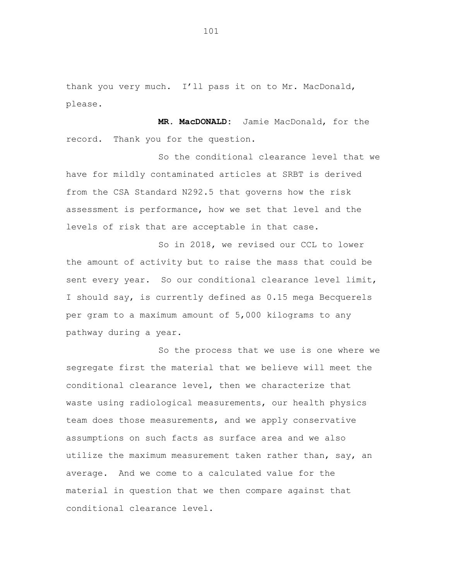thank you very much. I'll pass it on to Mr. MacDonald, please.

**MR. MacDONALD:** Jamie MacDonald, for the record. Thank you for the question.

So the conditional clearance level that we have for mildly contaminated articles at SRBT is derived from the CSA Standard N292.5 that governs how the risk assessment is performance, how we set that level and the levels of risk that are acceptable in that case.

So in 2018, we revised our CCL to lower the amount of activity but to raise the mass that could be sent every year. So our conditional clearance level limit, I should say, is currently defined as 0.15 mega Becquerels per gram to a maximum amount of 5,000 kilograms to any pathway during a year.

So the process that we use is one where we segregate first the material that we believe will meet the conditional clearance level, then we characterize that waste using radiological measurements, our health physics team does those measurements, and we apply conservative assumptions on such facts as surface area and we also utilize the maximum measurement taken rather than, say, an average. And we come to a calculated value for the material in question that we then compare against that conditional clearance level.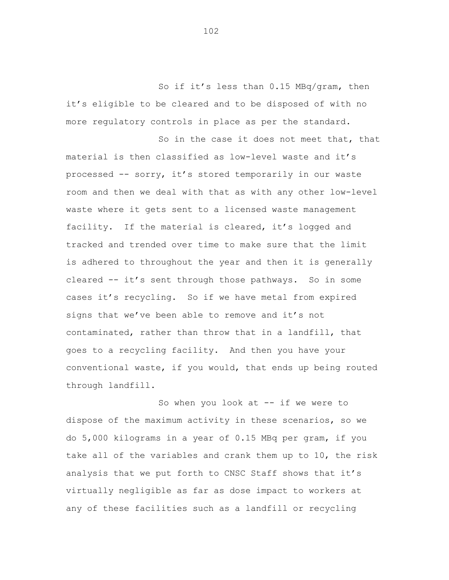So if it's less than 0.15 MBq/gram, then it's eligible to be cleared and to be disposed of with no more regulatory controls in place as per the standard.

So in the case it does not meet that, that material is then classified as low-level waste and it's processed -- sorry, it's stored temporarily in our waste room and then we deal with that as with any other low-level waste where it gets sent to a licensed waste management facility. If the material is cleared, it's logged and tracked and trended over time to make sure that the limit is adhered to throughout the year and then it is generally cleared -- it's sent through those pathways. So in some cases it's recycling. So if we have metal from expired signs that we've been able to remove and it's not contaminated, rather than throw that in a landfill, that goes to a recycling facility. And then you have your conventional waste, if you would, that ends up being routed through landfill.

So when you look at  $-$  if we were to dispose of the maximum activity in these scenarios, so we do 5,000 kilograms in a year of 0.15 MBq per gram, if you take all of the variables and crank them up to 10, the risk analysis that we put forth to CNSC Staff shows that it's virtually negligible as far as dose impact to workers at any of these facilities such as a landfill or recycling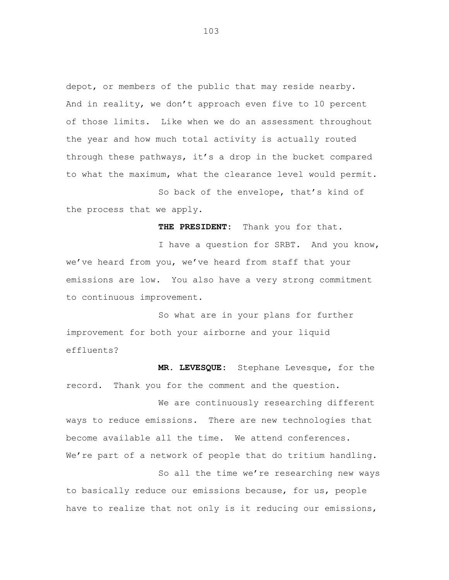depot, or members of the public that may reside nearby. And in reality, we don't approach even five to 10 percent of those limits. Like when we do an assessment throughout the year and how much total activity is actually routed through these pathways, it's a drop in the bucket compared to what the maximum, what the clearance level would permit.

So back of the envelope, that's kind of the process that we apply.

**THE PRESIDENT:** Thank you for that.

I have a question for SRBT. And you know, we've heard from you, we've heard from staff that your emissions are low. You also have a very strong commitment to continuous improvement.

So what are in your plans for further improvement for both your airborne and your liquid effluents?

**MR. LEVESQUE:** Stephane Levesque, for the record. Thank you for the comment and the question.

We are continuously researching different ways to reduce emissions. There are new technologies that become available all the time. We attend conferences. We're part of a network of people that do tritium handling.

So all the time we're researching new ways to basically reduce our emissions because, for us, people have to realize that not only is it reducing our emissions,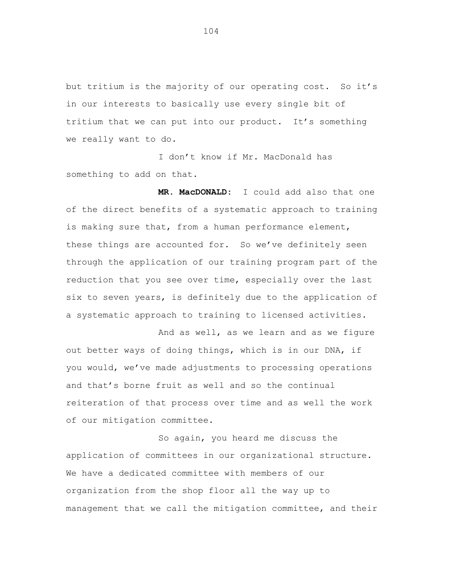but tritium is the majority of our operating cost. So it's in our interests to basically use every single bit of tritium that we can put into our product. It's something we really want to do.

I don't know if Mr. MacDonald has something to add on that.

**MR. MacDONALD:** I could add also that one of the direct benefits of a systematic approach to training is making sure that, from a human performance element, these things are accounted for. So we've definitely seen through the application of our training program part of the reduction that you see over time, especially over the last six to seven years, is definitely due to the application of a systematic approach to training to licensed activities.

And as well, as we learn and as we figure out better ways of doing things, which is in our DNA, if you would, we've made adjustments to processing operations and that's borne fruit as well and so the continual reiteration of that process over time and as well the work of our mitigation committee.

So again, you heard me discuss the application of committees in our organizational structure. We have a dedicated committee with members of our organization from the shop floor all the way up to management that we call the mitigation committee, and their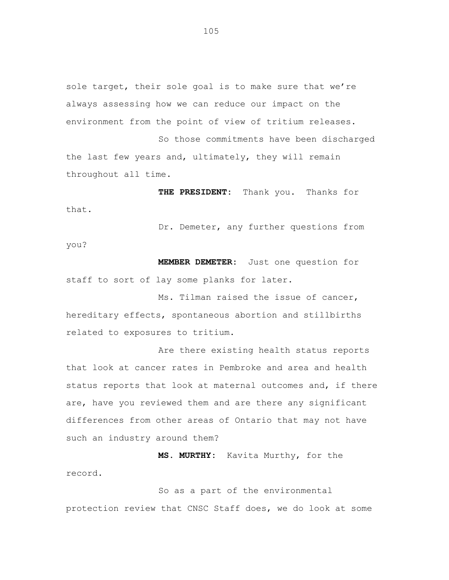sole target, their sole goal is to make sure that we're always assessing how we can reduce our impact on the environment from the point of view of tritium releases.

So those commitments have been discharged the last few years and, ultimately, they will remain throughout all time.

**THE PRESIDENT:** Thank you. Thanks for that.

Dr. Demeter, any further questions from you?

**MEMBER DEMETER:** Just one question for staff to sort of lay some planks for later.

Ms. Tilman raised the issue of cancer, hereditary effects, spontaneous abortion and stillbirths related to exposures to tritium.

Are there existing health status reports that look at cancer rates in Pembroke and area and health status reports that look at maternal outcomes and, if there are, have you reviewed them and are there any significant differences from other areas of Ontario that may not have such an industry around them?

**MS. MURTHY:** Kavita Murthy, for the record.

So as a part of the environmental protection review that CNSC Staff does, we do look at some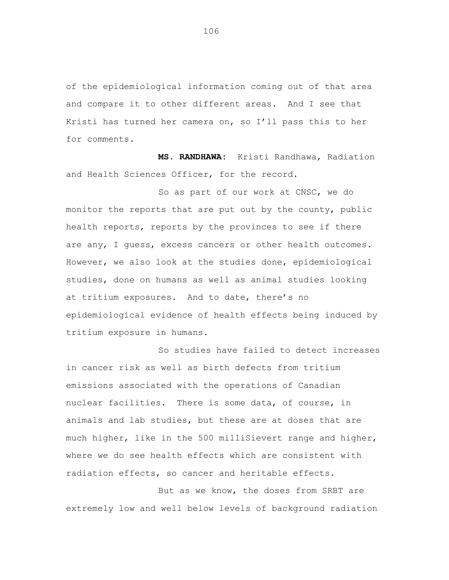of the epidemiological information coming out of that area and compare it to other different areas. And I see that Kristi has turned her camera on, so I'll pass this to her for comments.

**MS. RANDHAWA:** Kristi Randhawa, Radiation and Health Sciences Officer, for the record.

So as part of our work at CNSC, we do monitor the reports that are put out by the county, public health reports, reports by the provinces to see if there are any, I guess, excess cancers or other health outcomes. However, we also look at the studies done, epidemiological studies, done on humans as well as animal studies looking at tritium exposures. And to date, there's no epidemiological evidence of health effects being induced by tritium exposure in humans.

So studies have failed to detect increases in cancer risk as well as birth defects from tritium emissions associated with the operations of Canadian nuclear facilities. There is some data, of course, in animals and lab studies, but these are at doses that are much higher, like in the 500 milliSievert range and higher, where we do see health effects which are consistent with radiation effects, so cancer and heritable effects.

But as we know, the doses from SRBT are extremely low and well below levels of background radiation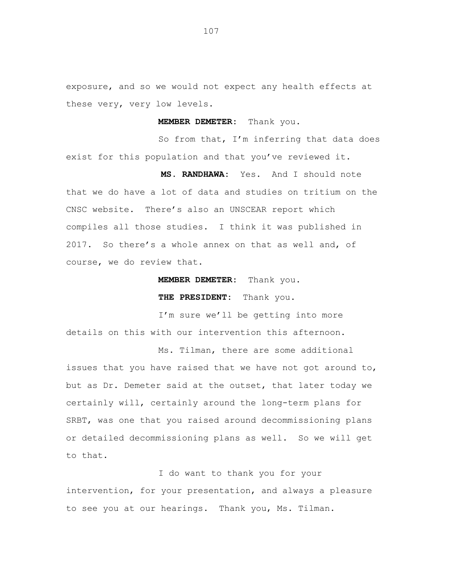exposure, and so we would not expect any health effects at these very, very low levels.

**MEMBER DEMETER:** Thank you.

So from that, I'm inferring that data does exist for this population and that you've reviewed it.

**MS. RANDHAWA:** Yes. And I should note that we do have a lot of data and studies on tritium on the CNSC website. There's also an UNSCEAR report which compiles all those studies. I think it was published in 2017. So there's a whole annex on that as well and, of course, we do review that.

**MEMBER DEMETER:** Thank you.

**THE PRESIDENT:** Thank you.

I'm sure we'll be getting into more details on this with our intervention this afternoon.

Ms. Tilman, there are some additional issues that you have raised that we have not got around to, but as Dr. Demeter said at the outset, that later today we certainly will, certainly around the long-term plans for SRBT, was one that you raised around decommissioning plans or detailed decommissioning plans as well. So we will get to that.

I do want to thank you for your intervention, for your presentation, and always a pleasure to see you at our hearings. Thank you, Ms. Tilman.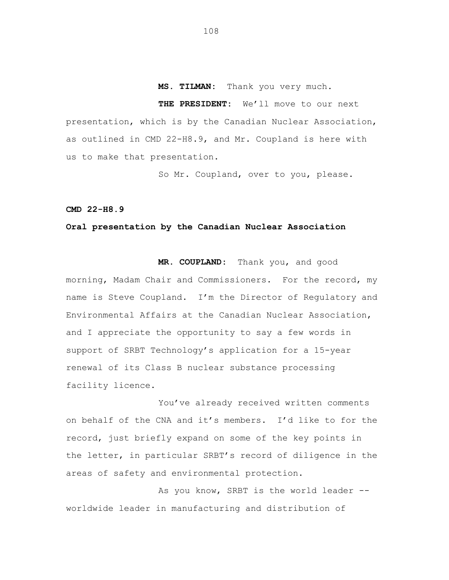# **MS. TILMAN:** Thank you very much.

**THE PRESIDENT:** We'll move to our next presentation, which is by the Canadian Nuclear Association, as outlined in CMD 22-H8.9, and Mr. Coupland is here with us to make that presentation.

So Mr. Coupland, over to you, please.

**CMD 22-H8.9**

### **Oral presentation by the Canadian Nuclear Association**

**MR. COUPLAND:** Thank you, and good morning, Madam Chair and Commissioners. For the record, my name is Steve Coupland. I'm the Director of Regulatory and Environmental Affairs at the Canadian Nuclear Association, and I appreciate the opportunity to say a few words in support of SRBT Technology's application for a 15-year renewal of its Class B nuclear substance processing facility licence.

You've already received written comments on behalf of the CNA and it's members. I'd like to for the record, just briefly expand on some of the key points in the letter, in particular SRBT's record of diligence in the areas of safety and environmental protection.

As you know, SRBT is the world leader - worldwide leader in manufacturing and distribution of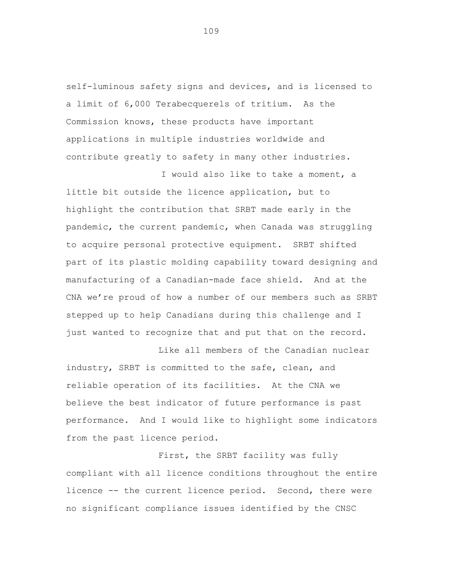self-luminous safety signs and devices, and is licensed to a limit of 6,000 Terabecquerels of tritium. As the Commission knows, these products have important applications in multiple industries worldwide and contribute greatly to safety in many other industries.

I would also like to take a moment, a

little bit outside the licence application, but to highlight the contribution that SRBT made early in the pandemic, the current pandemic, when Canada was struggling to acquire personal protective equipment. SRBT shifted part of its plastic molding capability toward designing and manufacturing of a Canadian-made face shield. And at the CNA we're proud of how a number of our members such as SRBT stepped up to help Canadians during this challenge and I just wanted to recognize that and put that on the record.

Like all members of the Canadian nuclear industry, SRBT is committed to the safe, clean, and reliable operation of its facilities. At the CNA we believe the best indicator of future performance is past performance. And I would like to highlight some indicators from the past licence period.

First, the SRBT facility was fully compliant with all licence conditions throughout the entire licence -- the current licence period. Second, there were no significant compliance issues identified by the CNSC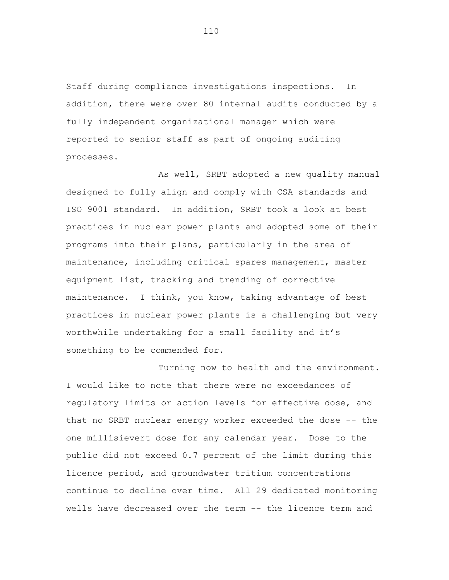Staff during compliance investigations inspections. In addition, there were over 80 internal audits conducted by a fully independent organizational manager which were reported to senior staff as part of ongoing auditing processes.

As well, SRBT adopted a new quality manual designed to fully align and comply with CSA standards and ISO 9001 standard. In addition, SRBT took a look at best practices in nuclear power plants and adopted some of their programs into their plans, particularly in the area of maintenance, including critical spares management, master equipment list, tracking and trending of corrective maintenance. I think, you know, taking advantage of best practices in nuclear power plants is a challenging but very worthwhile undertaking for a small facility and it's something to be commended for.

Turning now to health and the environment. I would like to note that there were no exceedances of regulatory limits or action levels for effective dose, and that no SRBT nuclear energy worker exceeded the dose -- the one millisievert dose for any calendar year. Dose to the public did not exceed 0.7 percent of the limit during this licence period, and groundwater tritium concentrations continue to decline over time. All 29 dedicated monitoring wells have decreased over the term -- the licence term and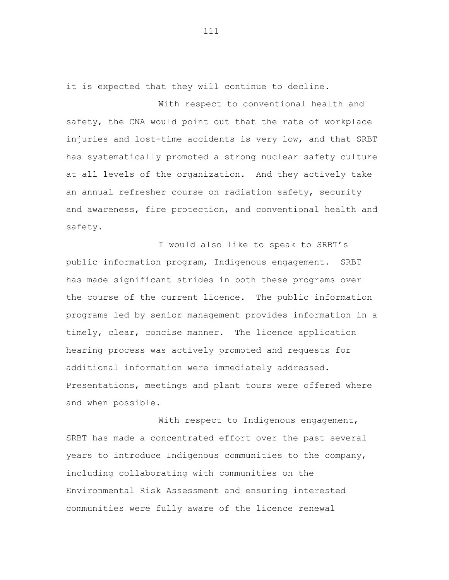it is expected that they will continue to decline.

With respect to conventional health and safety, the CNA would point out that the rate of workplace injuries and lost-time accidents is very low, and that SRBT has systematically promoted a strong nuclear safety culture at all levels of the organization. And they actively take an annual refresher course on radiation safety, security and awareness, fire protection, and conventional health and safety.

I would also like to speak to SRBT's public information program, Indigenous engagement. SRBT has made significant strides in both these programs over the course of the current licence. The public information programs led by senior management provides information in a timely, clear, concise manner. The licence application hearing process was actively promoted and requests for additional information were immediately addressed. Presentations, meetings and plant tours were offered where and when possible.

With respect to Indigenous engagement, SRBT has made a concentrated effort over the past several years to introduce Indigenous communities to the company, including collaborating with communities on the Environmental Risk Assessment and ensuring interested communities were fully aware of the licence renewal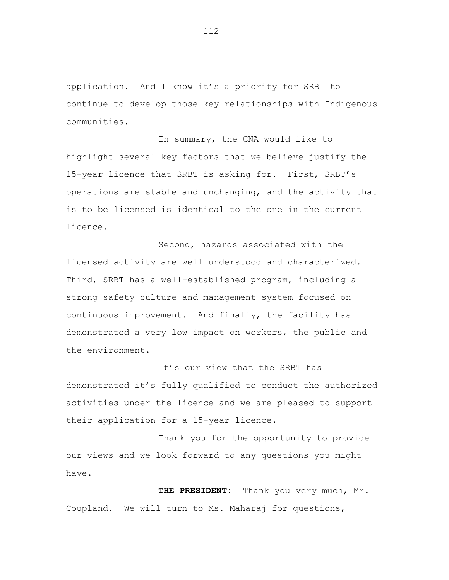application. And I know it's a priority for SRBT to continue to develop those key relationships with Indigenous communities.

In summary, the CNA would like to highlight several key factors that we believe justify the 15-year licence that SRBT is asking for. First, SRBT's operations are stable and unchanging, and the activity that is to be licensed is identical to the one in the current licence.

Second, hazards associated with the licensed activity are well understood and characterized. Third, SRBT has a well-established program, including a strong safety culture and management system focused on continuous improvement. And finally, the facility has demonstrated a very low impact on workers, the public and the environment.

It's our view that the SRBT has demonstrated it's fully qualified to conduct the authorized activities under the licence and we are pleased to support their application for a 15-year licence.

Thank you for the opportunity to provide our views and we look forward to any questions you might have.

**THE PRESIDENT:** Thank you very much, Mr. Coupland. We will turn to Ms. Maharaj for questions,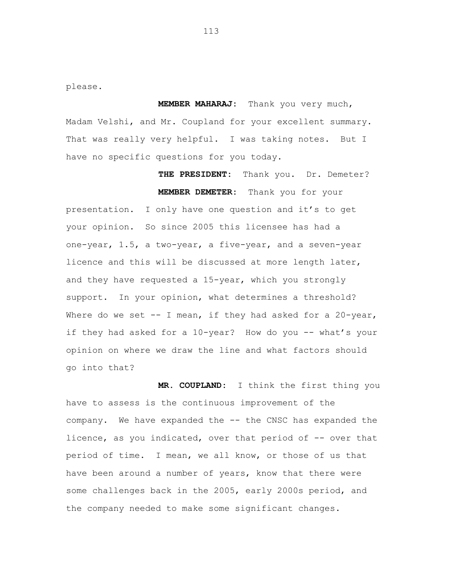please.

**MEMBER MAHARAJ:** Thank you very much, Madam Velshi, and Mr. Coupland for your excellent summary. That was really very helpful. I was taking notes. But I have no specific questions for you today.

**THE PRESIDENT:** Thank you. Dr. Demeter? **MEMBER DEMETER:** Thank you for your presentation. I only have one question and it's to get your opinion. So since 2005 this licensee has had a one-year, 1.5, a two-year, a five-year, and a seven-year licence and this will be discussed at more length later, and they have requested a 15-year, which you strongly support. In your opinion, what determines a threshold? Where do we set  $-$ - I mean, if they had asked for a 20-year, if they had asked for a 10-year? How do you -- what's your opinion on where we draw the line and what factors should go into that?

**MR. COUPLAND:** I think the first thing you have to assess is the continuous improvement of the company. We have expanded the -- the CNSC has expanded the licence, as you indicated, over that period of -- over that period of time. I mean, we all know, or those of us that have been around a number of years, know that there were some challenges back in the 2005, early 2000s period, and the company needed to make some significant changes.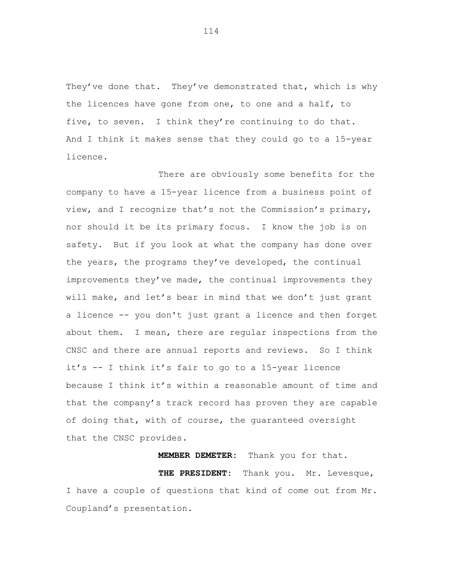They've done that. They've demonstrated that, which is why the licences have gone from one, to one and a half, to five, to seven. I think they're continuing to do that. And I think it makes sense that they could go to a 15-year licence.

There are obviously some benefits for the company to have a 15-year licence from a business point of view, and I recognize that's not the Commission's primary, nor should it be its primary focus. I know the job is on safety. But if you look at what the company has done over the years, the programs they've developed, the continual improvements they've made, the continual improvements they will make, and let's bear in mind that we don't just grant a licence -- you don't just grant a licence and then forget about them. I mean, there are regular inspections from the CNSC and there are annual reports and reviews. So I think it's -- I think it's fair to go to a 15-year licence because I think it's within a reasonable amount of time and that the company's track record has proven they are capable of doing that, with of course, the guaranteed oversight that the CNSC provides.

**MEMBER DEMETER:** Thank you for that.

**THE PRESIDENT:** Thank you. Mr. Levesque, I have a couple of questions that kind of come out from Mr. Coupland's presentation.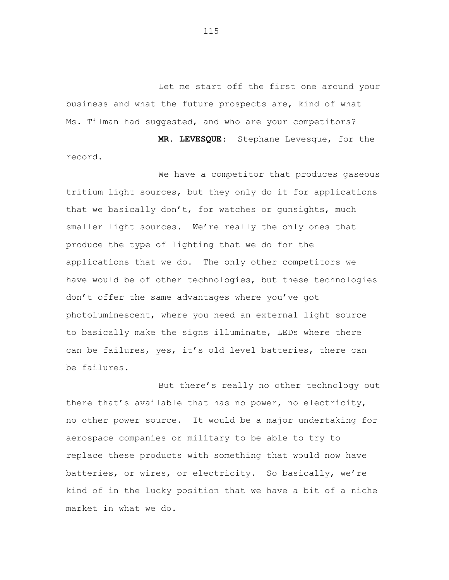Let me start off the first one around your business and what the future prospects are, kind of what Ms. Tilman had suggested, and who are your competitors? **MR. LEVESQUE:** Stephane Levesque, for the

record.

We have a competitor that produces gaseous tritium light sources, but they only do it for applications that we basically don't, for watches or gunsights, much smaller light sources. We're really the only ones that produce the type of lighting that we do for the applications that we do. The only other competitors we have would be of other technologies, but these technologies don't offer the same advantages where you've got photoluminescent, where you need an external light source to basically make the signs illuminate, LEDs where there can be failures, yes, it's old level batteries, there can be failures.

But there's really no other technology out there that's available that has no power, no electricity, no other power source. It would be a major undertaking for aerospace companies or military to be able to try to replace these products with something that would now have batteries, or wires, or electricity. So basically, we're kind of in the lucky position that we have a bit of a niche market in what we do.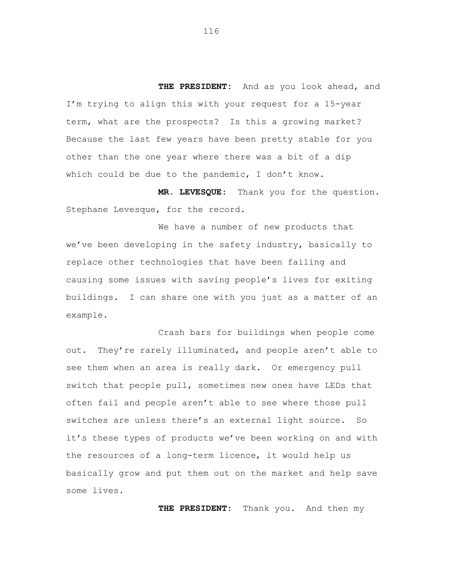**THE PRESIDENT:** And as you look ahead, and I'm trying to align this with your request for a 15-year term, what are the prospects? Is this a growing market? Because the last few years have been pretty stable for you other than the one year where there was a bit of a dip which could be due to the pandemic, I don't know.

**MR. LEVESQUE:** Thank you for the question. Stephane Levesque, for the record.

We have a number of new products that we've been developing in the safety industry, basically to replace other technologies that have been failing and causing some issues with saving people's lives for exiting buildings. I can share one with you just as a matter of an example.

Crash bars for buildings when people come out. They're rarely illuminated, and people aren't able to see them when an area is really dark. Or emergency pull switch that people pull, sometimes new ones have LEDs that often fail and people aren't able to see where those pull switches are unless there's an external light source. So it's these types of products we've been working on and with the resources of a long-term licence, it would help us basically grow and put them out on the market and help save some lives.

**THE PRESIDENT:** Thank you. And then my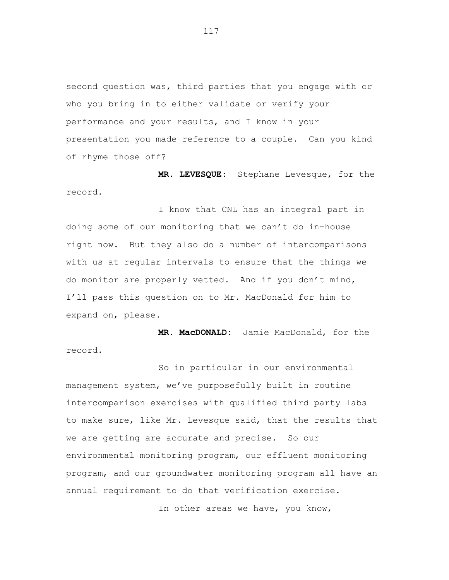second question was, third parties that you engage with or who you bring in to either validate or verify your performance and your results, and I know in your presentation you made reference to a couple. Can you kind of rhyme those off?

**MR. LEVESQUE:** Stephane Levesque, for the record.

I know that CNL has an integral part in doing some of our monitoring that we can't do in-house right now. But they also do a number of intercomparisons with us at regular intervals to ensure that the things we do monitor are properly vetted. And if you don't mind, I'll pass this question on to Mr. MacDonald for him to expand on, please.

**MR. MacDONALD:** Jamie MacDonald, for the record.

So in particular in our environmental management system, we've purposefully built in routine intercomparison exercises with qualified third party labs to make sure, like Mr. Levesque said, that the results that we are getting are accurate and precise. So our environmental monitoring program, our effluent monitoring program, and our groundwater monitoring program all have an annual requirement to do that verification exercise.

In other areas we have, you know,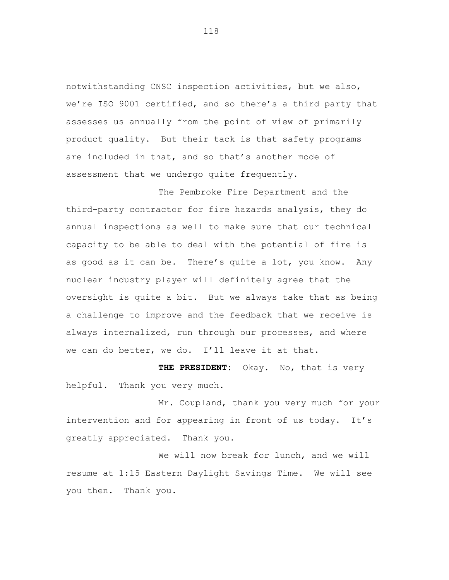notwithstanding CNSC inspection activities, but we also, we're ISO 9001 certified, and so there's a third party that assesses us annually from the point of view of primarily product quality. But their tack is that safety programs are included in that, and so that's another mode of assessment that we undergo quite frequently.

The Pembroke Fire Department and the third-party contractor for fire hazards analysis, they do annual inspections as well to make sure that our technical capacity to be able to deal with the potential of fire is as good as it can be. There's quite a lot, you know. Any nuclear industry player will definitely agree that the oversight is quite a bit. But we always take that as being a challenge to improve and the feedback that we receive is always internalized, run through our processes, and where we can do better, we do. I'll leave it at that.

**THE PRESIDENT:** Okay. No, that is very helpful. Thank you very much.

Mr. Coupland, thank you very much for your intervention and for appearing in front of us today. It's greatly appreciated. Thank you.

We will now break for lunch, and we will resume at 1:15 Eastern Daylight Savings Time. We will see you then. Thank you.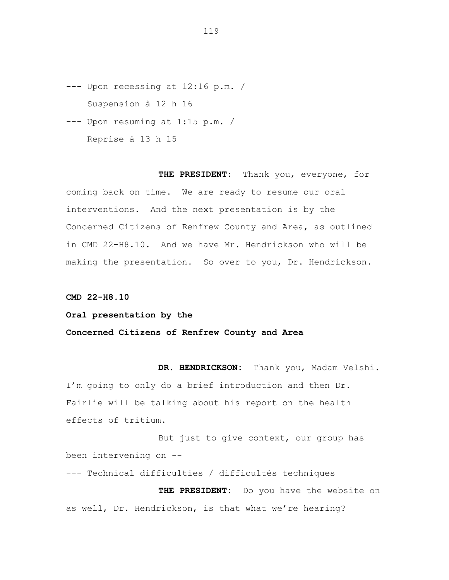- --- Upon recessing at 12:16 p.m. / Suspension à 12 h 16
- --- Upon resuming at 1:15 p.m. / Reprise à 13 h 15

**THE PRESIDENT:** Thank you, everyone, for coming back on time. We are ready to resume our oral interventions. And the next presentation is by the Concerned Citizens of Renfrew County and Area, as outlined in CMD 22-H8.10. And we have Mr. Hendrickson who will be making the presentation. So over to you, Dr. Hendrickson.

**CMD 22-H8.10**

## **Oral presentation by the**

## **Concerned Citizens of Renfrew County and Area**

**DR. HENDRICKSON:** Thank you, Madam Velshi. I'm going to only do a brief introduction and then Dr. Fairlie will be talking about his report on the health effects of tritium.

But just to give context, our group has been intervening on --

--- Technical difficulties / difficultés techniques **THE PRESIDENT:** Do you have the website on as well, Dr. Hendrickson, is that what we're hearing?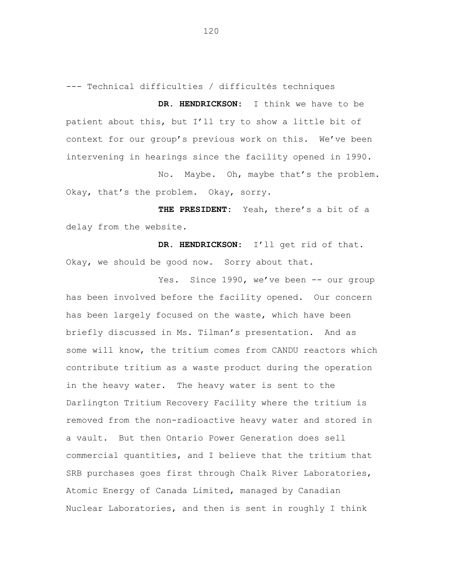--- Technical difficulties / difficultés techniques

**DR. HENDRICKSON:** I think we have to be patient about this, but I'll try to show a little bit of context for our group's previous work on this. We've been intervening in hearings since the facility opened in 1990.

No. Maybe. Oh, maybe that's the problem. Okay, that's the problem. Okay, sorry.

**THE PRESIDENT:** Yeah, there's a bit of a delay from the website.

**DR. HENDRICKSON:** I'll get rid of that. Okay, we should be good now. Sorry about that.

Yes. Since 1990, we've been -- our group has been involved before the facility opened. Our concern has been largely focused on the waste, which have been briefly discussed in Ms. Tilman's presentation. And as some will know, the tritium comes from CANDU reactors which contribute tritium as a waste product during the operation in the heavy water. The heavy water is sent to the Darlington Tritium Recovery Facility where the tritium is removed from the non-radioactive heavy water and stored in a vault. But then Ontario Power Generation does sell commercial quantities, and I believe that the tritium that SRB purchases goes first through Chalk River Laboratories, Atomic Energy of Canada Limited, managed by Canadian Nuclear Laboratories, and then is sent in roughly I think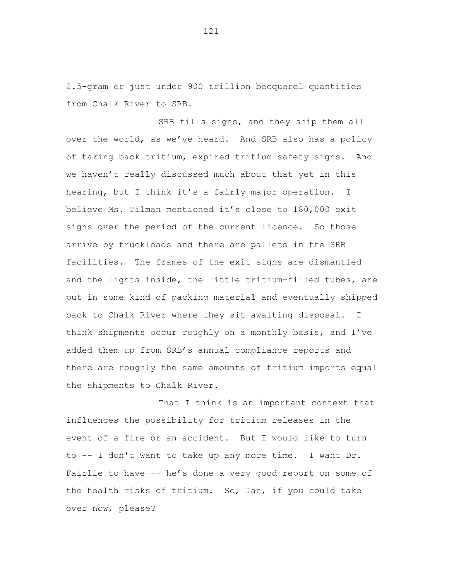2.5-gram or just under 900 trillion becquerel quantities from Chalk River to SRB.

SRB fills signs, and they ship them all over the world, as we've heard. And SRB also has a policy of taking back tritium, expired tritium safety signs. And we haven't really discussed much about that yet in this hearing, but I think it's a fairly major operation. I believe Ms. Tilman mentioned it's close to 180,000 exit signs over the period of the current licence. So those arrive by truckloads and there are pallets in the SRB facilities. The frames of the exit signs are dismantled and the lights inside, the little tritium-filled tubes, are put in some kind of packing material and eventually shipped back to Chalk River where they sit awaiting disposal. I think shipments occur roughly on a monthly basis, and I've added them up from SRB's annual compliance reports and there are roughly the same amounts of tritium imports equal the shipments to Chalk River.

That I think is an important context that influences the possibility for tritium releases in the event of a fire or an accident. But I would like to turn to -- I don't want to take up any more time. I want Dr. Fairlie to have -- he's done a very good report on some of the health risks of tritium. So, Ian, if you could take over now, please?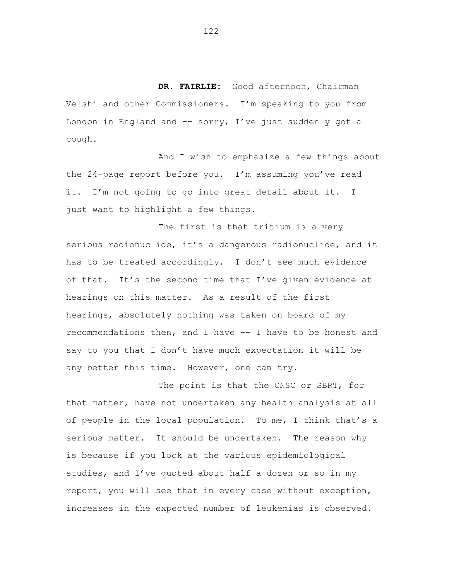**DR. FAIRLIE:** Good afternoon, Chairman Velshi and other Commissioners. I'm speaking to you from London in England and -- sorry, I've just suddenly got a cough.

And I wish to emphasize a few things about the 24-page report before you. I'm assuming you've read it. I'm not going to go into great detail about it. I just want to highlight a few things.

The first is that tritium is a very serious radionuclide, it's a dangerous radionuclide, and it has to be treated accordingly. I don't see much evidence of that. It's the second time that I've given evidence at hearings on this matter. As a result of the first hearings, absolutely nothing was taken on board of my recommendations then, and I have -- I have to be honest and say to you that I don't have much expectation it will be any better this time. However, one can try.

The point is that the CNSC or SBRT, for that matter, have not undertaken any health analysis at all of people in the local population. To me, I think that's a serious matter. It should be undertaken. The reason why is because if you look at the various epidemiological studies, and I've quoted about half a dozen or so in my report, you will see that in every case without exception, increases in the expected number of leukemias is observed.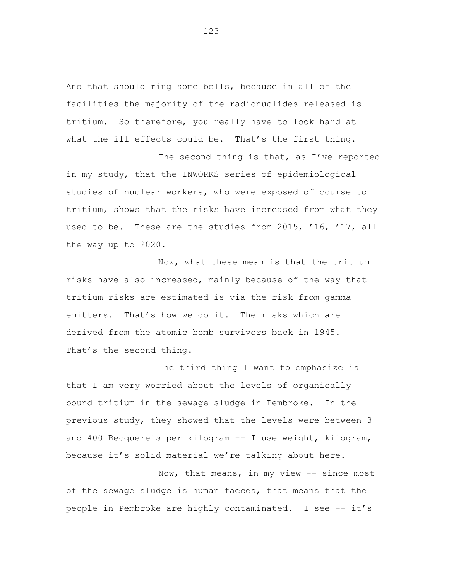And that should ring some bells, because in all of the facilities the majority of the radionuclides released is tritium. So therefore, you really have to look hard at what the ill effects could be. That's the first thing.

The second thing is that, as I've reported in my study, that the INWORKS series of epidemiological studies of nuclear workers, who were exposed of course to tritium, shows that the risks have increased from what they used to be. These are the studies from 2015, '16, '17, all the way up to 2020.

Now, what these mean is that the tritium risks have also increased, mainly because of the way that tritium risks are estimated is via the risk from gamma emitters. That's how we do it. The risks which are derived from the atomic bomb survivors back in 1945. That's the second thing.

The third thing I want to emphasize is that I am very worried about the levels of organically bound tritium in the sewage sludge in Pembroke. In the previous study, they showed that the levels were between 3 and 400 Becquerels per kilogram -- I use weight, kilogram, because it's solid material we're talking about here.

Now, that means, in my view -- since most of the sewage sludge is human faeces, that means that the people in Pembroke are highly contaminated. I see -- it's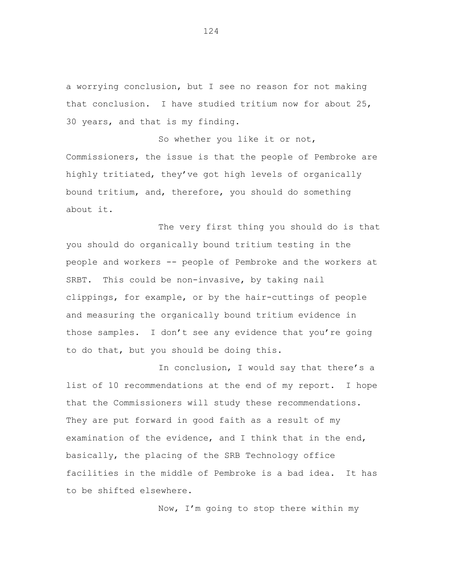a worrying conclusion, but I see no reason for not making that conclusion. I have studied tritium now for about 25, 30 years, and that is my finding.

So whether you like it or not, Commissioners, the issue is that the people of Pembroke are highly tritiated, they've got high levels of organically bound tritium, and, therefore, you should do something about it.

The very first thing you should do is that you should do organically bound tritium testing in the people and workers -- people of Pembroke and the workers at SRBT. This could be non-invasive, by taking nail clippings, for example, or by the hair-cuttings of people and measuring the organically bound tritium evidence in those samples. I don't see any evidence that you're going to do that, but you should be doing this.

In conclusion, I would say that there's a list of 10 recommendations at the end of my report. I hope that the Commissioners will study these recommendations. They are put forward in good faith as a result of my examination of the evidence, and I think that in the end, basically, the placing of the SRB Technology office facilities in the middle of Pembroke is a bad idea. It has to be shifted elsewhere.

Now, I'm going to stop there within my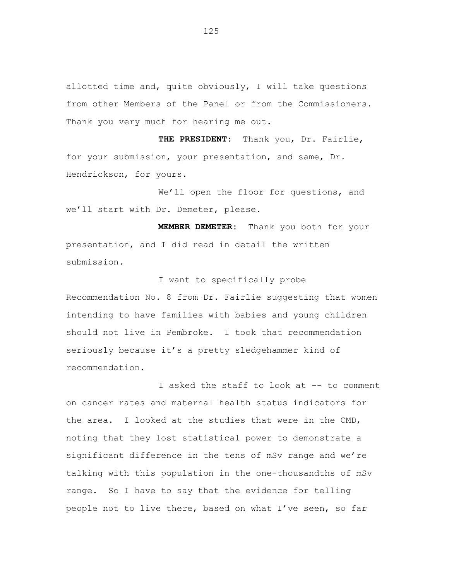allotted time and, quite obviously, I will take questions from other Members of the Panel or from the Commissioners. Thank you very much for hearing me out.

**THE PRESIDENT:** Thank you, Dr. Fairlie, for your submission, your presentation, and same, Dr. Hendrickson, for yours.

We'll open the floor for questions, and we'll start with Dr. Demeter, please.

**MEMBER DEMETER:** Thank you both for your presentation, and I did read in detail the written submission.

I want to specifically probe

Recommendation No. 8 from Dr. Fairlie suggesting that women intending to have families with babies and young children should not live in Pembroke. I took that recommendation seriously because it's a pretty sledgehammer kind of recommendation.

I asked the staff to look at -- to comment on cancer rates and maternal health status indicators for the area. I looked at the studies that were in the CMD, noting that they lost statistical power to demonstrate a significant difference in the tens of mSv range and we're talking with this population in the one-thousandths of mSv range. So I have to say that the evidence for telling people not to live there, based on what I've seen, so far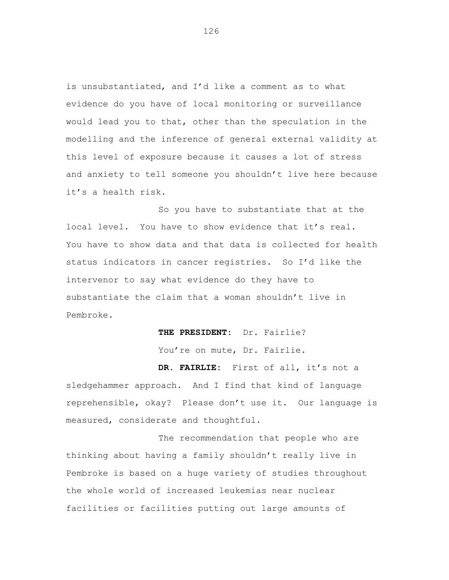is unsubstantiated, and I'd like a comment as to what evidence do you have of local monitoring or surveillance would lead you to that, other than the speculation in the modelling and the inference of general external validity at this level of exposure because it causes a lot of stress and anxiety to tell someone you shouldn't live here because it's a health risk.

So you have to substantiate that at the local level. You have to show evidence that it's real. You have to show data and that data is collected for health status indicators in cancer registries. So I'd like the intervenor to say what evidence do they have to substantiate the claim that a woman shouldn't live in Pembroke.

**THE PRESIDENT:** Dr. Fairlie?

You're on mute, Dr. Fairlie.

**DR. FAIRLIE:** First of all, it's not a sledgehammer approach. And I find that kind of language reprehensible, okay? Please don't use it. Our language is measured, considerate and thoughtful.

The recommendation that people who are thinking about having a family shouldn't really live in Pembroke is based on a huge variety of studies throughout the whole world of increased leukemias near nuclear facilities or facilities putting out large amounts of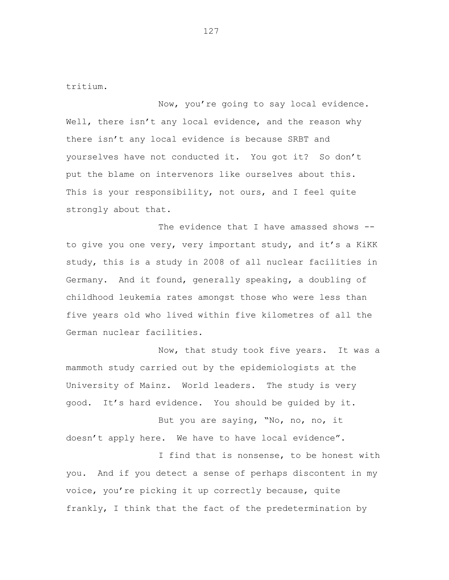tritium.

Now, you're going to say local evidence. Well, there isn't any local evidence, and the reason why there isn't any local evidence is because SRBT and yourselves have not conducted it. You got it? So don't put the blame on intervenors like ourselves about this. This is your responsibility, not ours, and I feel quite strongly about that.

The evidence that I have amassed shows -to give you one very, very important study, and it's a KiKK study, this is a study in 2008 of all nuclear facilities in Germany. And it found, generally speaking, a doubling of childhood leukemia rates amongst those who were less than five years old who lived within five kilometres of all the German nuclear facilities.

Now, that study took five years. It was a mammoth study carried out by the epidemiologists at the University of Mainz. World leaders. The study is very good. It's hard evidence. You should be guided by it.

But you are saying, "No, no, no, it doesn't apply here. We have to have local evidence".

I find that is nonsense, to be honest with you. And if you detect a sense of perhaps discontent in my voice, you're picking it up correctly because, quite frankly, I think that the fact of the predetermination by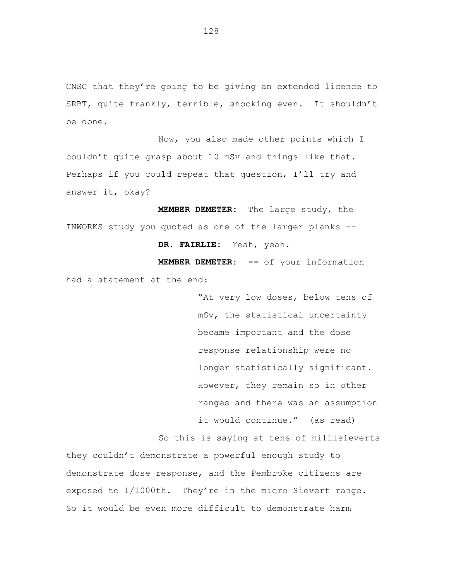CNSC that they're going to be giving an extended licence to SRBT, quite frankly, terrible, shocking even. It shouldn't be done.

Now, you also made other points which I couldn't quite grasp about 10 mSv and things like that. Perhaps if you could repeat that question, I'll try and answer it, okay?

**MEMBER DEMETER:** The large study, the INWORKS study you quoted as one of the larger planks -- **DR. FAIRLIE:** Yeah, yeah.

**MEMBER DEMETER: --** of your information had a statement at the end:

> "At very low doses, below tens of mSv, the statistical uncertainty became important and the dose response relationship were no longer statistically significant. However, they remain so in other ranges and there was an assumption it would continue." (as read)

So this is saying at tens of millisieverts

they couldn't demonstrate a powerful enough study to demonstrate dose response, and the Pembroke citizens are exposed to 1/1000th. They're in the micro Sievert range. So it would be even more difficult to demonstrate harm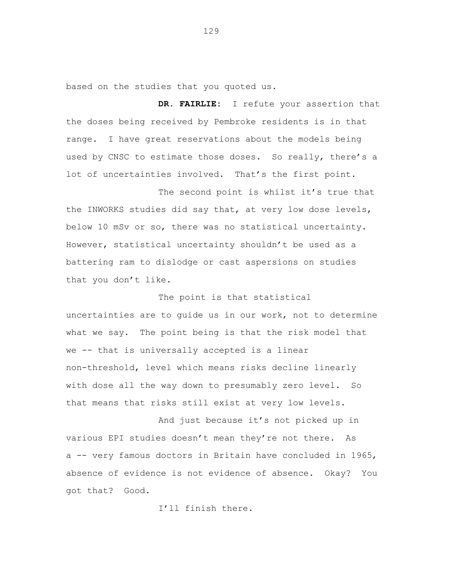based on the studies that you quoted us.

**DR. FAIRLIE:** I refute your assertion that the doses being received by Pembroke residents is in that range. I have great reservations about the models being used by CNSC to estimate those doses. So really, there's a lot of uncertainties involved. That's the first point.

The second point is whilst it's true that the INWORKS studies did say that, at very low dose levels, below 10 mSv or so, there was no statistical uncertainty. However, statistical uncertainty shouldn't be used as a battering ram to dislodge or cast aspersions on studies that you don't like.

The point is that statistical uncertainties are to guide us in our work, not to determine what we say. The point being is that the risk model that we -- that is universally accepted is a linear non-threshold, level which means risks decline linearly with dose all the way down to presumably zero level. So that means that risks still exist at very low levels.

And just because it's not picked up in various EPI studies doesn't mean they're not there. As a -- very famous doctors in Britain have concluded in 1965, absence of evidence is not evidence of absence. Okay? You got that? Good.

I'll finish there.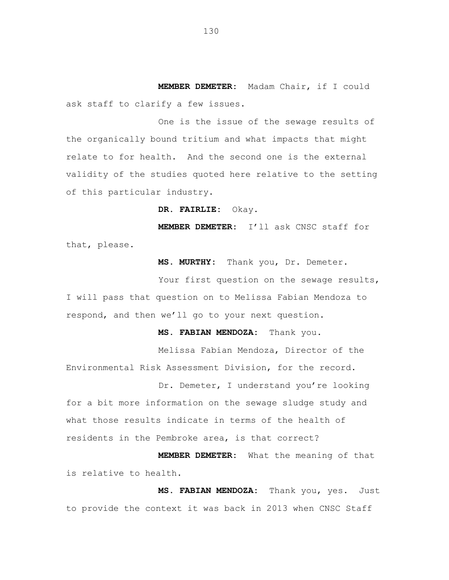**MEMBER DEMETER:** Madam Chair, if I could ask staff to clarify a few issues.

One is the issue of the sewage results of the organically bound tritium and what impacts that might relate to for health. And the second one is the external validity of the studies quoted here relative to the setting of this particular industry.

**DR. FAIRLIE:** Okay.

**MEMBER DEMETER:** I'll ask CNSC staff for that, please.

**MS. MURTHY:** Thank you, Dr. Demeter.

Your first question on the sewage results, I will pass that question on to Melissa Fabian Mendoza to respond, and then we'll go to your next question.

**MS. FABIAN MENDOZA:** Thank you.

Melissa Fabian Mendoza, Director of the Environmental Risk Assessment Division, for the record.

Dr. Demeter, I understand you're looking for a bit more information on the sewage sludge study and what those results indicate in terms of the health of residents in the Pembroke area, is that correct?

**MEMBER DEMETER:** What the meaning of that is relative to health.

**MS. FABIAN MENDOZA:** Thank you, yes. Just to provide the context it was back in 2013 when CNSC Staff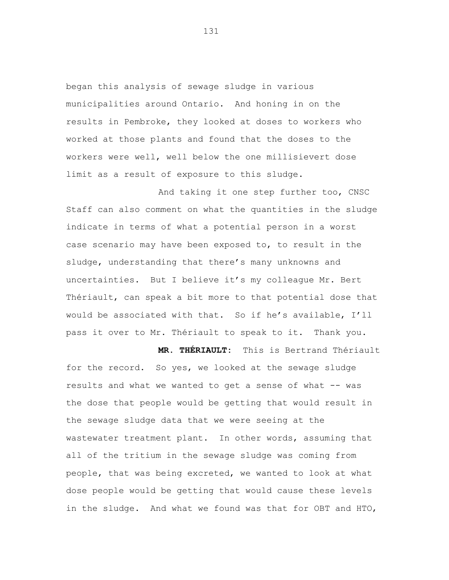began this analysis of sewage sludge in various municipalities around Ontario. And honing in on the results in Pembroke, they looked at doses to workers who worked at those plants and found that the doses to the workers were well, well below the one millisievert dose limit as a result of exposure to this sludge.

And taking it one step further too, CNSC Staff can also comment on what the quantities in the sludge indicate in terms of what a potential person in a worst case scenario may have been exposed to, to result in the sludge, understanding that there's many unknowns and uncertainties. But I believe it's my colleague Mr. Bert Thériault, can speak a bit more to that potential dose that would be associated with that. So if he's available, I'll pass it over to Mr. Thériault to speak to it. Thank you.

**MR. THÉRIAULT:** This is Bertrand Thériault for the record. So yes, we looked at the sewage sludge results and what we wanted to get a sense of what -- was the dose that people would be getting that would result in the sewage sludge data that we were seeing at the wastewater treatment plant. In other words, assuming that all of the tritium in the sewage sludge was coming from people, that was being excreted, we wanted to look at what dose people would be getting that would cause these levels in the sludge. And what we found was that for OBT and HTO,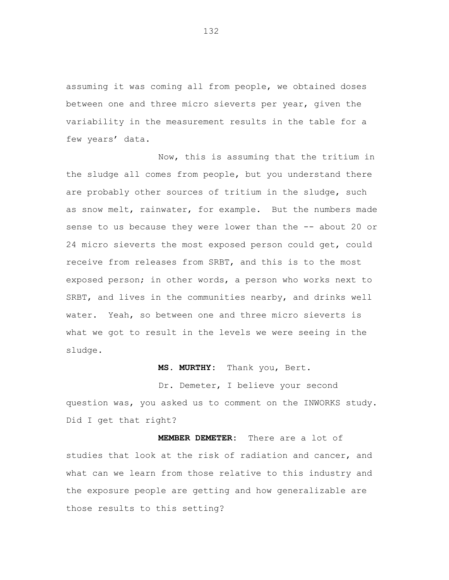assuming it was coming all from people, we obtained doses between one and three micro sieverts per year, given the variability in the measurement results in the table for a few years' data.

Now, this is assuming that the tritium in the sludge all comes from people, but you understand there are probably other sources of tritium in the sludge, such as snow melt, rainwater, for example. But the numbers made sense to us because they were lower than the -- about 20 or 24 micro sieverts the most exposed person could get, could receive from releases from SRBT, and this is to the most exposed person; in other words, a person who works next to SRBT, and lives in the communities nearby, and drinks well water. Yeah, so between one and three micro sieverts is what we got to result in the levels we were seeing in the sludge.

### **MS. MURTHY:** Thank you, Bert.

Dr. Demeter, I believe your second question was, you asked us to comment on the INWORKS study. Did I get that right?

**MEMBER DEMETER:** There are a lot of studies that look at the risk of radiation and cancer, and what can we learn from those relative to this industry and the exposure people are getting and how generalizable are those results to this setting?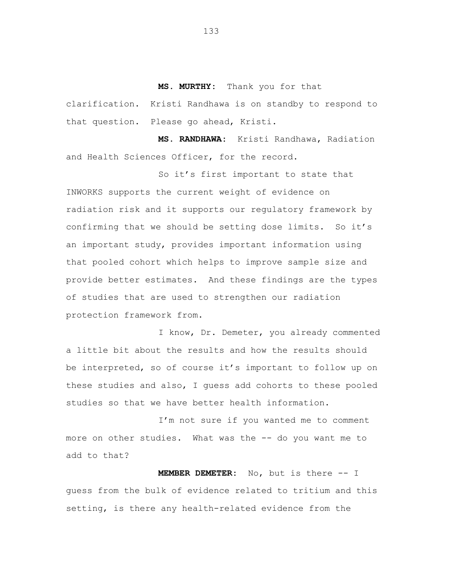**MS. MURTHY:** Thank you for that

clarification. Kristi Randhawa is on standby to respond to that question. Please go ahead, Kristi.

**MS. RANDHAWA:** Kristi Randhawa, Radiation and Health Sciences Officer, for the record.

So it's first important to state that INWORKS supports the current weight of evidence on radiation risk and it supports our regulatory framework by confirming that we should be setting dose limits. So it's an important study, provides important information using that pooled cohort which helps to improve sample size and provide better estimates. And these findings are the types of studies that are used to strengthen our radiation protection framework from.

I know, Dr. Demeter, you already commented a little bit about the results and how the results should be interpreted, so of course it's important to follow up on these studies and also, I guess add cohorts to these pooled studies so that we have better health information.

I'm not sure if you wanted me to comment more on other studies. What was the -- do you want me to add to that?

**MEMBER DEMETER:** No, but is there -- I guess from the bulk of evidence related to tritium and this setting, is there any health-related evidence from the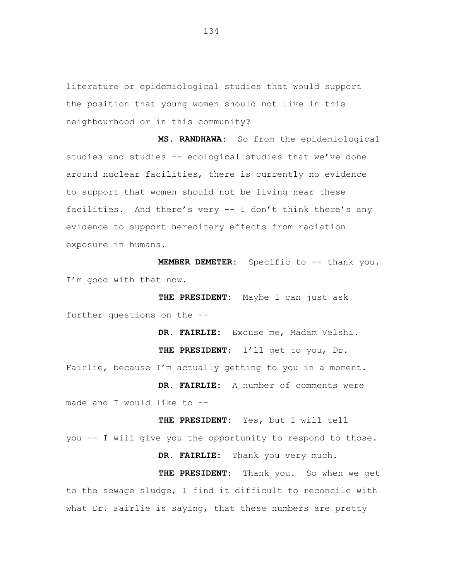literature or epidemiological studies that would support the position that young women should not live in this neighbourhood or in this community?

**MS. RANDHAWA:** So from the epidemiological studies and studies -- ecological studies that we've done around nuclear facilities, there is currently no evidence to support that women should not be living near these facilities. And there's very -- I don't think there's any evidence to support hereditary effects from radiation exposure in humans.

**MEMBER DEMETER:** Specific to -- thank you. I'm good with that now.

**THE PRESIDENT:** Maybe I can just ask further questions on the --

**DR. FAIRLIE:** Excuse me, Madam Velshi. **THE PRESIDENT:** I'll get to you, Dr. Fairlie, because I'm actually getting to you in a moment. **DR. FAIRLIE:** A number of comments were made and I would like to --

**THE PRESIDENT:** Yes, but I will tell you -- I will give you the opportunity to respond to those.

**DR. FAIRLIE:** Thank you very much.

**THE PRESIDENT:** Thank you. So when we get to the sewage sludge, I find it difficult to reconcile with what Dr. Fairlie is saying, that these numbers are pretty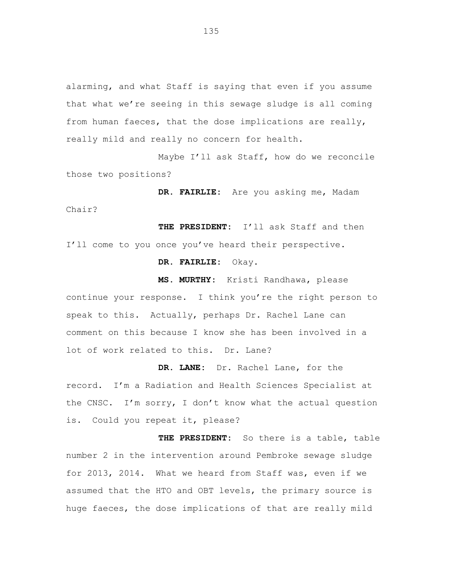alarming, and what Staff is saying that even if you assume that what we're seeing in this sewage sludge is all coming from human faeces, that the dose implications are really, really mild and really no concern for health.

Maybe I'll ask Staff, how do we reconcile those two positions?

**DR. FAIRLIE:** Are you asking me, Madam Chair?

**THE PRESIDENT:** I'll ask Staff and then I'll come to you once you've heard their perspective.

**DR. FAIRLIE:** Okay.

**MS. MURTHY:** Kristi Randhawa, please continue your response. I think you're the right person to speak to this. Actually, perhaps Dr. Rachel Lane can comment on this because I know she has been involved in a lot of work related to this. Dr. Lane?

**DR. LANE:** Dr. Rachel Lane, for the record. I'm a Radiation and Health Sciences Specialist at the CNSC. I'm sorry, I don't know what the actual question is. Could you repeat it, please?

**THE PRESIDENT:** So there is a table, table number 2 in the intervention around Pembroke sewage sludge for 2013, 2014. What we heard from Staff was, even if we assumed that the HTO and OBT levels, the primary source is huge faeces, the dose implications of that are really mild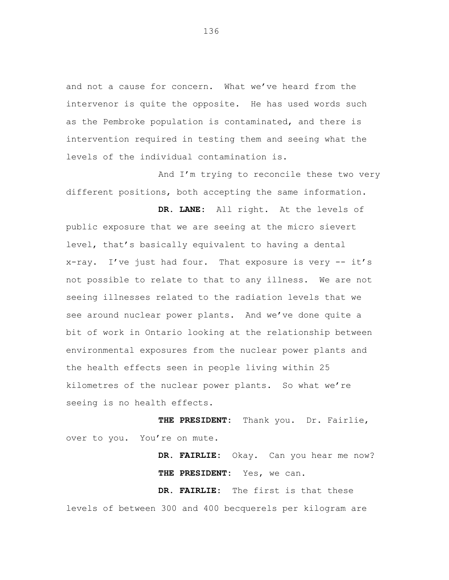and not a cause for concern. What we've heard from the intervenor is quite the opposite. He has used words such as the Pembroke population is contaminated, and there is intervention required in testing them and seeing what the levels of the individual contamination is.

And I'm trying to reconcile these two very different positions, both accepting the same information.

**DR. LANE:** All right. At the levels of public exposure that we are seeing at the micro sievert level, that's basically equivalent to having a dental x-ray. I've just had four. That exposure is very -- it's not possible to relate to that to any illness. We are not seeing illnesses related to the radiation levels that we see around nuclear power plants. And we've done quite a bit of work in Ontario looking at the relationship between environmental exposures from the nuclear power plants and the health effects seen in people living within 25 kilometres of the nuclear power plants. So what we're seeing is no health effects.

**THE PRESIDENT:** Thank you. Dr. Fairlie, over to you. You're on mute.

> **DR. FAIRLIE:** Okay. Can you hear me now? **THE PRESIDENT:** Yes, we can.

**DR. FAIRLIE:** The first is that these levels of between 300 and 400 becquerels per kilogram are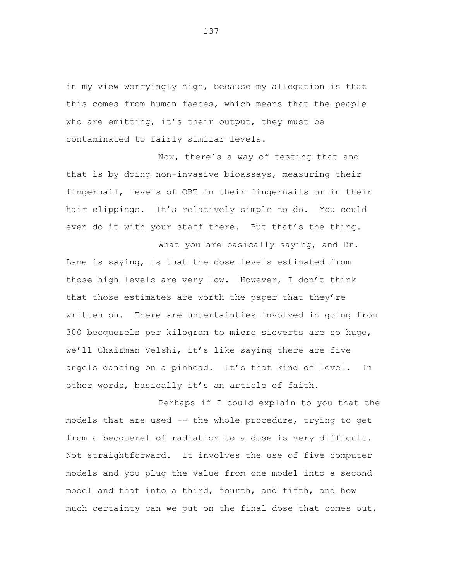in my view worryingly high, because my allegation is that this comes from human faeces, which means that the people who are emitting, it's their output, they must be contaminated to fairly similar levels.

Now, there's a way of testing that and that is by doing non-invasive bioassays, measuring their fingernail, levels of OBT in their fingernails or in their hair clippings. It's relatively simple to do. You could even do it with your staff there. But that's the thing.

What you are basically saying, and Dr. Lane is saying, is that the dose levels estimated from those high levels are very low. However, I don't think that those estimates are worth the paper that they're written on. There are uncertainties involved in going from 300 becquerels per kilogram to micro sieverts are so huge, we'll Chairman Velshi, it's like saying there are five angels dancing on a pinhead. It's that kind of level. In other words, basically it's an article of faith.

Perhaps if I could explain to you that the models that are used -- the whole procedure, trying to get from a becquerel of radiation to a dose is very difficult. Not straightforward. It involves the use of five computer models and you plug the value from one model into a second model and that into a third, fourth, and fifth, and how much certainty can we put on the final dose that comes out,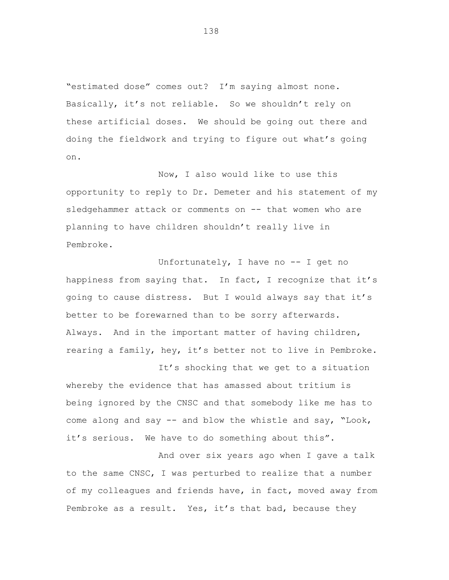"estimated dose" comes out? I'm saying almost none. Basically, it's not reliable. So we shouldn't rely on these artificial doses. We should be going out there and doing the fieldwork and trying to figure out what's going on.

Now, I also would like to use this opportunity to reply to Dr. Demeter and his statement of my sledgehammer attack or comments on -- that women who are planning to have children shouldn't really live in Pembroke.

Unfortunately, I have no -- I get no happiness from saying that. In fact, I recognize that it's going to cause distress. But I would always say that it's better to be forewarned than to be sorry afterwards. Always. And in the important matter of having children, rearing a family, hey, it's better not to live in Pembroke.

It's shocking that we get to a situation whereby the evidence that has amassed about tritium is being ignored by the CNSC and that somebody like me has to come along and say -- and blow the whistle and say, "Look, it's serious. We have to do something about this".

And over six years ago when I gave a talk to the same CNSC, I was perturbed to realize that a number of my colleagues and friends have, in fact, moved away from Pembroke as a result. Yes, it's that bad, because they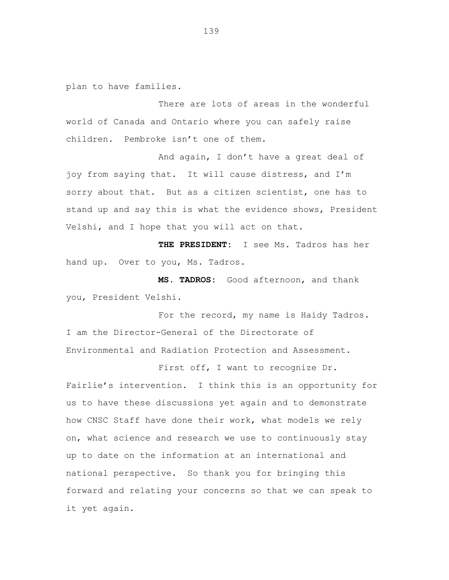plan to have families.

There are lots of areas in the wonderful world of Canada and Ontario where you can safely raise children. Pembroke isn't one of them.

And again, I don't have a great deal of joy from saying that. It will cause distress, and I'm sorry about that. But as a citizen scientist, one has to stand up and say this is what the evidence shows, President Velshi, and I hope that you will act on that.

**THE PRESIDENT:** I see Ms. Tadros has her hand up. Over to you, Ms. Tadros.

**MS. TADROS:** Good afternoon, and thank you, President Velshi.

For the record, my name is Haidy Tadros. I am the Director-General of the Directorate of Environmental and Radiation Protection and Assessment.

First off, I want to recognize Dr. Fairlie's intervention. I think this is an opportunity for us to have these discussions yet again and to demonstrate how CNSC Staff have done their work, what models we rely on, what science and research we use to continuously stay up to date on the information at an international and national perspective. So thank you for bringing this forward and relating your concerns so that we can speak to it yet again.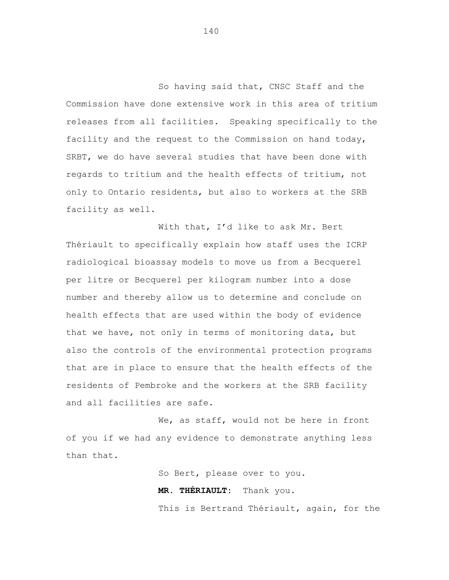So having said that, CNSC Staff and the Commission have done extensive work in this area of tritium releases from all facilities. Speaking specifically to the facility and the request to the Commission on hand today, SRBT, we do have several studies that have been done with regards to tritium and the health effects of tritium, not only to Ontario residents, but also to workers at the SRB facility as well.

With that, I'd like to ask Mr. Bert Thériault to specifically explain how staff uses the ICRP radiological bioassay models to move us from a Becquerel per litre or Becquerel per kilogram number into a dose number and thereby allow us to determine and conclude on health effects that are used within the body of evidence that we have, not only in terms of monitoring data, but also the controls of the environmental protection programs that are in place to ensure that the health effects of the residents of Pembroke and the workers at the SRB facility and all facilities are safe.

We, as staff, would not be here in front of you if we had any evidence to demonstrate anything less than that.

> So Bert, please over to you. **MR. THÉRIAULT:** Thank you. This is Bertrand Thériault, again, for the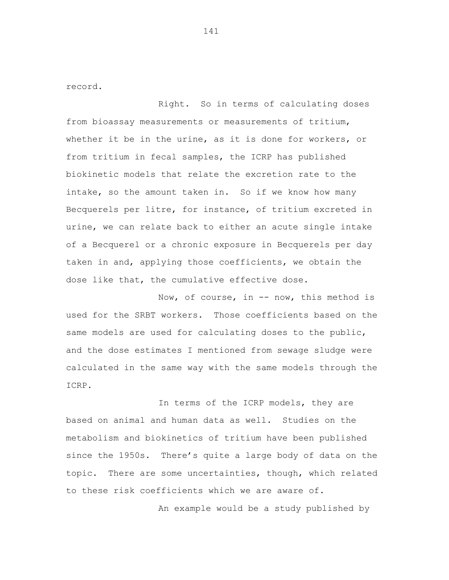record.

Right. So in terms of calculating doses from bioassay measurements or measurements of tritium, whether it be in the urine, as it is done for workers, or from tritium in fecal samples, the ICRP has published biokinetic models that relate the excretion rate to the intake, so the amount taken in. So if we know how many Becquerels per litre, for instance, of tritium excreted in urine, we can relate back to either an acute single intake of a Becquerel or a chronic exposure in Becquerels per day taken in and, applying those coefficients, we obtain the dose like that, the cumulative effective dose.

Now, of course, in -- now, this method is used for the SRBT workers. Those coefficients based on the same models are used for calculating doses to the public, and the dose estimates I mentioned from sewage sludge were calculated in the same way with the same models through the ICRP.

In terms of the ICRP models, they are based on animal and human data as well. Studies on the metabolism and biokinetics of tritium have been published since the 1950s. There's quite a large body of data on the topic. There are some uncertainties, though, which related to these risk coefficients which we are aware of.

An example would be a study published by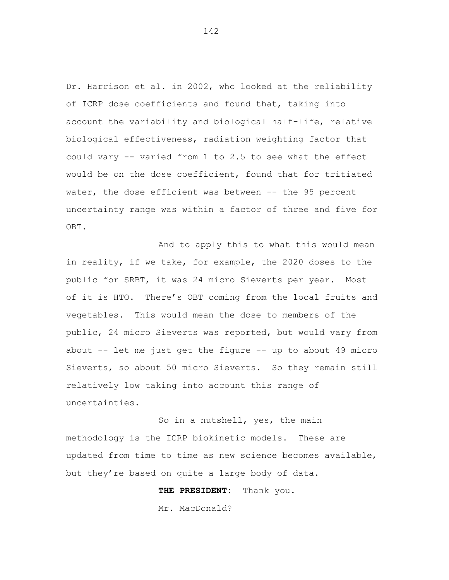Dr. Harrison et al. in 2002, who looked at the reliability of ICRP dose coefficients and found that, taking into account the variability and biological half-life, relative biological effectiveness, radiation weighting factor that could vary -- varied from 1 to 2.5 to see what the effect would be on the dose coefficient, found that for tritiated water, the dose efficient was between -- the 95 percent uncertainty range was within a factor of three and five for OBT.

And to apply this to what this would mean in reality, if we take, for example, the 2020 doses to the public for SRBT, it was 24 micro Sieverts per year. Most of it is HTO. There's OBT coming from the local fruits and vegetables. This would mean the dose to members of the public, 24 micro Sieverts was reported, but would vary from about -- let me just get the figure -- up to about 49 micro Sieverts, so about 50 micro Sieverts. So they remain still relatively low taking into account this range of uncertainties.

So in a nutshell, yes, the main methodology is the ICRP biokinetic models. These are updated from time to time as new science becomes available, but they're based on quite a large body of data.

**THE PRESIDENT:** Thank you.

Mr. MacDonald?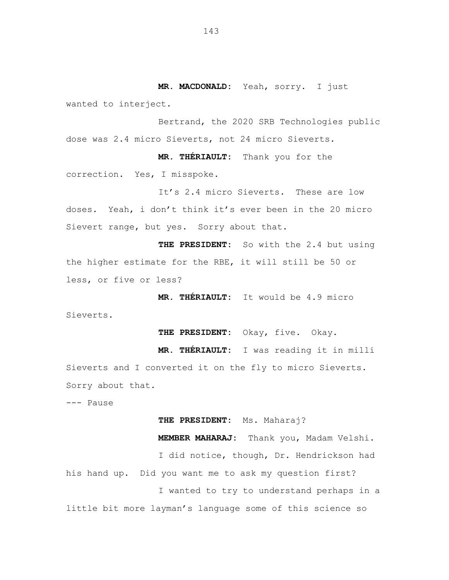**MR. MACDONALD:** Yeah, sorry. I just wanted to interject.

Bertrand, the 2020 SRB Technologies public dose was 2.4 micro Sieverts, not 24 micro Sieverts.

**MR. THÉRIAULT:** Thank you for the correction. Yes, I misspoke.

It's 2.4 micro Sieverts. These are low doses. Yeah, i don't think it's ever been in the 20 micro Sievert range, but yes. Sorry about that.

**THE PRESIDENT:** So with the 2.4 but using the higher estimate for the RBE, it will still be 50 or less, or five or less?

**MR. THÉRIAULT:** It would be 4.9 micro

Sieverts.

**THE PRESIDENT:** Okay, five. Okay.

**MR. THÉRIAULT:** I was reading it in milli Sieverts and I converted it on the fly to micro Sieverts. Sorry about that.

--- Pause

**THE PRESIDENT:** Ms. Maharaj?

**MEMBER MAHARAJ:** Thank you, Madam Velshi. I did notice, though, Dr. Hendrickson had his hand up. Did you want me to ask my question first? I wanted to try to understand perhaps in a little bit more layman's language some of this science so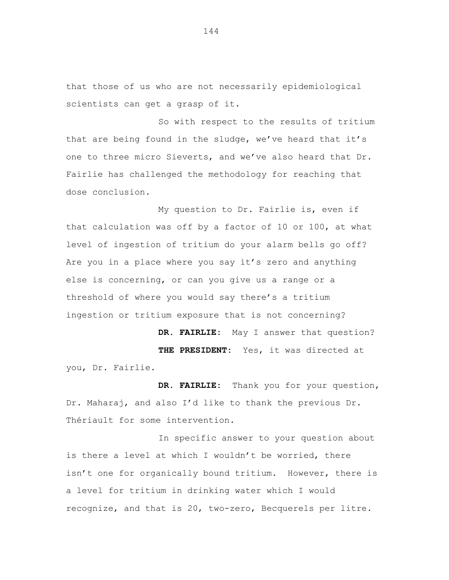that those of us who are not necessarily epidemiological scientists can get a grasp of it.

So with respect to the results of tritium that are being found in the sludge, we've heard that it's one to three micro Sieverts, and we've also heard that Dr. Fairlie has challenged the methodology for reaching that dose conclusion.

My question to Dr. Fairlie is, even if that calculation was off by a factor of 10 or 100, at what level of ingestion of tritium do your alarm bells go off? Are you in a place where you say it's zero and anything else is concerning, or can you give us a range or a threshold of where you would say there's a tritium ingestion or tritium exposure that is not concerning?

**DR. FAIRLIE:** May I answer that question? **THE PRESIDENT:** Yes, it was directed at you, Dr. Fairlie.

**DR. FAIRLIE:** Thank you for your question, Dr. Maharaj, and also I'd like to thank the previous Dr. Thériault for some intervention.

In specific answer to your question about is there a level at which I wouldn't be worried, there isn't one for organically bound tritium. However, there is a level for tritium in drinking water which I would recognize, and that is 20, two-zero, Becquerels per litre.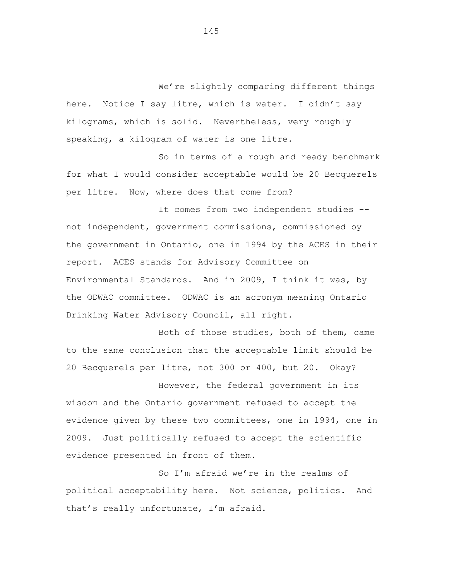We're slightly comparing different things here. Notice I say litre, which is water. I didn't say kilograms, which is solid. Nevertheless, very roughly speaking, a kilogram of water is one litre.

So in terms of a rough and ready benchmark for what I would consider acceptable would be 20 Becquerels per litre. Now, where does that come from?

It comes from two independent studies - not independent, government commissions, commissioned by the government in Ontario, one in 1994 by the ACES in their report. ACES stands for Advisory Committee on Environmental Standards. And in 2009, I think it was, by the ODWAC committee. ODWAC is an acronym meaning Ontario Drinking Water Advisory Council, all right.

Both of those studies, both of them, came to the same conclusion that the acceptable limit should be 20 Becquerels per litre, not 300 or 400, but 20. Okay?

However, the federal government in its wisdom and the Ontario government refused to accept the evidence given by these two committees, one in 1994, one in 2009. Just politically refused to accept the scientific evidence presented in front of them.

So I'm afraid we're in the realms of political acceptability here. Not science, politics. And that's really unfortunate, I'm afraid.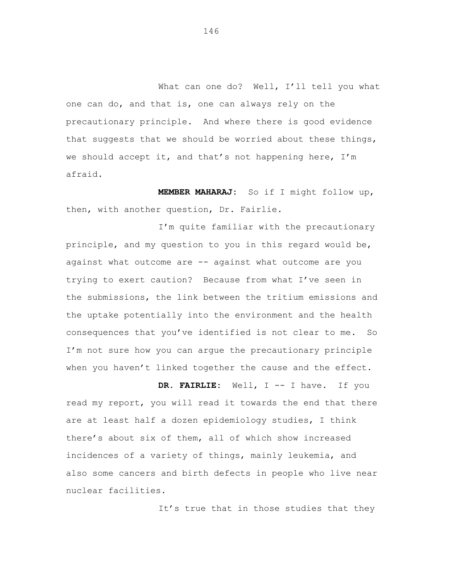What can one do? Well, I'll tell you what one can do, and that is, one can always rely on the precautionary principle. And where there is good evidence that suggests that we should be worried about these things, we should accept it, and that's not happening here, I'm afraid.

**MEMBER MAHARAJ:** So if I might follow up, then, with another question, Dr. Fairlie.

I'm quite familiar with the precautionary principle, and my question to you in this regard would be, against what outcome are -- against what outcome are you trying to exert caution? Because from what I've seen in the submissions, the link between the tritium emissions and the uptake potentially into the environment and the health consequences that you've identified is not clear to me. So I'm not sure how you can argue the precautionary principle when you haven't linked together the cause and the effect.

**DR. FAIRLIE:** Well, I -- I have. If you read my report, you will read it towards the end that there are at least half a dozen epidemiology studies, I think there's about six of them, all of which show increased incidences of a variety of things, mainly leukemia, and also some cancers and birth defects in people who live near nuclear facilities.

It's true that in those studies that they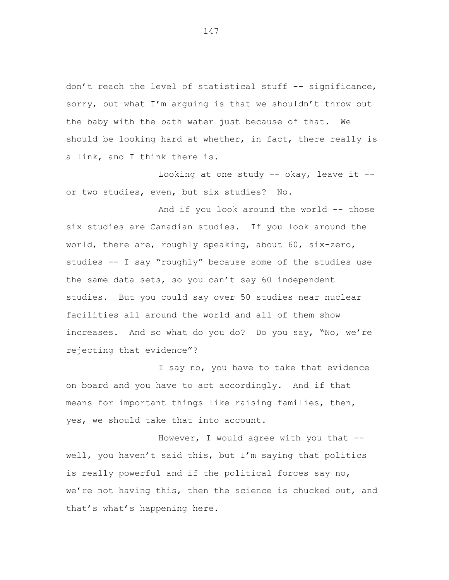don't reach the level of statistical stuff -- significance, sorry, but what I'm arguing is that we shouldn't throw out the baby with the bath water just because of that. We should be looking hard at whether, in fact, there really is a link, and I think there is.

Looking at one study  $--$  okay, leave it  $-$ or two studies, even, but six studies? No.

And if you look around the world -- those six studies are Canadian studies. If you look around the world, there are, roughly speaking, about 60, six-zero, studies -- I say "roughly" because some of the studies use the same data sets, so you can't say 60 independent studies. But you could say over 50 studies near nuclear facilities all around the world and all of them show increases. And so what do you do? Do you say, "No, we're rejecting that evidence"?

I say no, you have to take that evidence on board and you have to act accordingly. And if that means for important things like raising families, then, yes, we should take that into account.

However, I would agree with you that - well, you haven't said this, but I'm saying that politics is really powerful and if the political forces say no, we're not having this, then the science is chucked out, and that's what's happening here.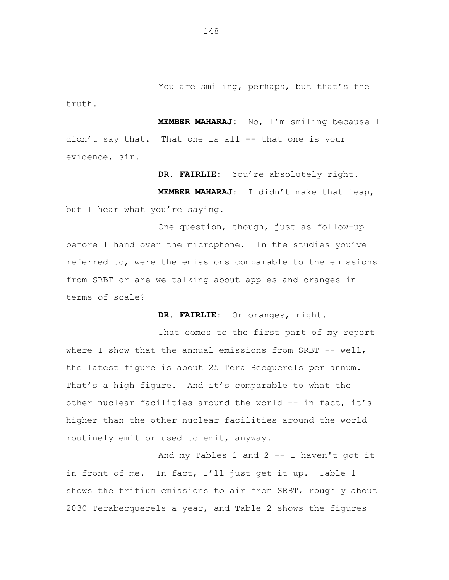**MEMBER MAHARAJ:** No, I'm smiling because I didn't say that. That one is all -- that one is your evidence, sir.

**DR. FAIRLIE:** You're absolutely right.

**MEMBER MAHARAJ:** I didn't make that leap, but I hear what you're saying.

One question, though, just as follow-up before I hand over the microphone. In the studies you've referred to, were the emissions comparable to the emissions from SRBT or are we talking about apples and oranges in terms of scale?

**DR. FAIRLIE:** Or oranges, right.

That comes to the first part of my report where I show that the annual emissions from SRBT  $--$  well, the latest figure is about 25 Tera Becquerels per annum. That's a high figure. And it's comparable to what the other nuclear facilities around the world -- in fact, it's higher than the other nuclear facilities around the world routinely emit or used to emit, anyway.

And my Tables 1 and 2 -- I haven't got it in front of me. In fact, I'll just get it up. Table 1 shows the tritium emissions to air from SRBT, roughly about 2030 Terabecquerels a year, and Table 2 shows the figures

148

truth.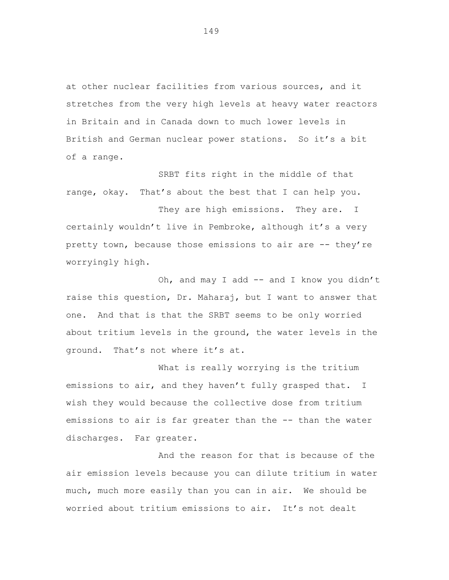at other nuclear facilities from various sources, and it stretches from the very high levels at heavy water reactors in Britain and in Canada down to much lower levels in British and German nuclear power stations. So it's a bit of a range.

SRBT fits right in the middle of that range, okay. That's about the best that I can help you.

They are high emissions. They are. I certainly wouldn't live in Pembroke, although it's a very pretty town, because those emissions to air are -- they're worryingly high.

Oh, and may I add -- and I know you didn't raise this question, Dr. Maharaj, but I want to answer that one. And that is that the SRBT seems to be only worried about tritium levels in the ground, the water levels in the ground. That's not where it's at.

What is really worrying is the tritium emissions to air, and they haven't fully grasped that. I wish they would because the collective dose from tritium emissions to air is far greater than the -- than the water discharges. Far greater.

And the reason for that is because of the air emission levels because you can dilute tritium in water much, much more easily than you can in air. We should be worried about tritium emissions to air. It's not dealt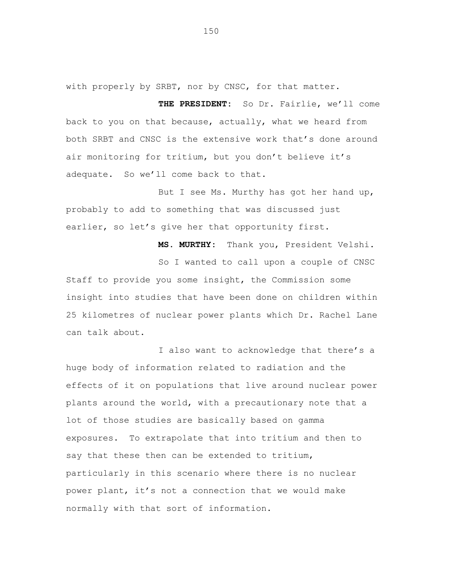with properly by SRBT, nor by CNSC, for that matter.

**THE PRESIDENT:** So Dr. Fairlie, we'll come back to you on that because, actually, what we heard from both SRBT and CNSC is the extensive work that's done around air monitoring for tritium, but you don't believe it's adequate. So we'll come back to that.

But I see Ms. Murthy has got her hand up, probably to add to something that was discussed just earlier, so let's give her that opportunity first.

**MS. MURTHY:** Thank you, President Velshi.

So I wanted to call upon a couple of CNSC Staff to provide you some insight, the Commission some insight into studies that have been done on children within 25 kilometres of nuclear power plants which Dr. Rachel Lane can talk about.

I also want to acknowledge that there's a huge body of information related to radiation and the effects of it on populations that live around nuclear power plants around the world, with a precautionary note that a lot of those studies are basically based on gamma exposures. To extrapolate that into tritium and then to say that these then can be extended to tritium, particularly in this scenario where there is no nuclear power plant, it's not a connection that we would make normally with that sort of information.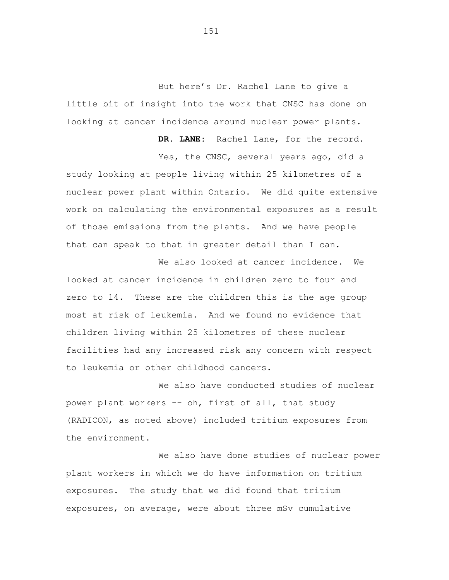But here's Dr. Rachel Lane to give a little bit of insight into the work that CNSC has done on looking at cancer incidence around nuclear power plants.

**DR. LANE:** Rachel Lane, for the record. Yes, the CNSC, several years ago, did a study looking at people living within 25 kilometres of a nuclear power plant within Ontario. We did quite extensive work on calculating the environmental exposures as a result of those emissions from the plants. And we have people that can speak to that in greater detail than I can.

We also looked at cancer incidence. We looked at cancer incidence in children zero to four and zero to 14. These are the children this is the age group most at risk of leukemia. And we found no evidence that children living within 25 kilometres of these nuclear facilities had any increased risk any concern with respect to leukemia or other childhood cancers.

We also have conducted studies of nuclear power plant workers -- oh, first of all, that study (RADICON, as noted above) included tritium exposures from the environment.

We also have done studies of nuclear power plant workers in which we do have information on tritium exposures. The study that we did found that tritium exposures, on average, were about three mSv cumulative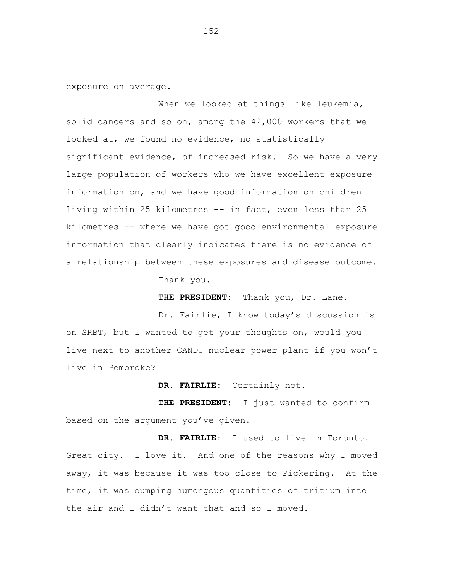exposure on average.

When we looked at things like leukemia, solid cancers and so on, among the 42,000 workers that we looked at, we found no evidence, no statistically significant evidence, of increased risk. So we have a very large population of workers who we have excellent exposure information on, and we have good information on children living within 25 kilometres -- in fact, even less than 25 kilometres -- where we have got good environmental exposure information that clearly indicates there is no evidence of a relationship between these exposures and disease outcome.

Thank you.

**THE PRESIDENT:** Thank you, Dr. Lane.

Dr. Fairlie, I know today's discussion is on SRBT, but I wanted to get your thoughts on, would you live next to another CANDU nuclear power plant if you won't live in Pembroke?

**DR. FAIRLIE:** Certainly not.

**THE PRESIDENT:** I just wanted to confirm based on the argument you've given.

**DR. FAIRLIE:** I used to live in Toronto. Great city. I love it. And one of the reasons why I moved away, it was because it was too close to Pickering. At the time, it was dumping humongous quantities of tritium into the air and I didn't want that and so I moved.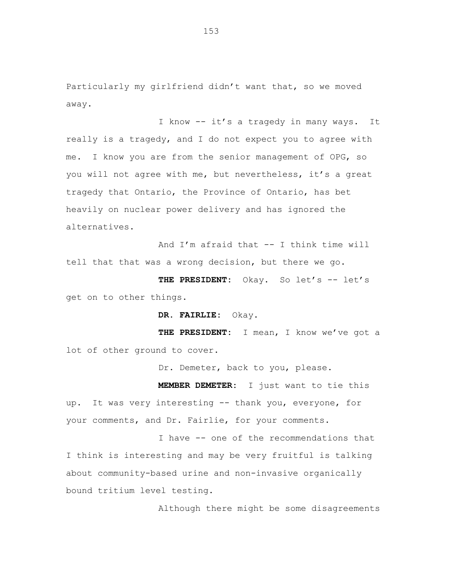Particularly my girlfriend didn't want that, so we moved away.

I know -- it's a tragedy in many ways. It really is a tragedy, and I do not expect you to agree with me. I know you are from the senior management of OPG, so you will not agree with me, but nevertheless, it's a great tragedy that Ontario, the Province of Ontario, has bet heavily on nuclear power delivery and has ignored the alternatives.

And I'm afraid that -- I think time will tell that that was a wrong decision, but there we go.

THE PRESIDENT: Okay. So let's -- let's get on to other things.

**DR. FAIRLIE:** Okay.

**THE PRESIDENT:** I mean, I know we've got a lot of other ground to cover.

Dr. Demeter, back to you, please.

**MEMBER DEMETER:** I just want to tie this up. It was very interesting -- thank you, everyone, for your comments, and Dr. Fairlie, for your comments.

I have -- one of the recommendations that I think is interesting and may be very fruitful is talking about community-based urine and non-invasive organically bound tritium level testing.

Although there might be some disagreements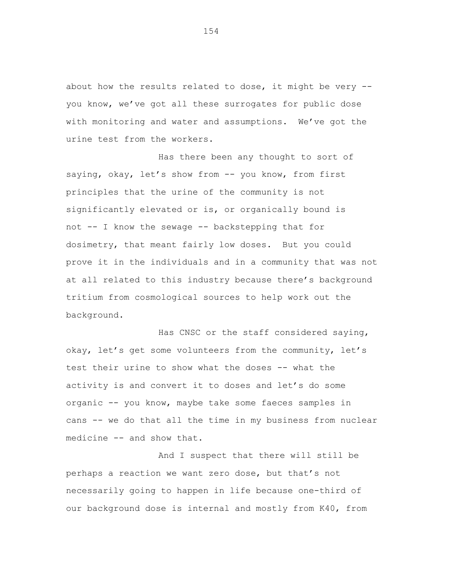about how the results related to dose, it might be very - you know, we've got all these surrogates for public dose with monitoring and water and assumptions. We've got the urine test from the workers.

Has there been any thought to sort of saying, okay, let's show from -- you know, from first principles that the urine of the community is not significantly elevated or is, or organically bound is not -- I know the sewage -- backstepping that for dosimetry, that meant fairly low doses. But you could prove it in the individuals and in a community that was not at all related to this industry because there's background tritium from cosmological sources to help work out the background.

Has CNSC or the staff considered saying, okay, let's get some volunteers from the community, let's test their urine to show what the doses -- what the activity is and convert it to doses and let's do some organic -- you know, maybe take some faeces samples in cans -- we do that all the time in my business from nuclear medicine -- and show that.

And I suspect that there will still be perhaps a reaction we want zero dose, but that's not necessarily going to happen in life because one-third of our background dose is internal and mostly from K40, from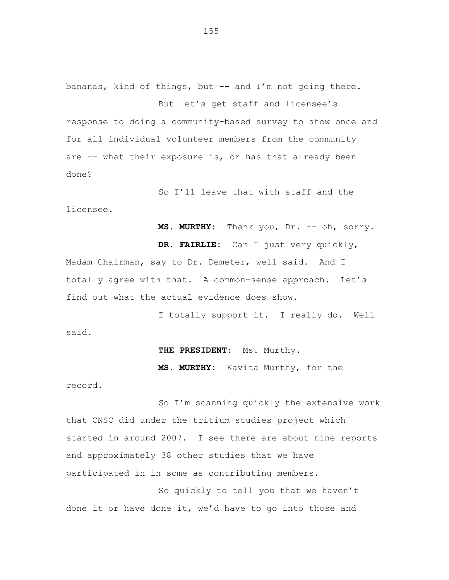bananas, kind of things, but -- and I'm not going there. But let's get staff and licensee's

response to doing a community-based survey to show once and for all individual volunteer members from the community are -- what their exposure is, or has that already been done?

So I'll leave that with staff and the licensee.

**MS. MURTHY:** Thank you, Dr. -- oh, sorry.

**DR. FAIRLIE:** Can I just very quickly, Madam Chairman, say to Dr. Demeter, well said. And I totally agree with that. A common-sense approach. Let's find out what the actual evidence does show.

I totally support it. I really do. Well said.

## **THE PRESIDENT:** Ms. Murthy.

**MS. MURTHY:** Kavita Murthy, for the

record.

So I'm scanning quickly the extensive work that CNSC did under the tritium studies project which started in around 2007. I see there are about nine reports and approximately 38 other studies that we have participated in in some as contributing members.

So quickly to tell you that we haven't done it or have done it, we'd have to go into those and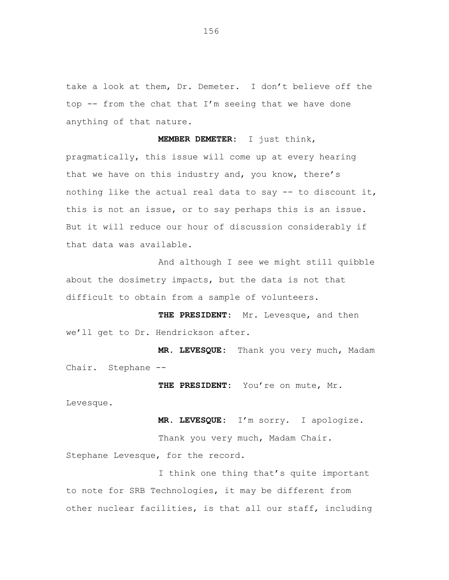take a look at them, Dr. Demeter. I don't believe off the top -- from the chat that I'm seeing that we have done anything of that nature.

**MEMBER DEMETER:** I just think, pragmatically, this issue will come up at every hearing that we have on this industry and, you know, there's nothing like the actual real data to say  $-$  to discount it, this is not an issue, or to say perhaps this is an issue. But it will reduce our hour of discussion considerably if that data was available.

And although I see we might still quibble about the dosimetry impacts, but the data is not that difficult to obtain from a sample of volunteers.

**THE PRESIDENT:** Mr. Levesque, and then we'll get to Dr. Hendrickson after.

**MR. LEVESQUE:** Thank you very much, Madam Chair. Stephane --

THE PRESIDENT: You're on mute, Mr.

Levesque.

**MR. LEVESQUE:** I'm sorry. I apologize.

Thank you very much, Madam Chair. Stephane Levesque, for the record.

I think one thing that's quite important to note for SRB Technologies, it may be different from other nuclear facilities, is that all our staff, including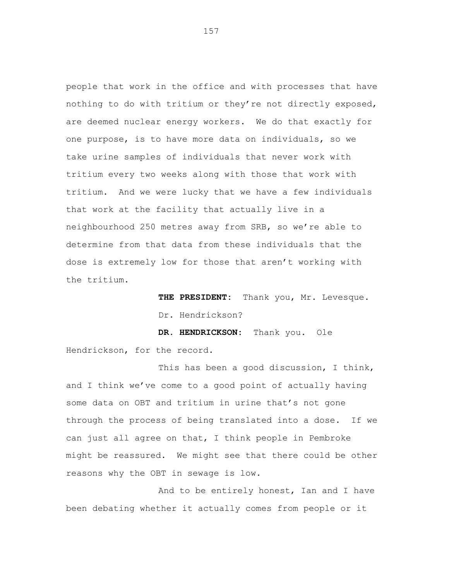people that work in the office and with processes that have nothing to do with tritium or they're not directly exposed, are deemed nuclear energy workers. We do that exactly for one purpose, is to have more data on individuals, so we take urine samples of individuals that never work with tritium every two weeks along with those that work with tritium. And we were lucky that we have a few individuals that work at the facility that actually live in a neighbourhood 250 metres away from SRB, so we're able to determine from that data from these individuals that the dose is extremely low for those that aren't working with the tritium.

> **THE PRESIDENT:** Thank you, Mr. Levesque. Dr. Hendrickson?

**DR. HENDRICKSON:** Thank you. Ole Hendrickson, for the record.

This has been a good discussion, I think, and I think we've come to a good point of actually having some data on OBT and tritium in urine that's not gone through the process of being translated into a dose. If we can just all agree on that, I think people in Pembroke might be reassured. We might see that there could be other reasons why the OBT in sewage is low.

And to be entirely honest, Ian and I have been debating whether it actually comes from people or it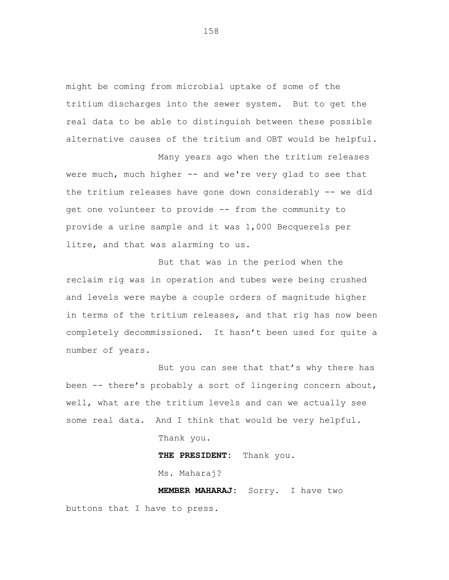might be coming from microbial uptake of some of the tritium discharges into the sewer system. But to get the real data to be able to distinguish between these possible alternative causes of the tritium and OBT would be helpful.

Many years ago when the tritium releases were much, much higher -- and we're very glad to see that the tritium releases have gone down considerably -- we did get one volunteer to provide -- from the community to provide a urine sample and it was 1,000 Becquerels per litre, and that was alarming to us.

But that was in the period when the reclaim rig was in operation and tubes were being crushed and levels were maybe a couple orders of magnitude higher in terms of the tritium releases, and that rig has now been completely decommissioned. It hasn't been used for quite a number of years.

But you can see that that's why there has been -- there's probably a sort of lingering concern about, well, what are the tritium levels and can we actually see some real data. And I think that would be very helpful.

Thank you.

**THE PRESIDENT:** Thank you.

Ms. Maharaj?

**MEMBER MAHARAJ:** Sorry. I have two buttons that I have to press.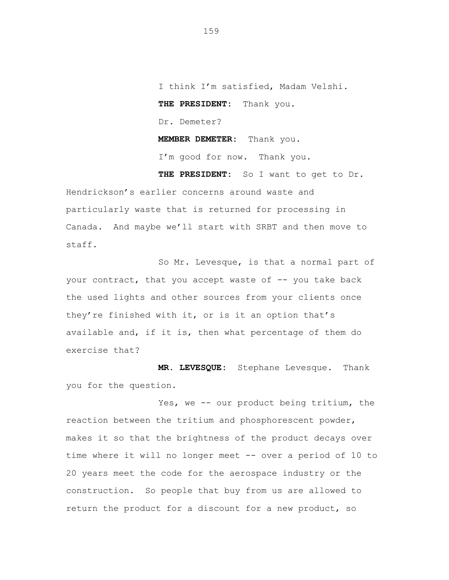I think I'm satisfied, Madam Velshi. **THE PRESIDENT:** Thank you. Dr. Demeter? **MEMBER DEMETER:** Thank you. I'm good for now. Thank you.

**THE PRESIDENT:** So I want to get to Dr.

Hendrickson's earlier concerns around waste and particularly waste that is returned for processing in Canada. And maybe we'll start with SRBT and then move to staff.

So Mr. Levesque, is that a normal part of your contract, that you accept waste of -- you take back the used lights and other sources from your clients once they're finished with it, or is it an option that's available and, if it is, then what percentage of them do exercise that?

**MR. LEVESQUE:** Stephane Levesque. Thank you for the question.

Yes, we -- our product being tritium, the reaction between the tritium and phosphorescent powder, makes it so that the brightness of the product decays over time where it will no longer meet -- over a period of 10 to 20 years meet the code for the aerospace industry or the construction. So people that buy from us are allowed to return the product for a discount for a new product, so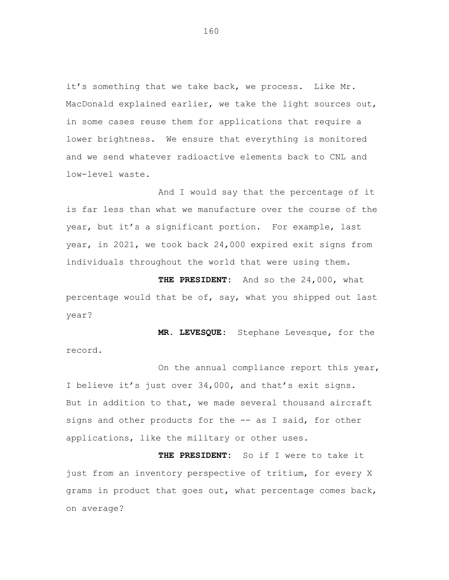it's something that we take back, we process. Like Mr. MacDonald explained earlier, we take the light sources out, in some cases reuse them for applications that require a lower brightness. We ensure that everything is monitored and we send whatever radioactive elements back to CNL and low-level waste.

And I would say that the percentage of it is far less than what we manufacture over the course of the year, but it's a significant portion. For example, last year, in 2021, we took back 24,000 expired exit signs from individuals throughout the world that were using them.

**THE PRESIDENT:** And so the 24,000, what percentage would that be of, say, what you shipped out last year?

**MR. LEVESQUE:** Stephane Levesque, for the record.

On the annual compliance report this year, I believe it's just over 34,000, and that's exit signs. But in addition to that, we made several thousand aircraft signs and other products for the -- as I said, for other applications, like the military or other uses.

**THE PRESIDENT:** So if I were to take it just from an inventory perspective of tritium, for every X grams in product that goes out, what percentage comes back, on average?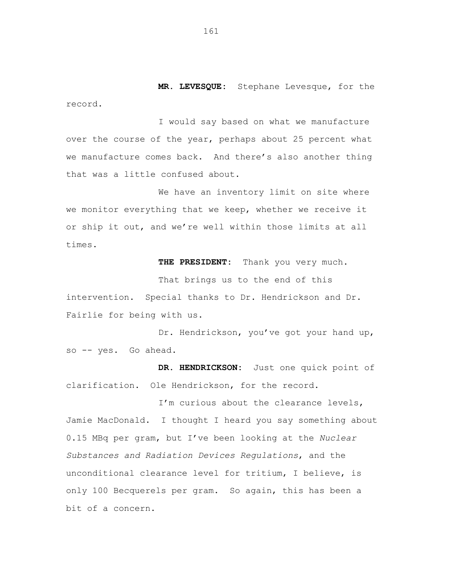**MR. LEVESQUE:** Stephane Levesque, for the record.

I would say based on what we manufacture over the course of the year, perhaps about 25 percent what we manufacture comes back. And there's also another thing that was a little confused about.

We have an inventory limit on site where we monitor everything that we keep, whether we receive it or ship it out, and we're well within those limits at all times.

**THE PRESIDENT:** Thank you very much.

That brings us to the end of this intervention. Special thanks to Dr. Hendrickson and Dr. Fairlie for being with us.

Dr. Hendrickson, you've got your hand up, so -- yes. Go ahead.

**DR. HENDRICKSON:** Just one quick point of clarification. Ole Hendrickson, for the record.

I'm curious about the clearance levels, Jamie MacDonald. I thought I heard you say something about 0.15 MBq per gram, but I've been looking at the *Nuclear Substances and Radiation Devices Regulations*, and the unconditional clearance level for tritium, I believe, is only 100 Becquerels per gram. So again, this has been a bit of a concern.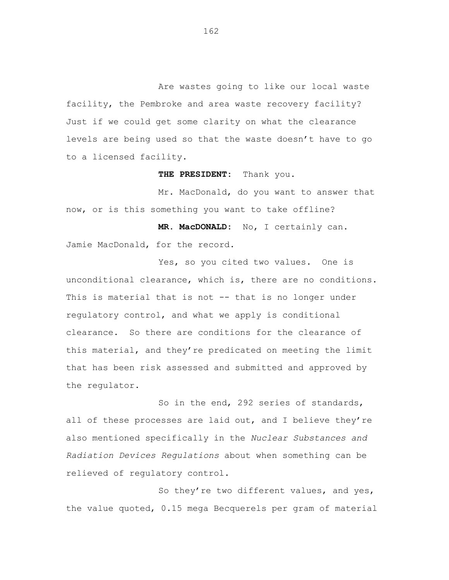Are wastes going to like our local waste facility, the Pembroke and area waste recovery facility? Just if we could get some clarity on what the clearance levels are being used so that the waste doesn't have to go to a licensed facility.

**THE PRESIDENT:** Thank you.

Mr. MacDonald, do you want to answer that now, or is this something you want to take offline?

**MR. MacDONALD:** No, I certainly can. Jamie MacDonald, for the record.

Yes, so you cited two values. One is unconditional clearance, which is, there are no conditions. This is material that is not -- that is no longer under regulatory control, and what we apply is conditional clearance. So there are conditions for the clearance of this material, and they're predicated on meeting the limit that has been risk assessed and submitted and approved by the regulator.

So in the end, 292 series of standards, all of these processes are laid out, and I believe they're also mentioned specifically in the *Nuclear Substances and Radiation Devices Regulations* about when something can be relieved of regulatory control.

So they're two different values, and yes, the value quoted, 0.15 mega Becquerels per gram of material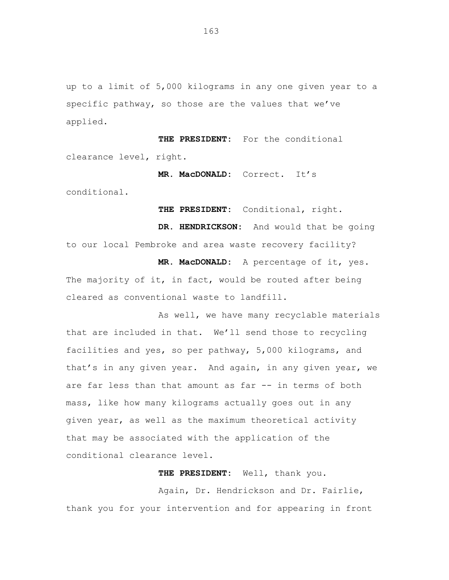up to a limit of 5,000 kilograms in any one given year to a specific pathway, so those are the values that we've applied.

**THE PRESIDENT:** For the conditional clearance level, right.

**MR. MacDONALD:** Correct. It's

conditional.

**THE PRESIDENT:** Conditional, right.

**DR. HENDRICKSON:** And would that be going to our local Pembroke and area waste recovery facility? **MR. MacDONALD:** A percentage of it, yes.

The majority of it, in fact, would be routed after being cleared as conventional waste to landfill.

As well, we have many recyclable materials that are included in that. We'll send those to recycling facilities and yes, so per pathway, 5,000 kilograms, and that's in any given year. And again, in any given year, we are far less than that amount as far -- in terms of both mass, like how many kilograms actually goes out in any given year, as well as the maximum theoretical activity that may be associated with the application of the conditional clearance level.

**THE PRESIDENT:** Well, thank you.

Again, Dr. Hendrickson and Dr. Fairlie, thank you for your intervention and for appearing in front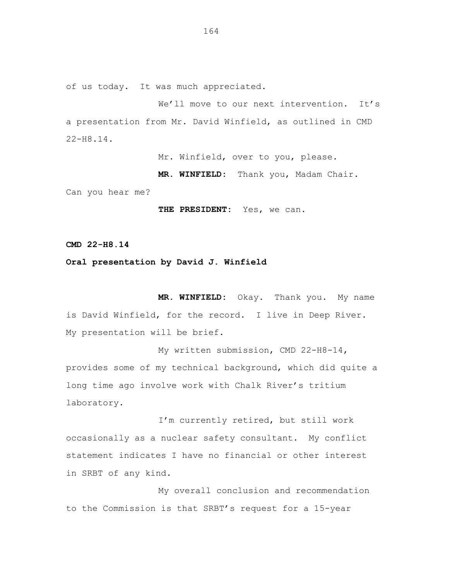of us today. It was much appreciated.

We'll move to our next intervention. It's a presentation from Mr. David Winfield, as outlined in CMD 22-H8.14.

Mr. Winfield, over to you, please.

**MR. WINFIELD:** Thank you, Madam Chair.

Can you hear me?

THE PRESIDENT: Yes, we can.

**CMD 22-H8.14**

## **Oral presentation by David J. Winfield**

**MR. WINFIELD:** Okay. Thank you. My name is David Winfield, for the record. I live in Deep River. My presentation will be brief.

My written submission, CMD 22-H8-14, provides some of my technical background, which did quite a long time ago involve work with Chalk River's tritium laboratory.

I'm currently retired, but still work occasionally as a nuclear safety consultant. My conflict statement indicates I have no financial or other interest in SRBT of any kind.

My overall conclusion and recommendation to the Commission is that SRBT's request for a 15-year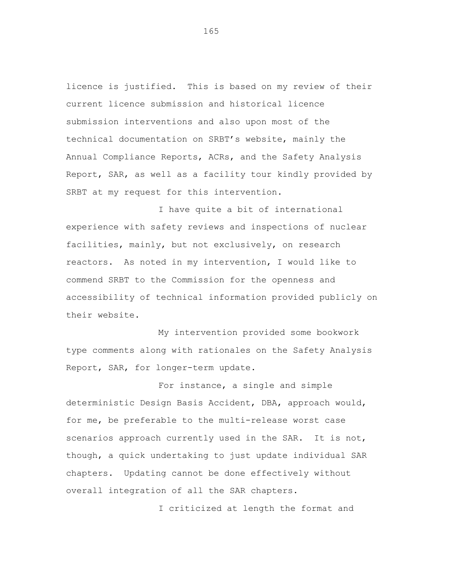licence is justified. This is based on my review of their current licence submission and historical licence submission interventions and also upon most of the technical documentation on SRBT's website, mainly the Annual Compliance Reports, ACRs, and the Safety Analysis Report, SAR, as well as a facility tour kindly provided by SRBT at my request for this intervention.

I have quite a bit of international experience with safety reviews and inspections of nuclear facilities, mainly, but not exclusively, on research reactors. As noted in my intervention, I would like to commend SRBT to the Commission for the openness and accessibility of technical information provided publicly on their website.

My intervention provided some bookwork type comments along with rationales on the Safety Analysis Report, SAR, for longer-term update.

For instance, a single and simple deterministic Design Basis Accident, DBA, approach would, for me, be preferable to the multi-release worst case scenarios approach currently used in the SAR. It is not, though, a quick undertaking to just update individual SAR chapters. Updating cannot be done effectively without overall integration of all the SAR chapters.

I criticized at length the format and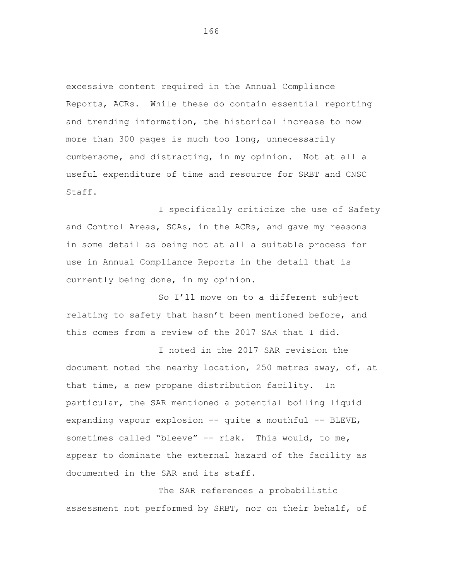excessive content required in the Annual Compliance Reports, ACRs. While these do contain essential reporting and trending information, the historical increase to now more than 300 pages is much too long, unnecessarily cumbersome, and distracting, in my opinion. Not at all a useful expenditure of time and resource for SRBT and CNSC Staff.

I specifically criticize the use of Safety and Control Areas, SCAs, in the ACRs, and gave my reasons in some detail as being not at all a suitable process for use in Annual Compliance Reports in the detail that is currently being done, in my opinion.

So I'll move on to a different subject relating to safety that hasn't been mentioned before, and this comes from a review of the 2017 SAR that I did.

I noted in the 2017 SAR revision the document noted the nearby location, 250 metres away, of, at that time, a new propane distribution facility. In particular, the SAR mentioned a potential boiling liquid expanding vapour explosion -- quite a mouthful -- BLEVE, sometimes called "bleeve" -- risk. This would, to me, appear to dominate the external hazard of the facility as documented in the SAR and its staff.

The SAR references a probabilistic assessment not performed by SRBT, nor on their behalf, of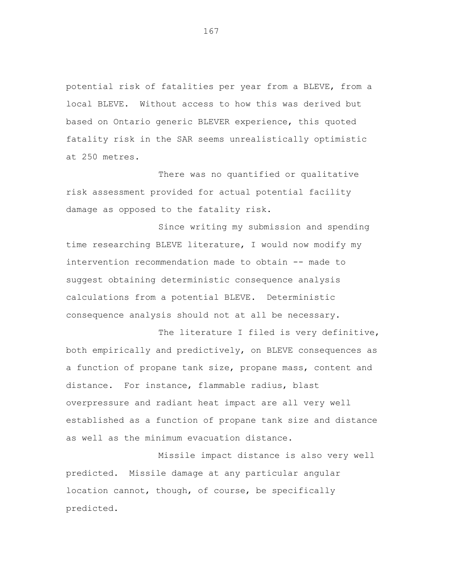potential risk of fatalities per year from a BLEVE, from a local BLEVE. Without access to how this was derived but based on Ontario generic BLEVER experience, this quoted fatality risk in the SAR seems unrealistically optimistic at 250 metres.

There was no quantified or qualitative risk assessment provided for actual potential facility damage as opposed to the fatality risk.

Since writing my submission and spending time researching BLEVE literature, I would now modify my intervention recommendation made to obtain -- made to suggest obtaining deterministic consequence analysis calculations from a potential BLEVE. Deterministic consequence analysis should not at all be necessary.

The literature I filed is very definitive, both empirically and predictively, on BLEVE consequences as a function of propane tank size, propane mass, content and distance. For instance, flammable radius, blast overpressure and radiant heat impact are all very well established as a function of propane tank size and distance as well as the minimum evacuation distance.

Missile impact distance is also very well predicted. Missile damage at any particular angular location cannot, though, of course, be specifically predicted.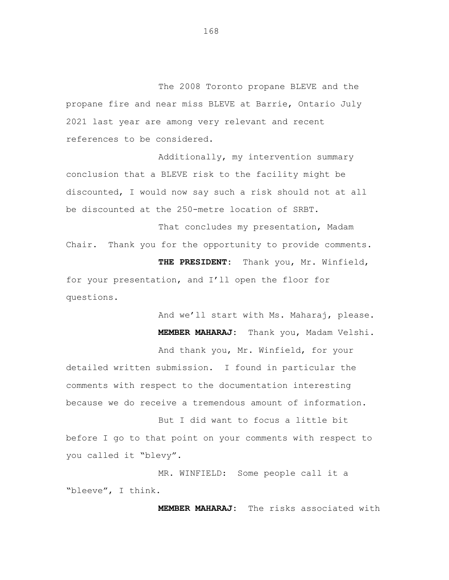The 2008 Toronto propane BLEVE and the propane fire and near miss BLEVE at Barrie, Ontario July 2021 last year are among very relevant and recent references to be considered.

Additionally, my intervention summary conclusion that a BLEVE risk to the facility might be discounted, I would now say such a risk should not at all be discounted at the 250-metre location of SRBT.

That concludes my presentation, Madam Chair. Thank you for the opportunity to provide comments. **THE PRESIDENT:** Thank you, Mr. Winfield,

for your presentation, and I'll open the floor for questions.

> And we'll start with Ms. Maharaj, please. **MEMBER MAHARAJ:** Thank you, Madam Velshi.

And thank you, Mr. Winfield, for your detailed written submission. I found in particular the comments with respect to the documentation interesting

But I did want to focus a little bit before I go to that point on your comments with respect to you called it "blevy".

because we do receive a tremendous amount of information.

MR. WINFIELD: Some people call it a "bleeve", I think.

**MEMBER MAHARAJ:** The risks associated with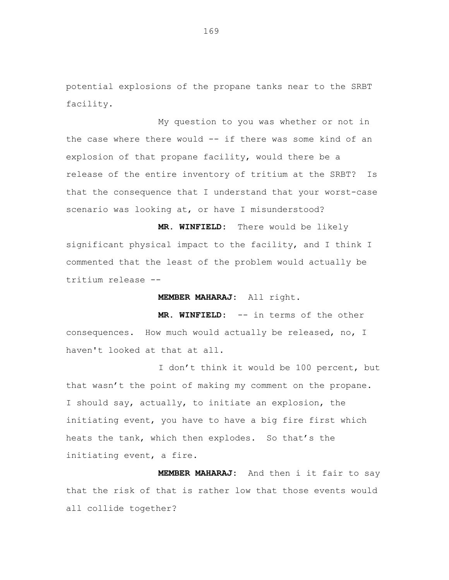potential explosions of the propane tanks near to the SRBT facility.

My question to you was whether or not in the case where there would -- if there was some kind of an explosion of that propane facility, would there be a release of the entire inventory of tritium at the SRBT? Is that the consequence that I understand that your worst-case scenario was looking at, or have I misunderstood?

**MR. WINFIELD:** There would be likely significant physical impact to the facility, and I think I commented that the least of the problem would actually be tritium release --

#### **MEMBER MAHARAJ:** All right.

**MR. WINFIELD:** -- in terms of the other consequences. How much would actually be released, no, I haven't looked at that at all.

I don't think it would be 100 percent, but that wasn't the point of making my comment on the propane. I should say, actually, to initiate an explosion, the initiating event, you have to have a big fire first which heats the tank, which then explodes. So that's the initiating event, a fire.

**MEMBER MAHARAJ:** And then i it fair to say that the risk of that is rather low that those events would all collide together?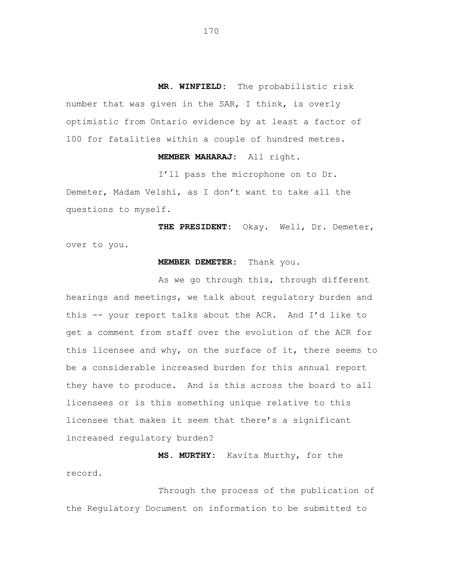**MR. WINFIELD:** The probabilistic risk number that was given in the SAR, I think, is overly optimistic from Ontario evidence by at least a factor of 100 for fatalities within a couple of hundred metres.

# **MEMBER MAHARAJ:** All right.

I'll pass the microphone on to Dr.

Demeter, Madam Velshi, as I don't want to take all the questions to myself.

**THE PRESIDENT:** Okay. Well, Dr. Demeter, over to you.

### **MEMBER DEMETER:** Thank you.

As we go through this, through different hearings and meetings, we talk about regulatory burden and this -- your report talks about the ACR. And I'd like to get a comment from staff over the evolution of the ACR for this licensee and why, on the surface of it, there seems to be a considerable increased burden for this annual report they have to produce. And is this across the board to all licensees or is this something unique relative to this licensee that makes it seem that there's a significant increased regulatory burden?

**MS. MURTHY:** Kavita Murthy, for the record.

Through the process of the publication of the Regulatory Document on information to be submitted to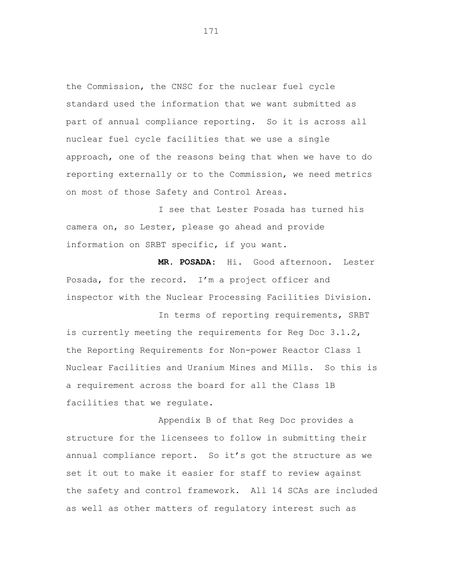the Commission, the CNSC for the nuclear fuel cycle standard used the information that we want submitted as part of annual compliance reporting. So it is across all nuclear fuel cycle facilities that we use a single approach, one of the reasons being that when we have to do reporting externally or to the Commission, we need metrics on most of those Safety and Control Areas.

I see that Lester Posada has turned his camera on, so Lester, please go ahead and provide information on SRBT specific, if you want.

**MR. POSADA:** Hi. Good afternoon. Lester Posada, for the record. I'm a project officer and inspector with the Nuclear Processing Facilities Division.

In terms of reporting requirements, SRBT is currently meeting the requirements for Reg Doc 3.1.2, the Reporting Requirements for Non-power Reactor Class 1 Nuclear Facilities and Uranium Mines and Mills. So this is a requirement across the board for all the Class 1B facilities that we regulate.

Appendix B of that Reg Doc provides a structure for the licensees to follow in submitting their annual compliance report. So it's got the structure as we set it out to make it easier for staff to review against the safety and control framework. All 14 SCAs are included as well as other matters of regulatory interest such as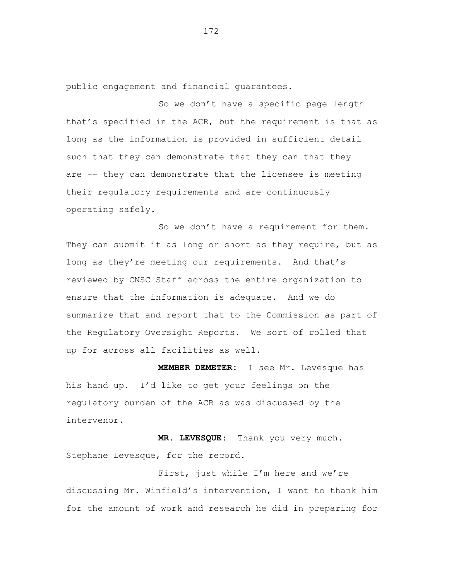public engagement and financial guarantees.

So we don't have a specific page length that's specified in the ACR, but the requirement is that as long as the information is provided in sufficient detail such that they can demonstrate that they can that they are -- they can demonstrate that the licensee is meeting their regulatory requirements and are continuously operating safely.

So we don't have a requirement for them. They can submit it as long or short as they require, but as long as they're meeting our requirements. And that's reviewed by CNSC Staff across the entire organization to ensure that the information is adequate. And we do summarize that and report that to the Commission as part of the Regulatory Oversight Reports. We sort of rolled that up for across all facilities as well.

**MEMBER DEMETER:** I see Mr. Levesque has his hand up. I'd like to get your feelings on the regulatory burden of the ACR as was discussed by the intervenor.

**MR. LEVESQUE:** Thank you very much. Stephane Levesque, for the record.

First, just while I'm here and we're discussing Mr. Winfield's intervention, I want to thank him for the amount of work and research he did in preparing for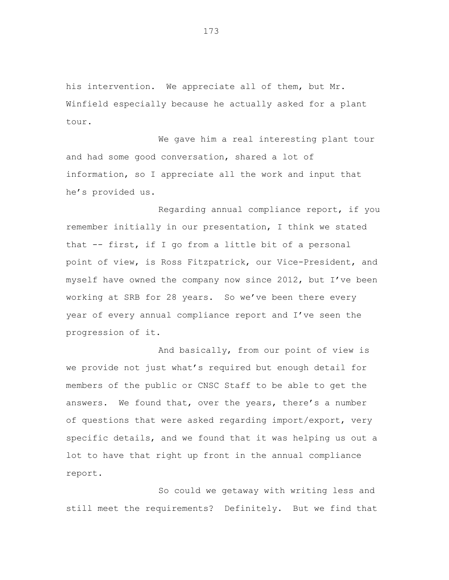his intervention. We appreciate all of them, but Mr. Winfield especially because he actually asked for a plant tour.

We gave him a real interesting plant tour and had some good conversation, shared a lot of information, so I appreciate all the work and input that he's provided us.

Regarding annual compliance report, if you remember initially in our presentation, I think we stated that -- first, if I go from a little bit of a personal point of view, is Ross Fitzpatrick, our Vice-President, and myself have owned the company now since 2012, but I've been working at SRB for 28 years. So we've been there every year of every annual compliance report and I've seen the progression of it.

And basically, from our point of view is we provide not just what's required but enough detail for members of the public or CNSC Staff to be able to get the answers. We found that, over the years, there's a number of questions that were asked regarding import/export, very specific details, and we found that it was helping us out a lot to have that right up front in the annual compliance report.

So could we getaway with writing less and still meet the requirements? Definitely. But we find that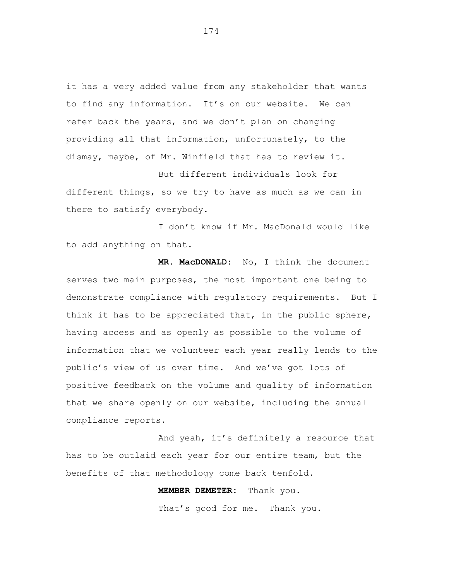it has a very added value from any stakeholder that wants to find any information. It's on our website. We can refer back the years, and we don't plan on changing providing all that information, unfortunately, to the dismay, maybe, of Mr. Winfield that has to review it.

But different individuals look for different things, so we try to have as much as we can in there to satisfy everybody.

I don't know if Mr. MacDonald would like to add anything on that.

**MR. MacDONALD:** No, I think the document serves two main purposes, the most important one being to demonstrate compliance with regulatory requirements. But I think it has to be appreciated that, in the public sphere, having access and as openly as possible to the volume of information that we volunteer each year really lends to the public's view of us over time. And we've got lots of positive feedback on the volume and quality of information that we share openly on our website, including the annual compliance reports.

And yeah, it's definitely a resource that has to be outlaid each year for our entire team, but the benefits of that methodology come back tenfold.

> **MEMBER DEMETER:** Thank you. That's good for me. Thank you.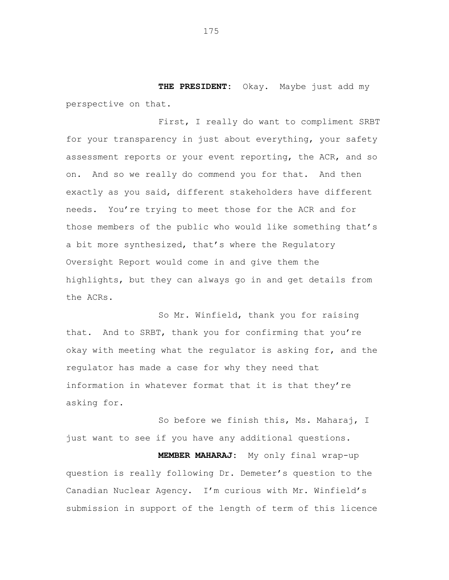**THE PRESIDENT:** Okay. Maybe just add my perspective on that.

First, I really do want to compliment SRBT for your transparency in just about everything, your safety assessment reports or your event reporting, the ACR, and so on. And so we really do commend you for that. And then exactly as you said, different stakeholders have different needs. You're trying to meet those for the ACR and for those members of the public who would like something that's a bit more synthesized, that's where the Regulatory Oversight Report would come in and give them the highlights, but they can always go in and get details from the ACRs.

So Mr. Winfield, thank you for raising that. And to SRBT, thank you for confirming that you're okay with meeting what the regulator is asking for, and the regulator has made a case for why they need that information in whatever format that it is that they're asking for.

So before we finish this, Ms. Maharaj, I just want to see if you have any additional questions.

**MEMBER MAHARAJ:** My only final wrap-up question is really following Dr. Demeter's question to the Canadian Nuclear Agency. I'm curious with Mr. Winfield's submission in support of the length of term of this licence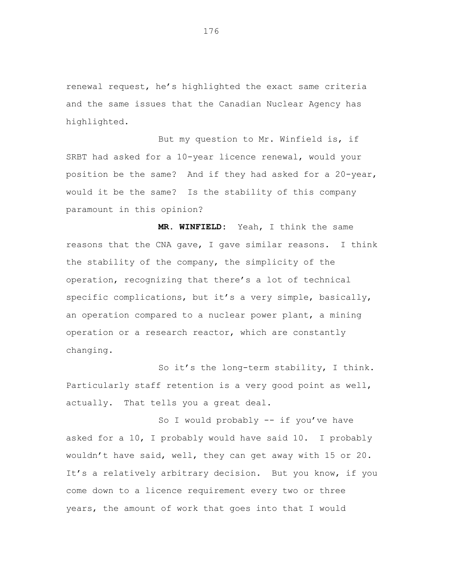renewal request, he's highlighted the exact same criteria and the same issues that the Canadian Nuclear Agency has highlighted.

But my question to Mr. Winfield is, if SRBT had asked for a 10-year licence renewal, would your position be the same? And if they had asked for a 20-year, would it be the same? Is the stability of this company paramount in this opinion?

**MR. WINFIELD:** Yeah, I think the same reasons that the CNA gave, I gave similar reasons. I think the stability of the company, the simplicity of the operation, recognizing that there's a lot of technical specific complications, but it's a very simple, basically, an operation compared to a nuclear power plant, a mining operation or a research reactor, which are constantly changing.

So it's the long-term stability, I think. Particularly staff retention is a very good point as well, actually. That tells you a great deal.

So I would probably -- if you've have asked for a 10, I probably would have said 10. I probably wouldn't have said, well, they can get away with 15 or 20. It's a relatively arbitrary decision. But you know, if you come down to a licence requirement every two or three years, the amount of work that goes into that I would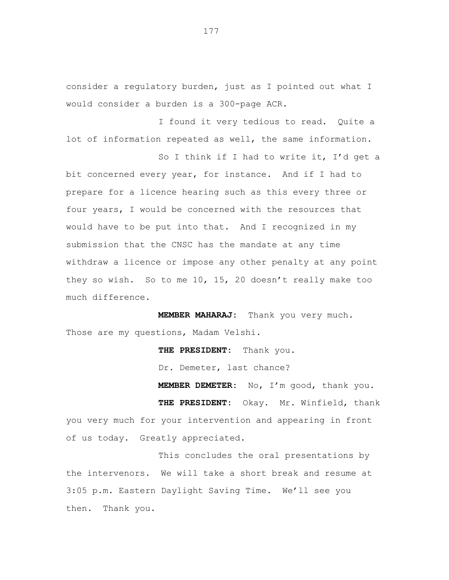consider a regulatory burden, just as I pointed out what I would consider a burden is a 300-page ACR.

I found it very tedious to read. Quite a lot of information repeated as well, the same information.

So I think if I had to write it, I'd get a bit concerned every year, for instance. And if I had to prepare for a licence hearing such as this every three or four years, I would be concerned with the resources that would have to be put into that. And I recognized in my submission that the CNSC has the mandate at any time withdraw a licence or impose any other penalty at any point they so wish. So to me 10, 15, 20 doesn't really make too much difference.

**MEMBER MAHARAJ:** Thank you very much. Those are my questions, Madam Velshi.

**THE PRESIDENT:** Thank you.

Dr. Demeter, last chance?

**MEMBER DEMETER:** No, I'm good, thank you. **THE PRESIDENT:** Okay. Mr. Winfield, thank you very much for your intervention and appearing in front of us today. Greatly appreciated.

This concludes the oral presentations by the intervenors. We will take a short break and resume at 3:05 p.m. Eastern Daylight Saving Time. We'll see you then. Thank you.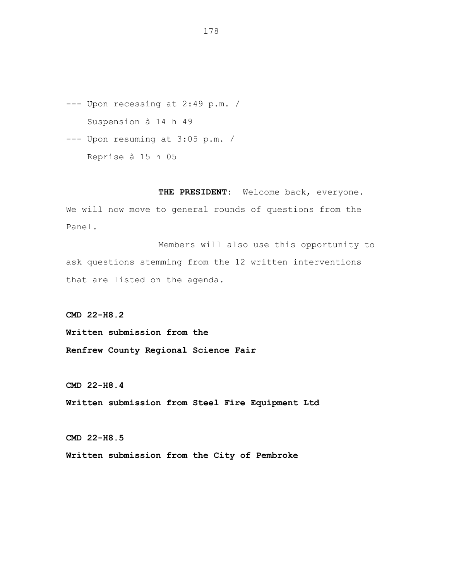--- Upon recessing at 2:49 p.m. / Suspension à 14 h 49

--- Upon resuming at 3:05 p.m. / Reprise à 15 h 05

**THE PRESIDENT:** Welcome back, everyone. We will now move to general rounds of questions from the Panel.

Members will also use this opportunity to ask questions stemming from the 12 written interventions that are listed on the agenda.

**CMD 22-H8.2**

**Written submission from the Renfrew County Regional Science Fair**

**CMD 22-H8.4**

**Written submission from Steel Fire Equipment Ltd**

**CMD 22-H8.5**

**Written submission from the City of Pembroke**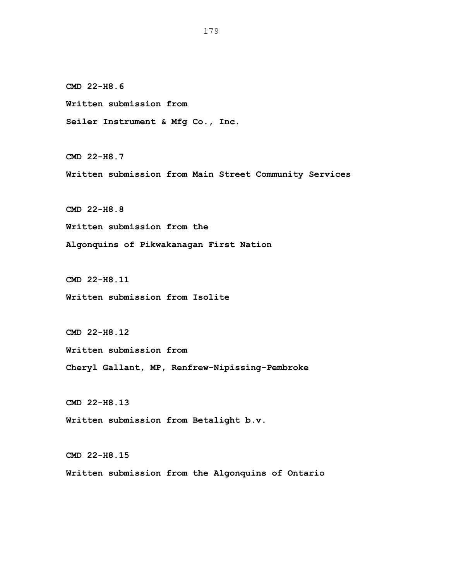**CMD 22-H8.6**

**Written submission from**

**Seiler Instrument & Mfg Co., Inc.**

**CMD 22-H8.7**

**Written submission from Main Street Community Services**

**CMD 22-H8.8**

**Written submission from the**

**Algonquins of Pikwakanagan First Nation**

**CMD 22-H8.11**

**Written submission from Isolite**

**CMD 22-H8.12**

**Written submission from**

**Cheryl Gallant, MP, Renfrew-Nipissing-Pembroke**

**CMD 22-H8.13**

**Written submission from Betalight b.v.**

**CMD 22-H8.15 Written submission from the Algonquins of Ontario**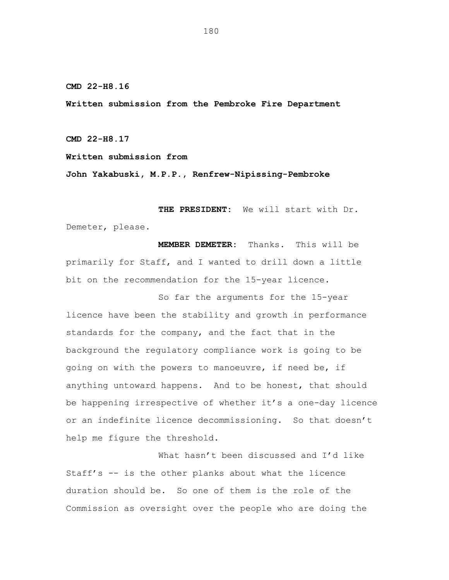**CMD 22-H8.16**

**Written submission from the Pembroke Fire Department**

**CMD 22-H8.17**

**Written submission from**

**John Yakabuski, M.P.P., Renfrew-Nipissing-Pembroke**

**THE PRESIDENT:** We will start with Dr. Demeter, please.

**MEMBER DEMETER:** Thanks. This will be primarily for Staff, and I wanted to drill down a little bit on the recommendation for the 15-year licence.

So far the arguments for the 15-year licence have been the stability and growth in performance standards for the company, and the fact that in the background the regulatory compliance work is going to be going on with the powers to manoeuvre, if need be, if anything untoward happens. And to be honest, that should be happening irrespective of whether it's a one-day licence or an indefinite licence decommissioning. So that doesn't help me figure the threshold.

What hasn't been discussed and I'd like Staff's -- is the other planks about what the licence duration should be. So one of them is the role of the Commission as oversight over the people who are doing the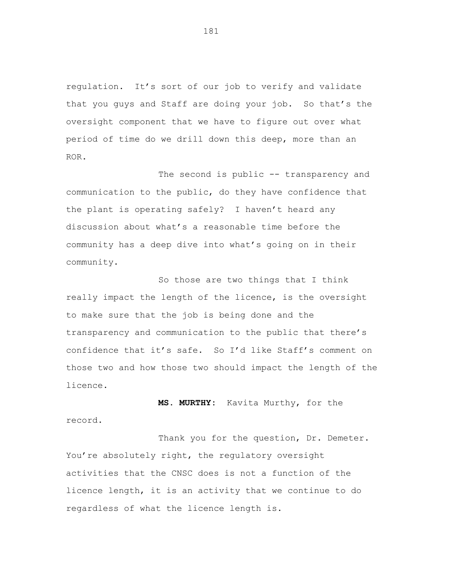regulation. It's sort of our job to verify and validate that you guys and Staff are doing your job. So that's the oversight component that we have to figure out over what period of time do we drill down this deep, more than an ROR.

The second is public -- transparency and communication to the public, do they have confidence that the plant is operating safely? I haven't heard any discussion about what's a reasonable time before the community has a deep dive into what's going on in their community.

So those are two things that I think really impact the length of the licence, is the oversight to make sure that the job is being done and the transparency and communication to the public that there's confidence that it's safe. So I'd like Staff's comment on those two and how those two should impact the length of the licence.

**MS. MURTHY:** Kavita Murthy, for the record.

Thank you for the question, Dr. Demeter. You're absolutely right, the regulatory oversight activities that the CNSC does is not a function of the licence length, it is an activity that we continue to do regardless of what the licence length is.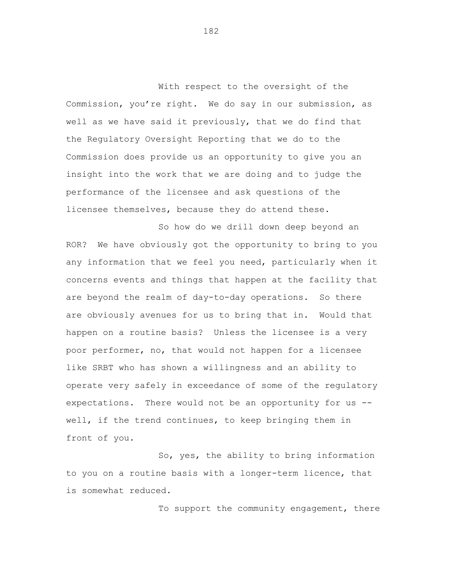With respect to the oversight of the Commission, you're right. We do say in our submission, as well as we have said it previously, that we do find that the Regulatory Oversight Reporting that we do to the Commission does provide us an opportunity to give you an insight into the work that we are doing and to judge the performance of the licensee and ask questions of the licensee themselves, because they do attend these.

So how do we drill down deep beyond an ROR? We have obviously got the opportunity to bring to you any information that we feel you need, particularly when it concerns events and things that happen at the facility that are beyond the realm of day-to-day operations. So there are obviously avenues for us to bring that in. Would that happen on a routine basis? Unless the licensee is a very poor performer, no, that would not happen for a licensee like SRBT who has shown a willingness and an ability to operate very safely in exceedance of some of the regulatory expectations. There would not be an opportunity for us - well, if the trend continues, to keep bringing them in front of you.

So, yes, the ability to bring information to you on a routine basis with a longer-term licence, that is somewhat reduced.

To support the community engagement, there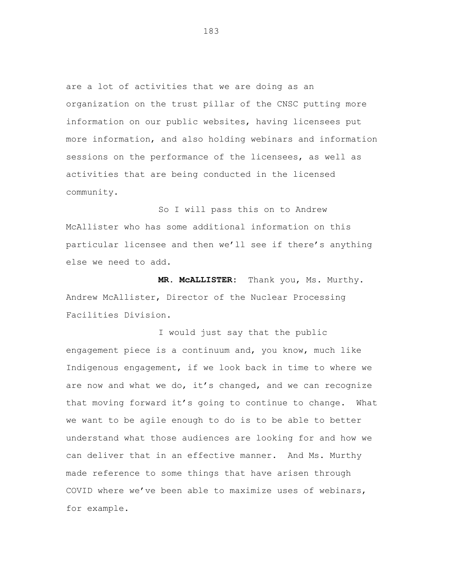are a lot of activities that we are doing as an organization on the trust pillar of the CNSC putting more information on our public websites, having licensees put more information, and also holding webinars and information sessions on the performance of the licensees, as well as activities that are being conducted in the licensed community.

So I will pass this on to Andrew McAllister who has some additional information on this particular licensee and then we'll see if there's anything else we need to add.

**MR. McALLISTER:** Thank you, Ms. Murthy. Andrew McAllister, Director of the Nuclear Processing Facilities Division.

I would just say that the public engagement piece is a continuum and, you know, much like Indigenous engagement, if we look back in time to where we are now and what we do, it's changed, and we can recognize that moving forward it's going to continue to change. What we want to be agile enough to do is to be able to better understand what those audiences are looking for and how we can deliver that in an effective manner. And Ms. Murthy made reference to some things that have arisen through COVID where we've been able to maximize uses of webinars, for example.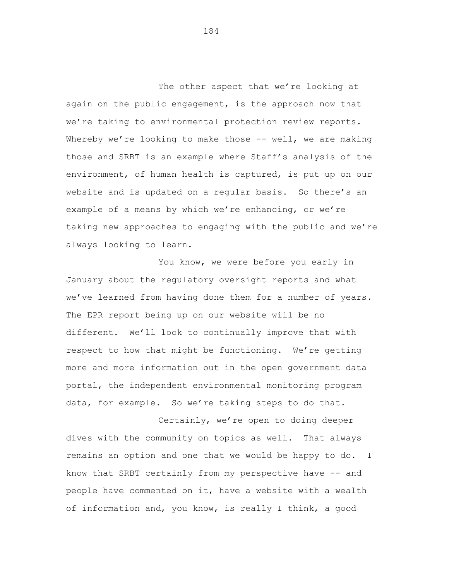The other aspect that we're looking at again on the public engagement, is the approach now that we're taking to environmental protection review reports. Whereby we're looking to make those -- well, we are making those and SRBT is an example where Staff's analysis of the environment, of human health is captured, is put up on our website and is updated on a regular basis. So there's an example of a means by which we're enhancing, or we're taking new approaches to engaging with the public and we're always looking to learn.

You know, we were before you early in January about the regulatory oversight reports and what we've learned from having done them for a number of years. The EPR report being up on our website will be no different. We'll look to continually improve that with respect to how that might be functioning. We're getting more and more information out in the open government data portal, the independent environmental monitoring program data, for example. So we're taking steps to do that.

Certainly, we're open to doing deeper dives with the community on topics as well. That always remains an option and one that we would be happy to do. I know that SRBT certainly from my perspective have -- and people have commented on it, have a website with a wealth of information and, you know, is really I think, a good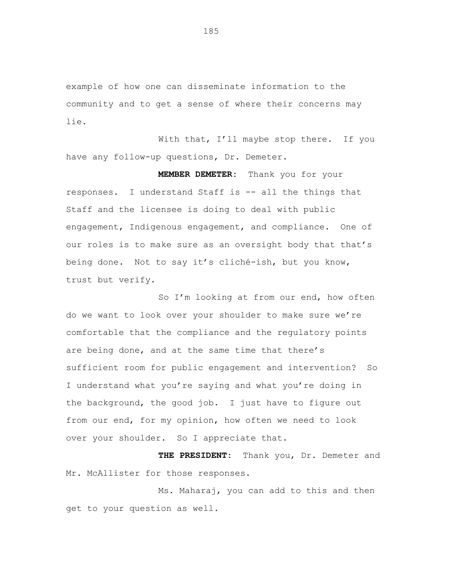example of how one can disseminate information to the community and to get a sense of where their concerns may lie.

With that, I'll maybe stop there. If you have any follow-up questions, Dr. Demeter.

**MEMBER DEMETER:** Thank you for your responses. I understand Staff is -- all the things that Staff and the licensee is doing to deal with public engagement, Indigenous engagement, and compliance. One of our roles is to make sure as an oversight body that that's being done. Not to say it's cliché-ish, but you know, trust but verify.

So I'm looking at from our end, how often do we want to look over your shoulder to make sure we're comfortable that the compliance and the regulatory points are being done, and at the same time that there's sufficient room for public engagement and intervention? So I understand what you're saying and what you're doing in the background, the good job. I just have to figure out from our end, for my opinion, how often we need to look over your shoulder. So I appreciate that.

**THE PRESIDENT:** Thank you, Dr. Demeter and Mr. McAllister for those responses.

Ms. Maharaj, you can add to this and then get to your question as well.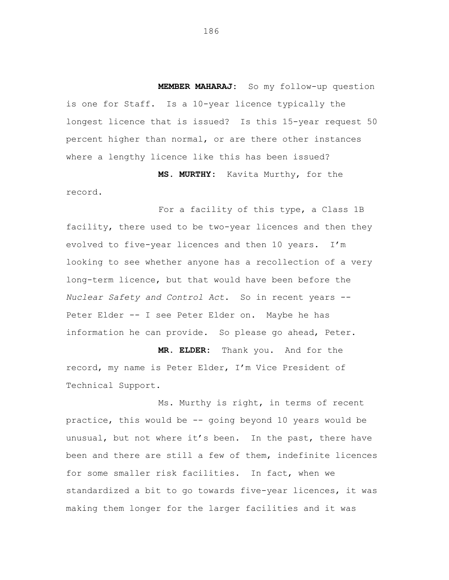**MEMBER MAHARAJ:** So my follow-up question is one for Staff. Is a 10-year licence typically the longest licence that is issued? Is this 15-year request 50 percent higher than normal, or are there other instances where a lengthy licence like this has been issued?

record.

**MS. MURTHY:** Kavita Murthy, for the

For a facility of this type, a Class 1B facility, there used to be two-year licences and then they evolved to five-year licences and then 10 years. I'm looking to see whether anyone has a recollection of a very long-term licence, but that would have been before the *Nuclear Safety and Control Act*. So in recent years -- Peter Elder -- I see Peter Elder on. Maybe he has information he can provide. So please go ahead, Peter.

**MR. ELDER:** Thank you. And for the record, my name is Peter Elder, I'm Vice President of Technical Support.

Ms. Murthy is right, in terms of recent practice, this would be -- going beyond 10 years would be unusual, but not where it's been. In the past, there have been and there are still a few of them, indefinite licences for some smaller risk facilities. In fact, when we standardized a bit to go towards five-year licences, it was making them longer for the larger facilities and it was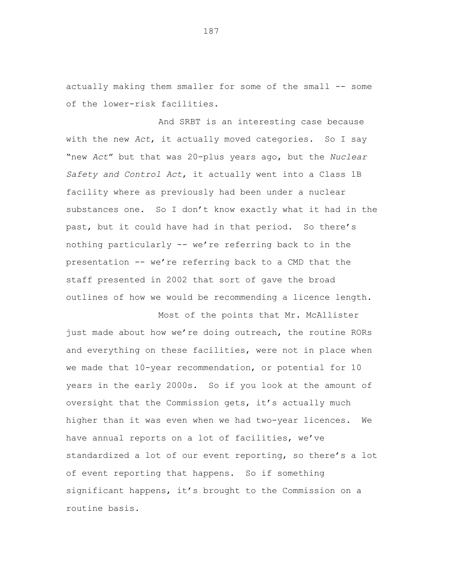actually making them smaller for some of the small -- some of the lower-risk facilities.

And SRBT is an interesting case because with the new *Act*, it actually moved categories. So I say "new *Act*" but that was 20-plus years ago, but the *Nuclear Safety and Control Act*, it actually went into a Class 1B facility where as previously had been under a nuclear substances one. So I don't know exactly what it had in the past, but it could have had in that period. So there's nothing particularly -- we're referring back to in the presentation -- we're referring back to a CMD that the staff presented in 2002 that sort of gave the broad outlines of how we would be recommending a licence length.

Most of the points that Mr. McAllister just made about how we're doing outreach, the routine RORs and everything on these facilities, were not in place when we made that 10-year recommendation, or potential for 10 years in the early 2000s. So if you look at the amount of oversight that the Commission gets, it's actually much higher than it was even when we had two-year licences. We have annual reports on a lot of facilities, we've standardized a lot of our event reporting, so there's a lot of event reporting that happens. So if something significant happens, it's brought to the Commission on a routine basis.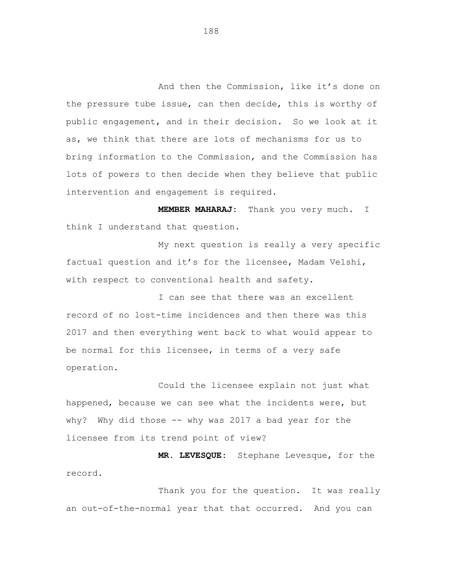And then the Commission, like it's done on the pressure tube issue, can then decide, this is worthy of public engagement, and in their decision. So we look at it as, we think that there are lots of mechanisms for us to bring information to the Commission, and the Commission has lots of powers to then decide when they believe that public intervention and engagement is required.

**MEMBER MAHARAJ:** Thank you very much. I think I understand that question.

My next question is really a very specific factual question and it's for the licensee, Madam Velshi, with respect to conventional health and safety.

I can see that there was an excellent record of no lost-time incidences and then there was this 2017 and then everything went back to what would appear to be normal for this licensee, in terms of a very safe operation.

Could the licensee explain not just what happened, because we can see what the incidents were, but why? Why did those -- why was 2017 a bad year for the licensee from its trend point of view?

**MR. LEVESQUE:** Stephane Levesque, for the record.

Thank you for the question. It was really an out-of-the-normal year that that occurred. And you can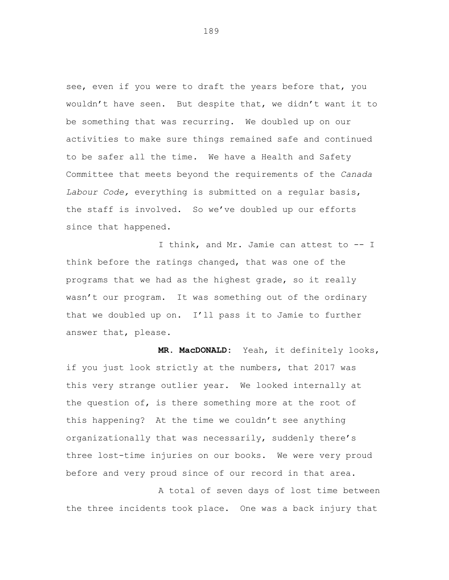see, even if you were to draft the years before that, you wouldn't have seen. But despite that, we didn't want it to be something that was recurring. We doubled up on our activities to make sure things remained safe and continued to be safer all the time. We have a Health and Safety Committee that meets beyond the requirements of the *Canada Labour Code,* everything is submitted on a regular basis, the staff is involved. So we've doubled up our efforts since that happened.

I think, and Mr. Jamie can attest to -- I think before the ratings changed, that was one of the programs that we had as the highest grade, so it really wasn't our program. It was something out of the ordinary that we doubled up on. I'll pass it to Jamie to further answer that, please.

**MR. MacDONALD:** Yeah, it definitely looks, if you just look strictly at the numbers, that 2017 was this very strange outlier year. We looked internally at the question of, is there something more at the root of this happening? At the time we couldn't see anything organizationally that was necessarily, suddenly there's three lost-time injuries on our books. We were very proud before and very proud since of our record in that area.

A total of seven days of lost time between the three incidents took place. One was a back injury that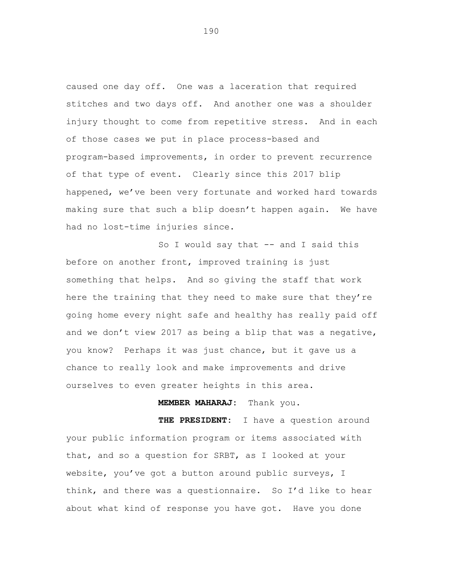caused one day off. One was a laceration that required stitches and two days off. And another one was a shoulder injury thought to come from repetitive stress. And in each of those cases we put in place process-based and program-based improvements, in order to prevent recurrence of that type of event. Clearly since this 2017 blip happened, we've been very fortunate and worked hard towards making sure that such a blip doesn't happen again. We have had no lost-time injuries since.

So I would say that -- and I said this before on another front, improved training is just something that helps. And so giving the staff that work here the training that they need to make sure that they're going home every night safe and healthy has really paid off and we don't view 2017 as being a blip that was a negative, you know? Perhaps it was just chance, but it gave us a chance to really look and make improvements and drive ourselves to even greater heights in this area.

## **MEMBER MAHARAJ:** Thank you.

**THE PRESIDENT:** I have a question around your public information program or items associated with that, and so a question for SRBT, as I looked at your website, you've got a button around public surveys, I think, and there was a questionnaire. So I'd like to hear about what kind of response you have got. Have you done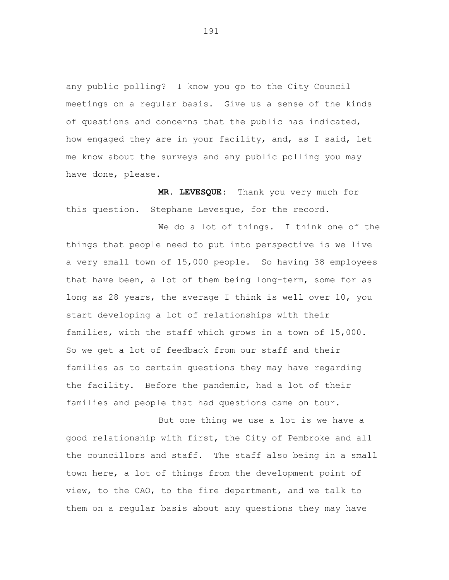any public polling? I know you go to the City Council meetings on a regular basis. Give us a sense of the kinds of questions and concerns that the public has indicated, how engaged they are in your facility, and, as I said, let me know about the surveys and any public polling you may have done, please.

**MR. LEVESQUE:** Thank you very much for this question. Stephane Levesque, for the record.

We do a lot of things. I think one of the things that people need to put into perspective is we live a very small town of 15,000 people. So having 38 employees that have been, a lot of them being long-term, some for as long as 28 years, the average I think is well over 10, you start developing a lot of relationships with their families, with the staff which grows in a town of 15,000. So we get a lot of feedback from our staff and their families as to certain questions they may have regarding the facility. Before the pandemic, had a lot of their families and people that had questions came on tour.

But one thing we use a lot is we have a good relationship with first, the City of Pembroke and all the councillors and staff. The staff also being in a small town here, a lot of things from the development point of view, to the CAO, to the fire department, and we talk to them on a regular basis about any questions they may have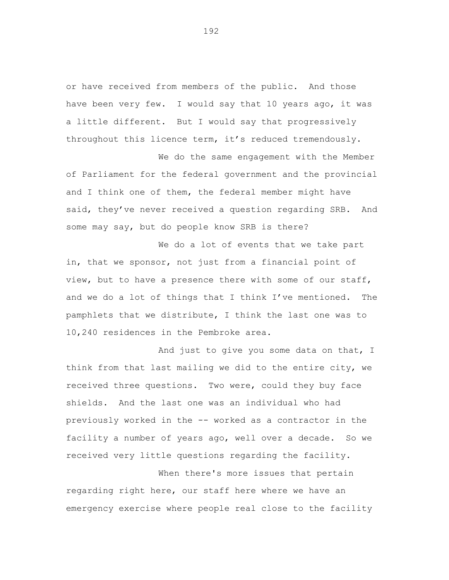or have received from members of the public. And those have been very few. I would say that 10 years ago, it was a little different. But I would say that progressively throughout this licence term, it's reduced tremendously.

We do the same engagement with the Member of Parliament for the federal government and the provincial and I think one of them, the federal member might have said, they've never received a question regarding SRB. And some may say, but do people know SRB is there?

We do a lot of events that we take part in, that we sponsor, not just from a financial point of view, but to have a presence there with some of our staff, and we do a lot of things that I think I've mentioned. The pamphlets that we distribute, I think the last one was to 10,240 residences in the Pembroke area.

And just to give you some data on that, I think from that last mailing we did to the entire city, we received three questions. Two were, could they buy face shields. And the last one was an individual who had previously worked in the -- worked as a contractor in the facility a number of years ago, well over a decade. So we received very little questions regarding the facility.

When there's more issues that pertain regarding right here, our staff here where we have an emergency exercise where people real close to the facility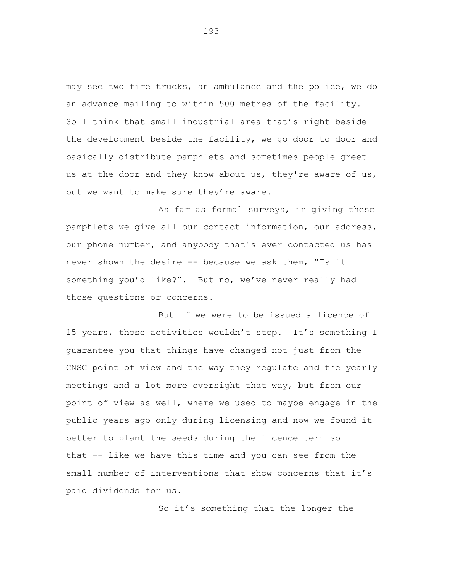may see two fire trucks, an ambulance and the police, we do an advance mailing to within 500 metres of the facility. So I think that small industrial area that's right beside the development beside the facility, we go door to door and basically distribute pamphlets and sometimes people greet us at the door and they know about us, they're aware of us, but we want to make sure they're aware.

As far as formal surveys, in giving these pamphlets we give all our contact information, our address, our phone number, and anybody that's ever contacted us has never shown the desire -- because we ask them, "Is it something you'd like?". But no, we've never really had those questions or concerns.

But if we were to be issued a licence of 15 years, those activities wouldn't stop. It's something I guarantee you that things have changed not just from the CNSC point of view and the way they regulate and the yearly meetings and a lot more oversight that way, but from our point of view as well, where we used to maybe engage in the public years ago only during licensing and now we found it better to plant the seeds during the licence term so that -- like we have this time and you can see from the small number of interventions that show concerns that it's paid dividends for us.

So it's something that the longer the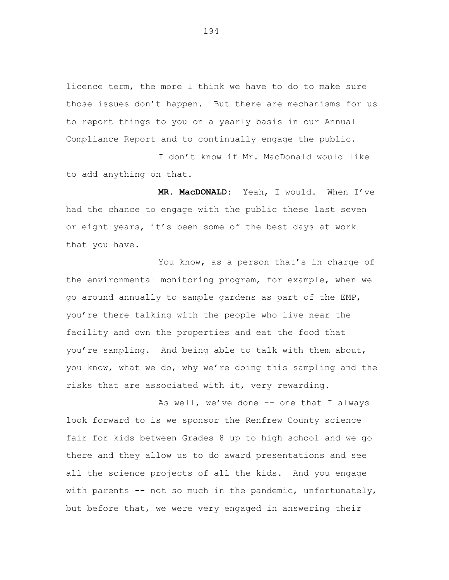licence term, the more I think we have to do to make sure those issues don't happen. But there are mechanisms for us to report things to you on a yearly basis in our Annual Compliance Report and to continually engage the public.

I don't know if Mr. MacDonald would like to add anything on that.

**MR. MacDONALD:** Yeah, I would. When I've had the chance to engage with the public these last seven or eight years, it's been some of the best days at work that you have.

You know, as a person that's in charge of the environmental monitoring program, for example, when we go around annually to sample gardens as part of the EMP, you're there talking with the people who live near the facility and own the properties and eat the food that you're sampling. And being able to talk with them about, you know, what we do, why we're doing this sampling and the risks that are associated with it, very rewarding.

As well, we've done -- one that I always look forward to is we sponsor the Renfrew County science fair for kids between Grades 8 up to high school and we go there and they allow us to do award presentations and see all the science projects of all the kids. And you engage with parents  $--$  not so much in the pandemic, unfortunately, but before that, we were very engaged in answering their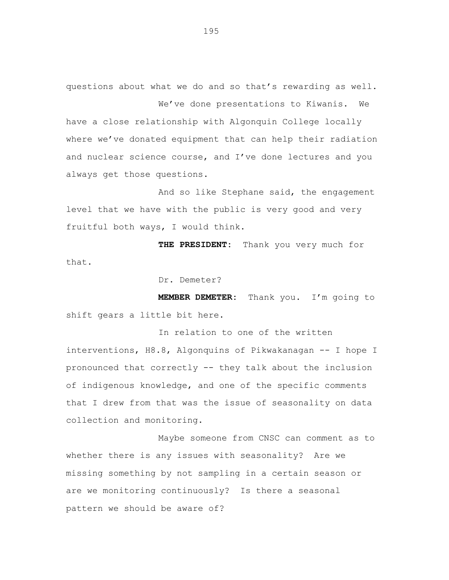questions about what we do and so that's rewarding as well. We've done presentations to Kiwanis. We

have a close relationship with Algonquin College locally where we've donated equipment that can help their radiation and nuclear science course, and I've done lectures and you always get those questions.

And so like Stephane said, the engagement level that we have with the public is very good and very fruitful both ways, I would think.

**THE PRESIDENT:** Thank you very much for that.

Dr. Demeter?

**MEMBER DEMETER:** Thank you. I'm going to shift gears a little bit here.

In relation to one of the written interventions, H8.8, Algonquins of Pikwakanagan -- I hope I pronounced that correctly -- they talk about the inclusion of indigenous knowledge, and one of the specific comments that I drew from that was the issue of seasonality on data collection and monitoring.

Maybe someone from CNSC can comment as to whether there is any issues with seasonality? Are we missing something by not sampling in a certain season or are we monitoring continuously? Is there a seasonal pattern we should be aware of?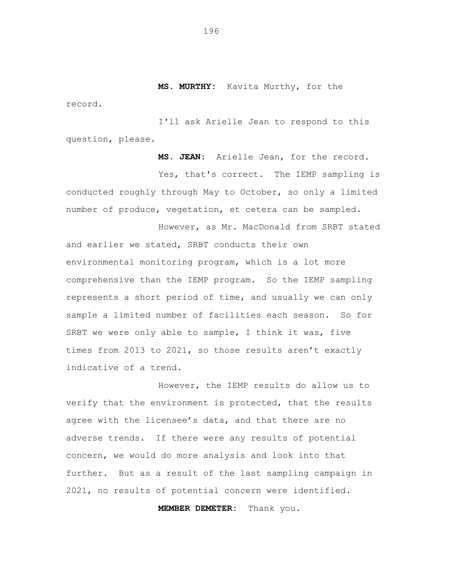**MS. MURTHY:** Kavita Murthy, for the

I'll ask Arielle Jean to respond to this question, please.

record.

**MS. JEAN:** Arielle Jean, for the record. Yes, that's correct. The IEMP sampling is conducted roughly through May to October, so only a limited number of produce, vegetation, et cetera can be sampled.

However, as Mr. MacDonald from SRBT stated and earlier we stated, SRBT conducts their own environmental monitoring program, which is a lot more comprehensive than the IEMP program. So the IEMP sampling represents a short period of time, and usually we can only sample a limited number of facilities each season. So for SRBT we were only able to sample, I think it was, five times from 2013 to 2021, so those results aren't exactly indicative of a trend.

However, the IEMP results do allow us to verify that the environment is protected, that the results agree with the licensee's data, and that there are no adverse trends. If there were any results of potential concern, we would do more analysis and look into that further. But as a result of the last sampling campaign in 2021, no results of potential concern were identified.

**MEMBER DEMETER:** Thank you.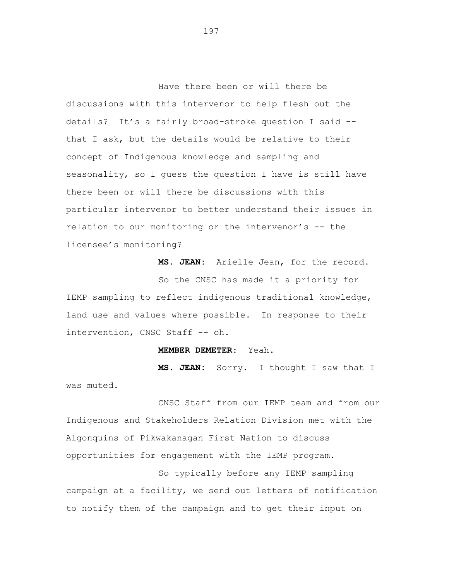Have there been or will there be discussions with this intervenor to help flesh out the details? It's a fairly broad-stroke question I said - that I ask, but the details would be relative to their concept of Indigenous knowledge and sampling and seasonality, so I guess the question I have is still have there been or will there be discussions with this particular intervenor to better understand their issues in relation to our monitoring or the intervenor's -- the licensee's monitoring?

**MS. JEAN:** Arielle Jean, for the record.

So the CNSC has made it a priority for IEMP sampling to reflect indigenous traditional knowledge, land use and values where possible. In response to their intervention, CNSC Staff -- oh.

## **MEMBER DEMETER:** Yeah.

**MS. JEAN:** Sorry. I thought I saw that I was muted.

CNSC Staff from our IEMP team and from our Indigenous and Stakeholders Relation Division met with the Algonquins of Pikwakanagan First Nation to discuss opportunities for engagement with the IEMP program.

So typically before any IEMP sampling campaign at a facility, we send out letters of notification to notify them of the campaign and to get their input on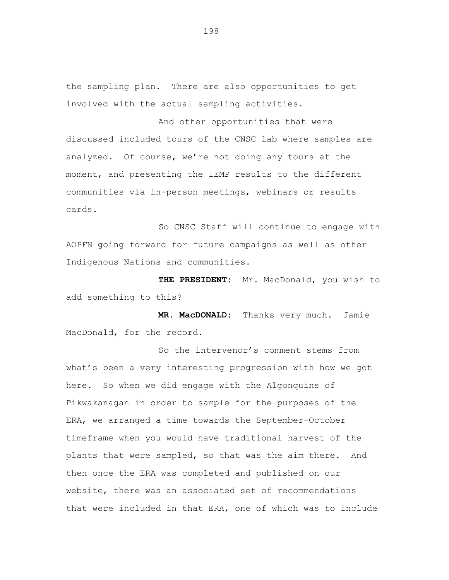the sampling plan. There are also opportunities to get involved with the actual sampling activities.

And other opportunities that were discussed included tours of the CNSC lab where samples are analyzed. Of course, we're not doing any tours at the moment, and presenting the IEMP results to the different communities via in-person meetings, webinars or results cards.

So CNSC Staff will continue to engage with AOPFN going forward for future campaigns as well as other Indigenous Nations and communities.

**THE PRESIDENT:** Mr. MacDonald, you wish to add something to this?

**MR. MacDONALD:** Thanks very much. Jamie MacDonald, for the record.

So the intervenor's comment stems from what's been a very interesting progression with how we got here. So when we did engage with the Algonquins of Pikwakanagan in order to sample for the purposes of the ERA, we arranged a time towards the September-October timeframe when you would have traditional harvest of the plants that were sampled, so that was the aim there. And then once the ERA was completed and published on our website, there was an associated set of recommendations that were included in that ERA, one of which was to include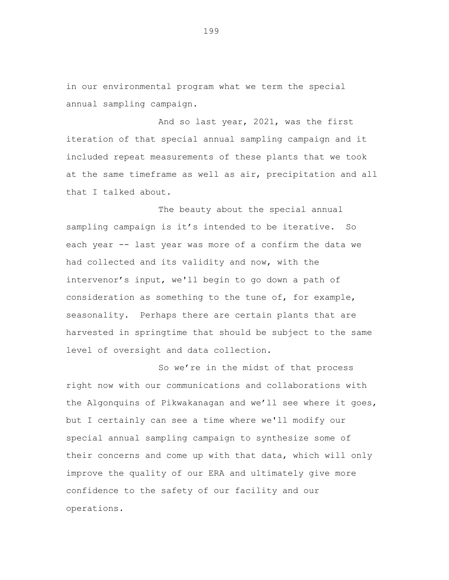in our environmental program what we term the special annual sampling campaign.

And so last year, 2021, was the first iteration of that special annual sampling campaign and it included repeat measurements of these plants that we took at the same timeframe as well as air, precipitation and all that I talked about.

The beauty about the special annual sampling campaign is it's intended to be iterative. So each year -- last year was more of a confirm the data we had collected and its validity and now, with the intervenor's input, we'll begin to go down a path of consideration as something to the tune of, for example, seasonality. Perhaps there are certain plants that are harvested in springtime that should be subject to the same level of oversight and data collection.

So we're in the midst of that process right now with our communications and collaborations with the Algonquins of Pikwakanagan and we'll see where it goes, but I certainly can see a time where we'll modify our special annual sampling campaign to synthesize some of their concerns and come up with that data, which will only improve the quality of our ERA and ultimately give more confidence to the safety of our facility and our operations.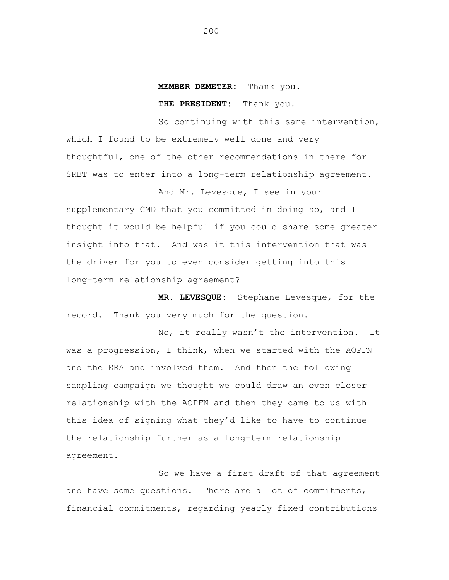## **MEMBER DEMETER:** Thank you.

## **THE PRESIDENT:** Thank you.

So continuing with this same intervention, which I found to be extremely well done and very thoughtful, one of the other recommendations in there for SRBT was to enter into a long-term relationship agreement.

And Mr. Levesque, I see in your supplementary CMD that you committed in doing so, and I thought it would be helpful if you could share some greater insight into that. And was it this intervention that was the driver for you to even consider getting into this long-term relationship agreement?

**MR. LEVESQUE:** Stephane Levesque, for the record. Thank you very much for the question.

No, it really wasn't the intervention. It was a progression, I think, when we started with the AOPFN and the ERA and involved them. And then the following sampling campaign we thought we could draw an even closer relationship with the AOPFN and then they came to us with this idea of signing what they'd like to have to continue the relationship further as a long-term relationship agreement.

So we have a first draft of that agreement and have some questions. There are a lot of commitments, financial commitments, regarding yearly fixed contributions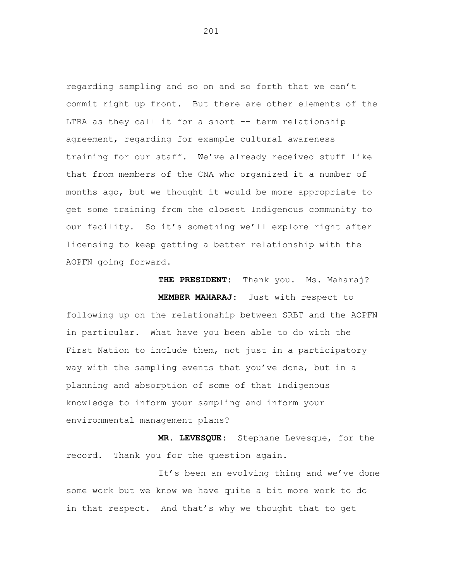regarding sampling and so on and so forth that we can't commit right up front. But there are other elements of the LTRA as they call it for a short -- term relationship agreement, regarding for example cultural awareness training for our staff. We've already received stuff like that from members of the CNA who organized it a number of months ago, but we thought it would be more appropriate to get some training from the closest Indigenous community to our facility. So it's something we'll explore right after licensing to keep getting a better relationship with the AOPFN going forward.

THE PRESIDENT: Thank you. Ms. Maharaj? **MEMBER MAHARAJ:** Just with respect to following up on the relationship between SRBT and the AOPFN in particular. What have you been able to do with the First Nation to include them, not just in a participatory way with the sampling events that you've done, but in a planning and absorption of some of that Indigenous knowledge to inform your sampling and inform your environmental management plans?

**MR. LEVESQUE:** Stephane Levesque, for the record. Thank you for the question again.

It's been an evolving thing and we've done some work but we know we have quite a bit more work to do in that respect. And that's why we thought that to get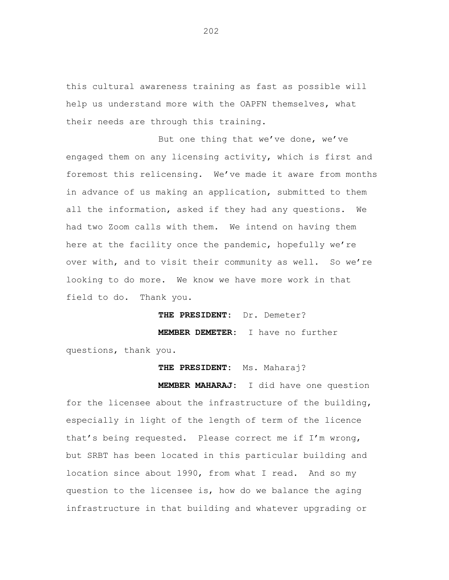this cultural awareness training as fast as possible will help us understand more with the OAPFN themselves, what their needs are through this training.

But one thing that we've done, we've engaged them on any licensing activity, which is first and foremost this relicensing. We've made it aware from months in advance of us making an application, submitted to them all the information, asked if they had any questions. We had two Zoom calls with them. We intend on having them here at the facility once the pandemic, hopefully we're over with, and to visit their community as well. So we're looking to do more. We know we have more work in that field to do. Thank you.

**THE PRESIDENT:** Dr. Demeter?

**MEMBER DEMETER:** I have no further

questions, thank you.

**THE PRESIDENT:** Ms. Maharaj?

**MEMBER MAHARAJ:** I did have one question for the licensee about the infrastructure of the building, especially in light of the length of term of the licence that's being requested. Please correct me if I'm wrong, but SRBT has been located in this particular building and location since about 1990, from what I read. And so my question to the licensee is, how do we balance the aging infrastructure in that building and whatever upgrading or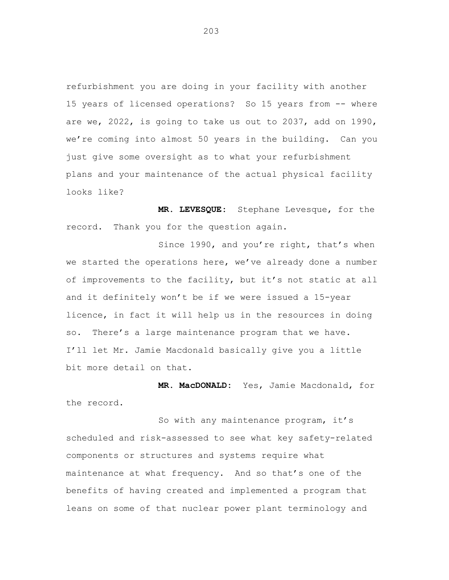refurbishment you are doing in your facility with another 15 years of licensed operations? So 15 years from -- where are we, 2022, is going to take us out to 2037, add on 1990, we're coming into almost 50 years in the building. Can you just give some oversight as to what your refurbishment plans and your maintenance of the actual physical facility looks like?

**MR. LEVESQUE:** Stephane Levesque, for the record. Thank you for the question again.

Since 1990, and you're right, that's when we started the operations here, we've already done a number of improvements to the facility, but it's not static at all and it definitely won't be if we were issued a 15-year licence, in fact it will help us in the resources in doing so. There's a large maintenance program that we have. I'll let Mr. Jamie Macdonald basically give you a little bit more detail on that.

**MR. MacDONALD:** Yes, Jamie Macdonald, for the record.

So with any maintenance program, it's scheduled and risk-assessed to see what key safety-related components or structures and systems require what maintenance at what frequency. And so that's one of the benefits of having created and implemented a program that leans on some of that nuclear power plant terminology and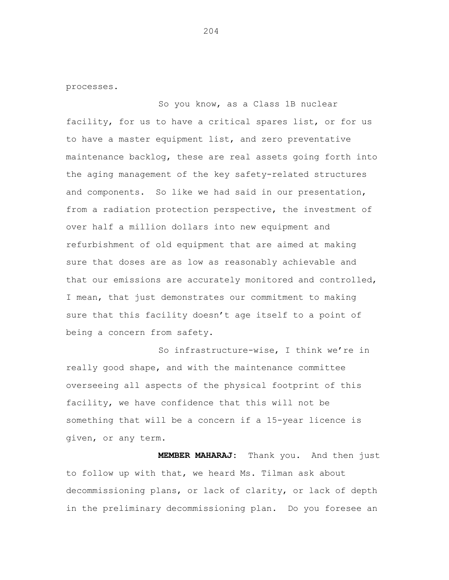processes.

So you know, as a Class 1B nuclear facility, for us to have a critical spares list, or for us to have a master equipment list, and zero preventative maintenance backlog, these are real assets going forth into the aging management of the key safety-related structures and components. So like we had said in our presentation, from a radiation protection perspective, the investment of over half a million dollars into new equipment and refurbishment of old equipment that are aimed at making sure that doses are as low as reasonably achievable and that our emissions are accurately monitored and controlled, I mean, that just demonstrates our commitment to making sure that this facility doesn't age itself to a point of being a concern from safety.

So infrastructure-wise, I think we're in really good shape, and with the maintenance committee overseeing all aspects of the physical footprint of this facility, we have confidence that this will not be something that will be a concern if a 15-year licence is given, or any term.

**MEMBER MAHARAJ:** Thank you. And then just to follow up with that, we heard Ms. Tilman ask about decommissioning plans, or lack of clarity, or lack of depth in the preliminary decommissioning plan. Do you foresee an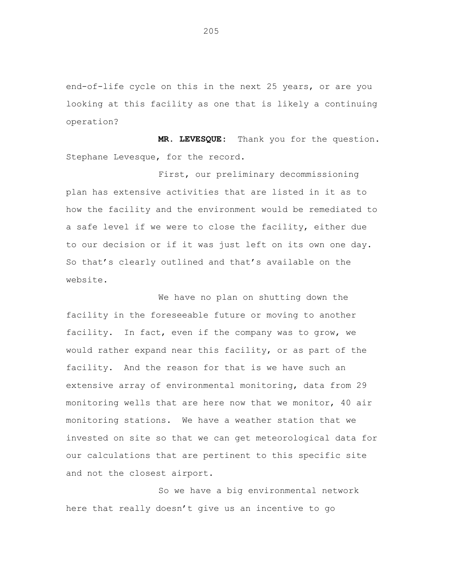end-of-life cycle on this in the next 25 years, or are you looking at this facility as one that is likely a continuing operation?

**MR. LEVESQUE:** Thank you for the question. Stephane Levesque, for the record.

First, our preliminary decommissioning plan has extensive activities that are listed in it as to how the facility and the environment would be remediated to a safe level if we were to close the facility, either due to our decision or if it was just left on its own one day. So that's clearly outlined and that's available on the website.

We have no plan on shutting down the facility in the foreseeable future or moving to another facility. In fact, even if the company was to grow, we would rather expand near this facility, or as part of the facility. And the reason for that is we have such an extensive array of environmental monitoring, data from 29 monitoring wells that are here now that we monitor, 40 air monitoring stations. We have a weather station that we invested on site so that we can get meteorological data for our calculations that are pertinent to this specific site and not the closest airport.

So we have a big environmental networ khere that really doesn't give us an incentive to go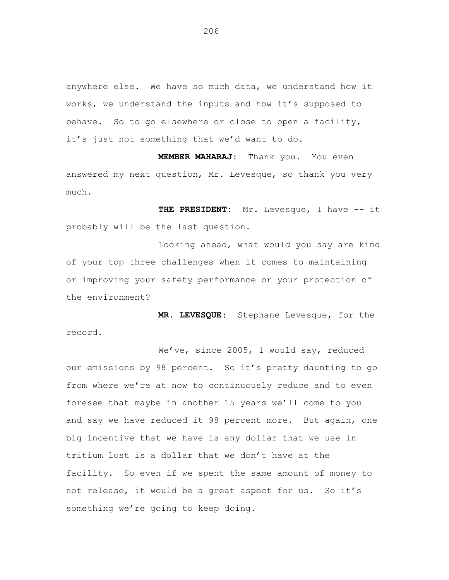anywhere else. We have so much data, we understand how it works, we understand the inputs and how it's supposed to behave. So to go elsewhere or close to open a facility, it's just not something that we'd want to do.

**MEMBER MAHARAJ:** Thank you. You even answered my next question, Mr. Levesque, so thank you very much.

**THE PRESIDENT:** Mr. Levesque, I have -- it probably will be the last question.

Looking ahead, what would you say are kind of your top three challenges when it comes to maintaining or improving your safety performance or your protection of the environment?

**MR. LEVESQUE:** Stephane Levesque, for the record.

We've, since 2005, I would say, reduced our emissions by 98 percent. So it's pretty daunting to go from where we're at now to continuously reduce and to even foresee that maybe in another 15 years we'll come to you and say we have reduced it 98 percent more. But again, one big incentive that we have is any dollar that we use in tritium lost is a dollar that we don't have at the facility. So even if we spent the same amount of money to not release, it would be a great aspect for us. So it's something we're going to keep doing.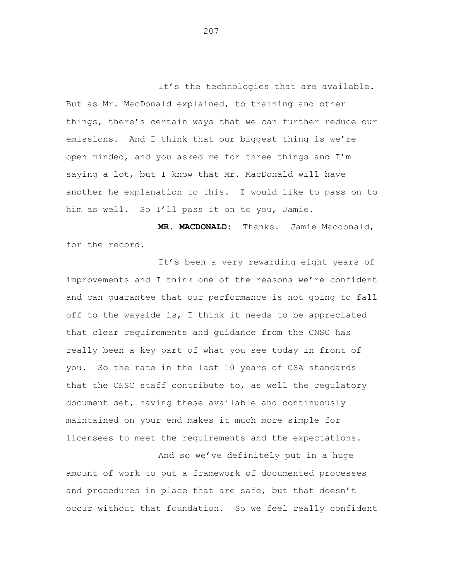It's the technologies that are available. But as Mr. MacDonald explained, to training and other things, there's certain ways that we can further reduce our emissions. And I think that our biggest thing is we're open minded, and you asked me for three things and I'm saying a lot, but I know that Mr. MacDonald will have another he explanation to this. I would like to pass on to him as well. So I'll pass it on to you, Jamie.

**MR. MACDONALD:** Thanks. Jamie Macdonald, for the record.

It's been a very rewarding eight years of improvements and I think one of the reasons we're confident and can guarantee that our performance is not going to fall off to the wayside is, I think it needs to be appreciated that clear requirements and guidance from the CNSC has really been a key part of what you see today in front of you. So the rate in the last 10 years of CSA standards that the CNSC staff contribute to, as well the regulatory document set, having these available and continuously maintained on your end makes it much more simple for licensees to meet the requirements and the expectations.

And so we've definitely put in a huge amount of work to put a framework of documented processes and procedures in place that are safe, but that doesn't occur without that foundation. So we feel really confident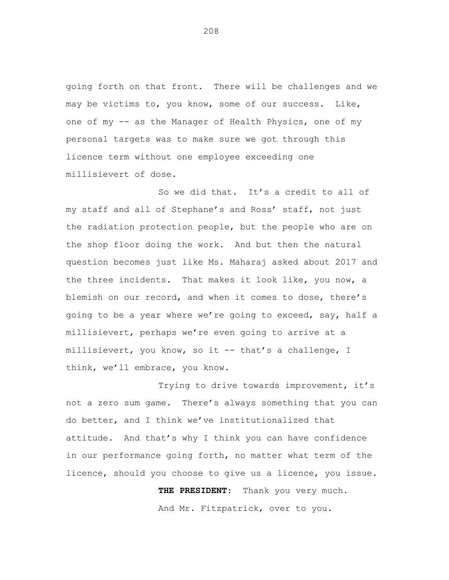going forth on that front. There will be challenges and we may be victims to, you know, some of our success. Like, one of my -- as the Manager of Health Physics, one of my personal targets was to make sure we got through this licence term without one employee exceeding one millisievert of dose.

So we did that. It's a credit to all of my staff and all of Stephane's and Ross' staff, not just the radiation protection people, but the people who are on the shop floor doing the work. And but then the natural question becomes just like Ms. Maharaj asked about 2017 and the three incidents. That makes it look like, you now, a blemish on our record, and when it comes to dose, there's going to be a year where we're going to exceed, say, half a millisievert, perhaps we're even going to arrive at a millisievert, you know, so it -- that's a challenge, I think, we'll embrace, you know.

Trying to drive towards improvement, it's not a zero sum game. There's always something that you can do better, and I think we've institutionalized that attitude. And that's why I think you can have confidence in our performance going forth, no matter what term of the licence, should you choose to give us a licence, you issue.

> **THE PRESIDENT:** Thank you very much. And Mr. Fitzpatrick, over to you.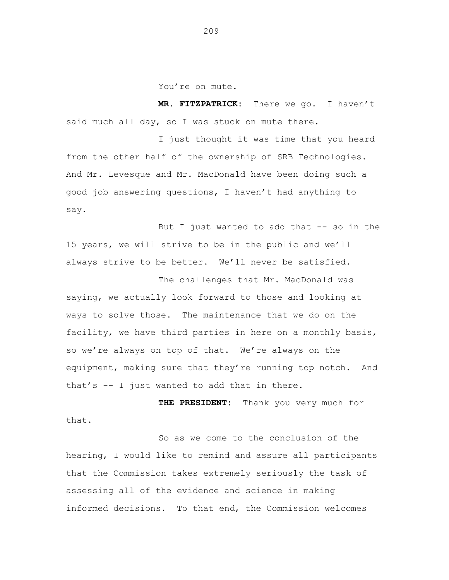You're on mute.

**MR. FITZPATRICK:** There we go. I haven't said much all day, so I was stuck on mute there.

I just thought it was time that you heard from the other half of the ownership of SRB Technologies. And Mr. Levesque and Mr. MacDonald have been doing such a good job answering questions, I haven't had anything to say.

But I just wanted to add that  $-$  so in the 15 years, we will strive to be in the public and we'll always strive to be better. We'll never be satisfied.

The challenges that Mr. MacDonald was saying, we actually look forward to those and looking at ways to solve those. The maintenance that we do on the facility, we have third parties in here on a monthly basis, so we're always on top of that. We're always on the equipment, making sure that they're running top notch. And that's -- I just wanted to add that in there.

**THE PRESIDENT:** Thank you very much for that.

So as we come to the conclusion of the hearing, I would like to remind and assure all participants that the Commission takes extremely seriously the task of assessing all of the evidence and science in making informed decisions. To that end, the Commission welcomes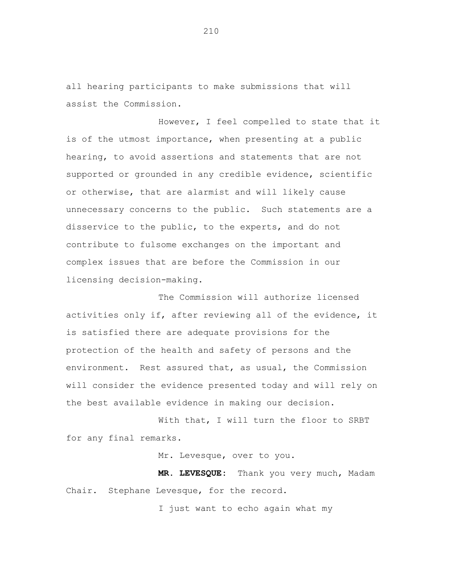all hearing participants to make submissions that will assist the Commission.

However, I feel compelled to state that it is of the utmost importance, when presenting at a public hearing, to avoid assertions and statements that are not supported or grounded in any credible evidence, scientific or otherwise, that are alarmist and will likely cause unnecessary concerns to the public. Such statements are a disservice to the public, to the experts, and do not contribute to fulsome exchanges on the important and complex issues that are before the Commission in our licensing decision-making.

The Commission will authorize licensed activities only if, after reviewing all of the evidence, it is satisfied there are adequate provisions for the protection of the health and safety of persons and the environment. Rest assured that, as usual, the Commission will consider the evidence presented today and will rely on the best available evidence in making our decision.

With that, I will turn the floor to SRBT for any final remarks.

Mr. Levesque, over to you.

**MR. LEVESQUE:** Thank you very much, Madam Chair. Stephane Levesque, for the record.

I just want to echo again what my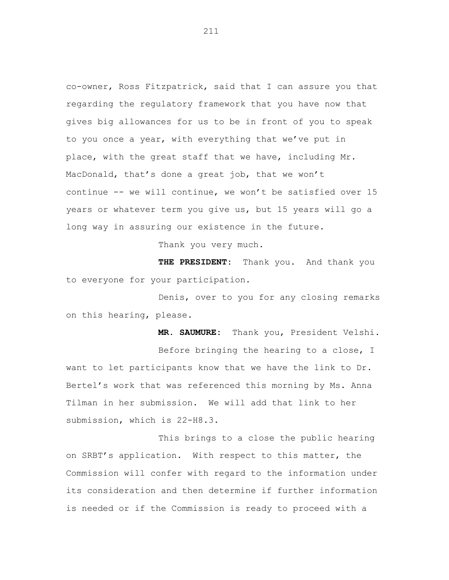co-owner, Ross Fitzpatrick, said that I can assure you that regarding the regulatory framework that you have now that gives big allowances for us to be in front of you to speak to you once a year, with everything that we've put in place, with the great staff that we have, including Mr. MacDonald, that's done a great job, that we won't continue -- we will continue, we won't be satisfied over 15 years or whatever term you give us, but 15 years will go a long way in assuring our existence in the future.

Thank you very much.

**THE PRESIDENT:** Thank you. And thank you to everyone for your participation.

Denis, over to you for any closing remarks on this hearing, please.

**MR. SAUMURE:** Thank you, President Velshi. Before bringing the hearing to a close, I want to let participants know that we have the link to Dr. Bertel's work that was referenced this morning by Ms. Anna Tilman in her submission. We will add that link to her submission, which is 22-H8.3.

This brings to a close the public hearing on SRBT's application. With respect to this matter, the Commission will confer with regard to the information under its consideration and then determine if further information is needed or if the Commission is ready to proceed with a